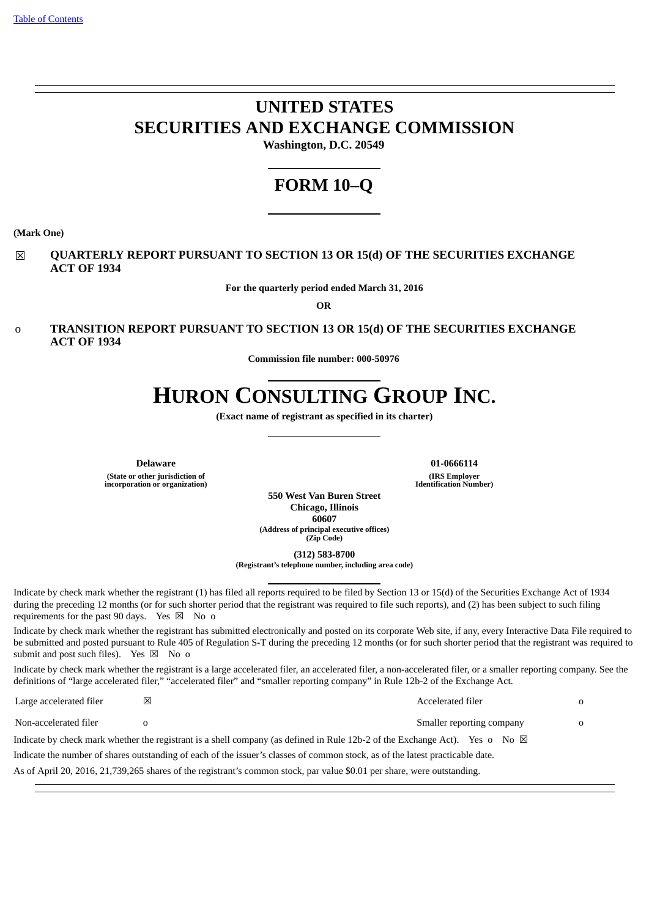# **UNITED STATES SECURITIES AND EXCHANGE COMMISSION**

**Washington, D.C. 20549**

## **FORM 10–Q**

**(Mark One)**

☒ **QUARTERLY REPORT PURSUANT TO SECTION 13 OR 15(d) OF THE SECURITIES EXCHANGE ACT OF 1934**

**For the quarterly period ended March 31, 2016**

**OR**

o **TRANSITION REPORT PURSUANT TO SECTION 13 OR 15(d) OF THE SECURITIES EXCHANGE ACT OF 1934**

**Commission file number: 000-50976**

# **HURON CONSULTING GROUP INC.**

**(Exact name of registrant as specified in its charter)**

**(State or other jurisdiction of incorporation or organization)**

**Delaware 01-0666114**

**(IRS Employer Identification Number)**

**550 West Van Buren Street Chicago, Illinois 60607 (Address of principal executive offices) (Zip Code)**

**(312) 583-8700**

**(Registrant's telephone number, including area code)**

Indicate by check mark whether the registrant (1) has filed all reports required to be filed by Section 13 or 15(d) of the Securities Exchange Act of 1934 during the preceding 12 months (or for such shorter period that the registrant was required to file such reports), and (2) has been subject to such filing requirements for the past 90 days. Yes  $\boxtimes$  No o

Indicate by check mark whether the registrant has submitted electronically and posted on its corporate Web site, if any, every Interactive Data File required to be submitted and posted pursuant to Rule 405 of Regulation S-T during the preceding 12 months (or for such shorter period that the registrant was required to submit and post such files). Yes  $\boxtimes$  No o

Indicate by check mark whether the registrant is a large accelerated filer, an accelerated filer, a non-accelerated filer, or a smaller reporting company. See the definitions of "large accelerated filer," "accelerated filer" and "smaller reporting company" in Rule 12b-2 of the Exchange Act.

| Large accelerated filer | ⋈                                                                                                                                     | Accelerated filer         | o        |
|-------------------------|---------------------------------------------------------------------------------------------------------------------------------------|---------------------------|----------|
| Non-accelerated filer   |                                                                                                                                       | Smaller reporting company | $\Omega$ |
|                         | Indicate by check mark whether the registrant is a shell company (as defined in Rule 12b-2 of the Exchange Act). Yes o No $\boxtimes$ |                           |          |
|                         | Indicate the number of shares outstanding of each of the issuer's classes of common stock, as of the latest practicable date.         |                           |          |
|                         | As of April 20, 2016, 21,739,265 shares of the registrant's common stock, par value \$0.01 per share, were outstanding.               |                           |          |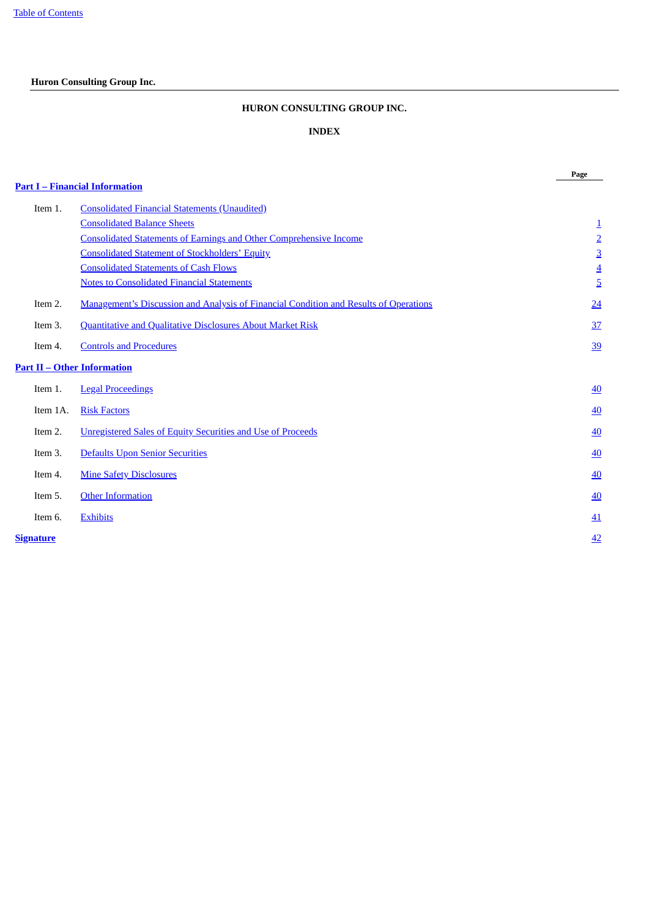## <span id="page-1-0"></span>**Huron Consulting Group Inc.**

## **HURON CONSULTING GROUP INC.**

## **INDEX**

**Page**

|           | <b>Part I – Financial Information</b>                                                        |                  |
|-----------|----------------------------------------------------------------------------------------------|------------------|
| Item 1.   | <b>Consolidated Financial Statements (Unaudited)</b>                                         |                  |
|           | <b>Consolidated Balance Sheets</b>                                                           | $\overline{1}$   |
|           | <b>Consolidated Statements of Earnings and Other Comprehensive Income</b>                    | $\overline{2}$   |
|           | <b>Consolidated Statement of Stockholders' Equity</b>                                        | $\overline{3}$   |
|           | <b>Consolidated Statements of Cash Flows</b>                                                 | $\overline{4}$   |
|           | <b>Notes to Consolidated Financial Statements</b>                                            | $\overline{5}$   |
| Item 2.   | <b>Management's Discussion and Analysis of Financial Condition and Results of Operations</b> | $\underline{24}$ |
| Item 3.   | Quantitative and Qualitative Disclosures About Market Risk                                   | 37               |
| Item 4.   | <b>Controls and Procedures</b>                                                               | 39               |
|           | <b>Part II – Other Information</b>                                                           |                  |
| Item 1.   | <b>Legal Proceedings</b>                                                                     | $\underline{40}$ |
| Item 1A.  | <b>Risk Factors</b>                                                                          | 40               |
| Item 2.   | <b>Unregistered Sales of Equity Securities and Use of Proceeds</b>                           | 40               |
| Item 3.   | <b>Defaults Upon Senior Securities</b>                                                       | 40               |
| Item 4.   | <b>Mine Safety Disclosures</b>                                                               | $\underline{40}$ |
| Item 5.   | <b>Other Information</b>                                                                     | 40               |
| Item 6.   | <b>Exhibits</b>                                                                              | 41               |
| Signature |                                                                                              | 42               |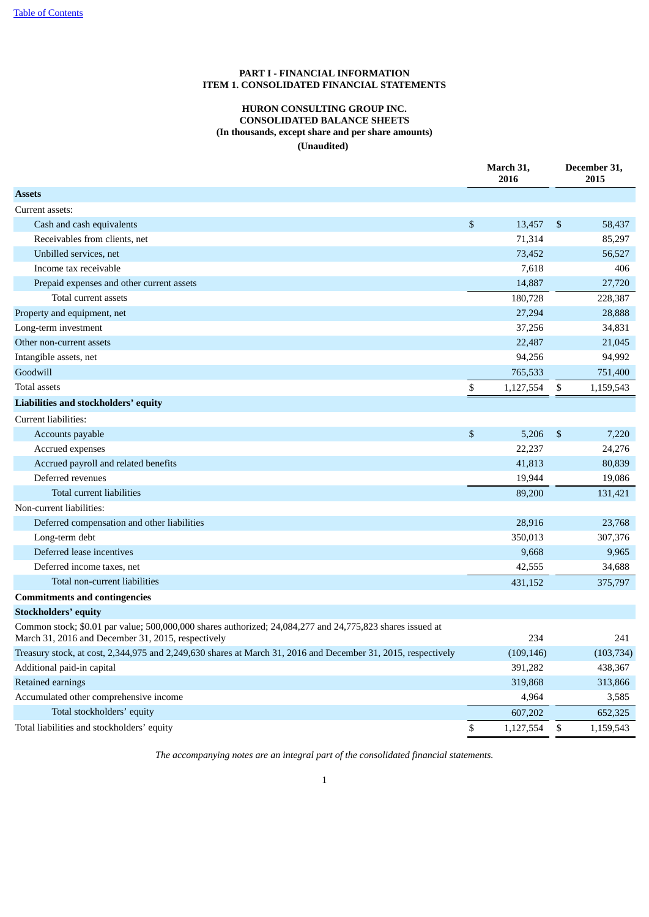## **PART I - FINANCIAL INFORMATION ITEM 1. CONSOLIDATED FINANCIAL STATEMENTS**

## **HURON CONSULTING GROUP INC. CONSOLIDATED BALANCE SHEETS (In thousands, except share and per share amounts) (Unaudited)**

<span id="page-2-2"></span><span id="page-2-1"></span><span id="page-2-0"></span>

|                                                                                                                                                                 | March 31,<br>2016 |            |    | December 31,<br>2015 |  |  |
|-----------------------------------------------------------------------------------------------------------------------------------------------------------------|-------------------|------------|----|----------------------|--|--|
| <b>Assets</b>                                                                                                                                                   |                   |            |    |                      |  |  |
| Current assets:                                                                                                                                                 |                   |            |    |                      |  |  |
| Cash and cash equivalents                                                                                                                                       | \$                | 13,457     | \$ | 58,437               |  |  |
| Receivables from clients, net                                                                                                                                   |                   | 71,314     |    | 85,297               |  |  |
| Unbilled services, net                                                                                                                                          |                   | 73,452     |    | 56,527               |  |  |
| Income tax receivable                                                                                                                                           |                   | 7,618      |    | 406                  |  |  |
| Prepaid expenses and other current assets                                                                                                                       |                   | 14,887     |    | 27,720               |  |  |
| Total current assets                                                                                                                                            |                   | 180,728    |    | 228,387              |  |  |
| Property and equipment, net                                                                                                                                     |                   | 27,294     |    | 28,888               |  |  |
| Long-term investment                                                                                                                                            |                   | 37,256     |    | 34,831               |  |  |
| Other non-current assets                                                                                                                                        |                   | 22,487     |    | 21,045               |  |  |
| Intangible assets, net                                                                                                                                          |                   | 94,256     |    | 94,992               |  |  |
| Goodwill                                                                                                                                                        |                   | 765,533    |    | 751,400              |  |  |
| <b>Total assets</b>                                                                                                                                             | \$                | 1,127,554  | \$ | 1,159,543            |  |  |
| Liabilities and stockholders' equity                                                                                                                            |                   |            |    |                      |  |  |
| Current liabilities:                                                                                                                                            |                   |            |    |                      |  |  |
| Accounts payable                                                                                                                                                | \$                | 5,206      | \$ | 7,220                |  |  |
| Accrued expenses                                                                                                                                                |                   | 22,237     |    | 24,276               |  |  |
| Accrued payroll and related benefits                                                                                                                            |                   | 41,813     |    | 80,839               |  |  |
| Deferred revenues                                                                                                                                               |                   | 19,944     |    | 19,086               |  |  |
| Total current liabilities                                                                                                                                       |                   | 89,200     |    | 131,421              |  |  |
| Non-current liabilities:                                                                                                                                        |                   |            |    |                      |  |  |
| Deferred compensation and other liabilities                                                                                                                     |                   | 28,916     |    | 23,768               |  |  |
| Long-term debt                                                                                                                                                  |                   | 350,013    |    | 307,376              |  |  |
| Deferred lease incentives                                                                                                                                       |                   | 9,668      |    | 9,965                |  |  |
| Deferred income taxes, net                                                                                                                                      |                   | 42,555     |    | 34,688               |  |  |
| Total non-current liabilities                                                                                                                                   |                   | 431,152    |    | 375,797              |  |  |
| <b>Commitments and contingencies</b>                                                                                                                            |                   |            |    |                      |  |  |
| <b>Stockholders' equity</b>                                                                                                                                     |                   |            |    |                      |  |  |
| Common stock; \$0.01 par value; 500,000,000 shares authorized; 24,084,277 and 24,775,823 shares issued at<br>March 31, 2016 and December 31, 2015, respectively |                   | 234        |    | 241                  |  |  |
| Treasury stock, at cost, 2,344,975 and 2,249,630 shares at March 31, 2016 and December 31, 2015, respectively                                                   |                   | (109, 146) |    | (103, 734)           |  |  |
| Additional paid-in capital                                                                                                                                      |                   | 391,282    |    | 438,367              |  |  |
| Retained earnings                                                                                                                                               |                   | 319,868    |    | 313,866              |  |  |
| Accumulated other comprehensive income                                                                                                                          |                   | 4,964      |    | 3,585                |  |  |
| Total stockholders' equity                                                                                                                                      |                   | 607,202    |    | 652,325              |  |  |
| Total liabilities and stockholders' equity                                                                                                                      | \$                | 1,127,554  | \$ | 1,159,543            |  |  |

*The accompanying notes are an integral part of the consolidated financial statements.*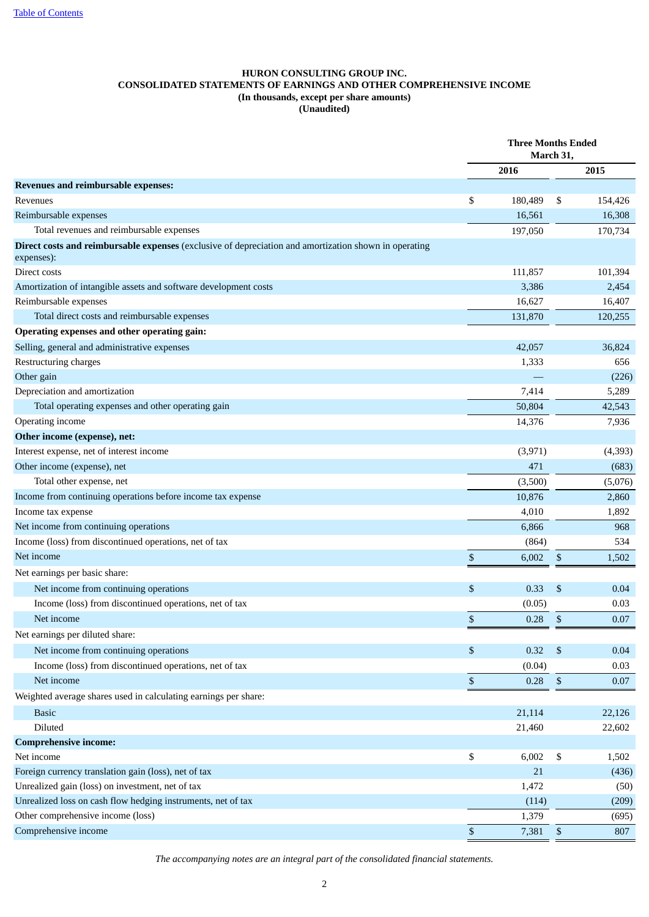## <span id="page-3-0"></span>**HURON CONSULTING GROUP INC. CONSOLIDATED STATEMENTS OF EARNINGS AND OTHER COMPREHENSIVE INCOME (In thousands, except per share amounts) (Unaudited)**

|                                                                                                                     | <b>Three Months Ended</b><br>March 31, |         |                           |          |
|---------------------------------------------------------------------------------------------------------------------|----------------------------------------|---------|---------------------------|----------|
|                                                                                                                     |                                        | 2016    |                           | 2015     |
| Revenues and reimbursable expenses:                                                                                 |                                        |         |                           |          |
| Revenues                                                                                                            | \$                                     | 180,489 | \$                        | 154,426  |
| Reimbursable expenses                                                                                               |                                        | 16,561  |                           | 16,308   |
| Total revenues and reimbursable expenses                                                                            |                                        | 197,050 |                           | 170,734  |
| Direct costs and reimbursable expenses (exclusive of depreciation and amortization shown in operating<br>expenses): |                                        |         |                           |          |
| Direct costs                                                                                                        |                                        | 111,857 |                           | 101,394  |
| Amortization of intangible assets and software development costs                                                    |                                        | 3,386   |                           | 2,454    |
| Reimbursable expenses                                                                                               |                                        | 16,627  |                           | 16,407   |
| Total direct costs and reimbursable expenses                                                                        |                                        | 131,870 |                           | 120,255  |
| Operating expenses and other operating gain:                                                                        |                                        |         |                           |          |
| Selling, general and administrative expenses                                                                        |                                        | 42,057  |                           | 36,824   |
| Restructuring charges                                                                                               |                                        | 1,333   |                           | 656      |
| Other gain                                                                                                          |                                        |         |                           | (226)    |
| Depreciation and amortization                                                                                       |                                        | 7,414   |                           | 5,289    |
| Total operating expenses and other operating gain                                                                   |                                        | 50,804  |                           | 42,543   |
| Operating income                                                                                                    |                                        | 14,376  |                           | 7,936    |
| Other income (expense), net:                                                                                        |                                        |         |                           |          |
| Interest expense, net of interest income                                                                            |                                        | (3,971) |                           | (4, 393) |
| Other income (expense), net                                                                                         |                                        | 471     |                           | (683)    |
| Total other expense, net                                                                                            |                                        | (3,500) |                           | (5,076)  |
| Income from continuing operations before income tax expense                                                         |                                        | 10,876  |                           | 2,860    |
| Income tax expense                                                                                                  |                                        | 4,010   |                           | 1,892    |
| Net income from continuing operations                                                                               |                                        | 6,866   |                           | 968      |
| Income (loss) from discontinued operations, net of tax                                                              |                                        | (864)   |                           | 534      |
| Net income                                                                                                          | \$                                     | 6,002   | \$                        | 1,502    |
| Net earnings per basic share:                                                                                       |                                        |         |                           |          |
| Net income from continuing operations                                                                               | \$                                     | 0.33    | \$                        | 0.04     |
| Income (loss) from discontinued operations, net of tax                                                              |                                        | (0.05)  |                           | 0.03     |
| Net income                                                                                                          | \$                                     | 0.28    | \$                        | 0.07     |
| Net earnings per diluted share:                                                                                     |                                        |         |                           |          |
| Net income from continuing operations                                                                               | \$                                     | 0.32    | \$                        | 0.04     |
| Income (loss) from discontinued operations, net of tax                                                              |                                        | (0.04)  |                           | 0.03     |
| Net income                                                                                                          | $\mathbb{S}$                           | 0.28    | $\boldsymbol{\mathsf{S}}$ | 0.07     |
| Weighted average shares used in calculating earnings per share:                                                     |                                        |         |                           |          |
| <b>Basic</b>                                                                                                        |                                        | 21,114  |                           | 22,126   |
| Diluted                                                                                                             |                                        | 21,460  |                           | 22,602   |
| <b>Comprehensive income:</b>                                                                                        |                                        |         |                           |          |
| Net income                                                                                                          | \$                                     | 6,002   | \$                        | 1,502    |
| Foreign currency translation gain (loss), net of tax                                                                |                                        | 21      |                           | (436)    |
| Unrealized gain (loss) on investment, net of tax                                                                    |                                        | 1,472   |                           | (50)     |
| Unrealized loss on cash flow hedging instruments, net of tax                                                        |                                        | (114)   |                           | (209)    |
| Other comprehensive income (loss)                                                                                   |                                        | 1,379   |                           | (695)    |
| Comprehensive income                                                                                                | \$                                     | 7,381   | $\boldsymbol{\mathsf{S}}$ | 807      |
|                                                                                                                     |                                        |         |                           |          |

*The accompanying notes are an integral part of the consolidated financial statements.*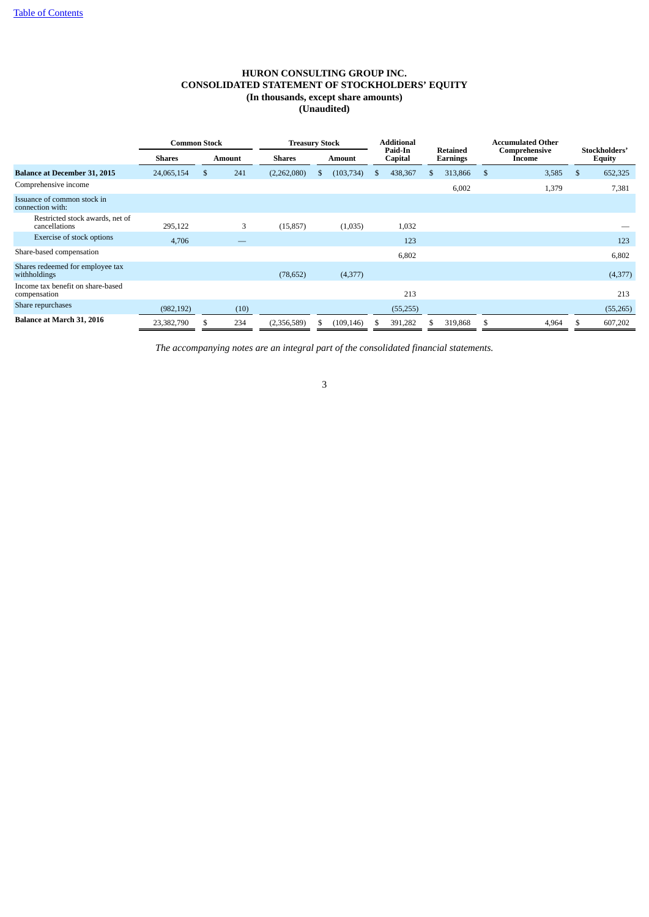## **HURON CONSULTING GROUP INC. CONSOLIDATED STATEMENT OF STOCKHOLDERS' EQUITY (In thousands, except share amounts) (Unaudited)**

<span id="page-4-0"></span>

|                                                   |               | <b>Common Stock</b> |        |               |        |            | <b>Treasury Stock</b> |           |    | <b>Additional</b><br>Paid-In |    |         |                                    |           |  | <b>Accumulated Other</b> |  |                                |
|---------------------------------------------------|---------------|---------------------|--------|---------------|--------|------------|-----------------------|-----------|----|------------------------------|----|---------|------------------------------------|-----------|--|--------------------------|--|--------------------------------|
|                                                   | <b>Shares</b> |                     | Amount | <b>Shares</b> | Amount |            |                       |           |    |                              |    | Capital | <b>Retained</b><br><b>Earnings</b> |           |  | Comprehensive<br>Income  |  | Stockholders'<br><b>Equity</b> |
| <b>Balance at December 31, 2015</b>               | 24,065,154    | \$                  | 241    | (2,262,080)   | S.     | (103, 734) | $\mathbf{F}$          | 438,367   | S. | 313,866                      | S  | 3,585   | S                                  | 652,325   |  |                          |  |                                |
| Comprehensive income                              |               |                     |        |               |        |            |                       |           |    | 6,002                        |    | 1,379   |                                    | 7,381     |  |                          |  |                                |
| Issuance of common stock in<br>connection with:   |               |                     |        |               |        |            |                       |           |    |                              |    |         |                                    |           |  |                          |  |                                |
| Restricted stock awards, net of<br>cancellations  | 295,122       |                     | 3      | (15, 857)     |        | (1,035)    |                       | 1,032     |    |                              |    |         |                                    |           |  |                          |  |                                |
| Exercise of stock options                         | 4,706         |                     |        |               |        |            |                       | 123       |    |                              |    |         |                                    | 123       |  |                          |  |                                |
| Share-based compensation                          |               |                     |        |               |        |            |                       | 6,802     |    |                              |    |         |                                    | 6,802     |  |                          |  |                                |
| Shares redeemed for employee tax<br>withholdings  |               |                     |        | (78, 652)     |        | (4,377)    |                       |           |    |                              |    |         |                                    | (4, 377)  |  |                          |  |                                |
| Income tax benefit on share-based<br>compensation |               |                     |        |               |        |            |                       | 213       |    |                              |    |         |                                    | 213       |  |                          |  |                                |
| Share repurchases                                 | (982, 192)    |                     | (10)   |               |        |            |                       | (55, 255) |    |                              |    |         |                                    | (55, 265) |  |                          |  |                                |
| Balance at March 31, 2016                         | 23,382,790    |                     | 234    | (2,356,589)   |        | (109, 146) |                       | 391,282   |    | 319,868                      | S. | 4,964   |                                    | 607,202   |  |                          |  |                                |

*The accompanying notes are an integral part of the consolidated financial statements.*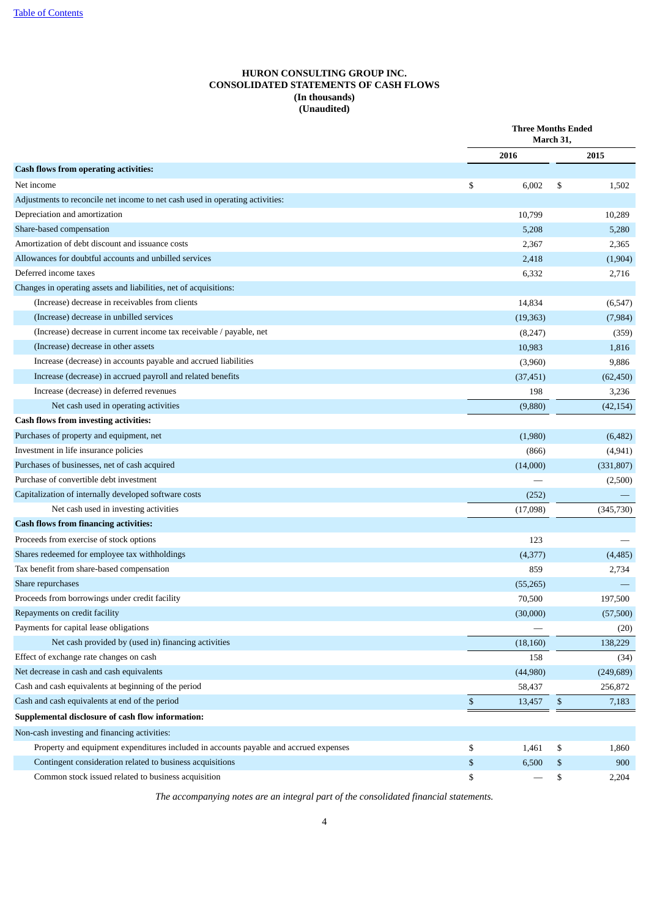## **HURON CONSULTING GROUP INC. CONSOLIDATED STATEMENTS OF CASH FLOWS (In thousands) (Unaudited)**

<span id="page-5-0"></span>

|                                                                                       | <b>Three Months Ended</b><br>March 31, |           |    |            |
|---------------------------------------------------------------------------------------|----------------------------------------|-----------|----|------------|
|                                                                                       |                                        | 2016      |    | 2015       |
| <b>Cash flows from operating activities:</b>                                          |                                        |           |    |            |
| Net income                                                                            | \$                                     | 6,002     | \$ | 1,502      |
| Adjustments to reconcile net income to net cash used in operating activities:         |                                        |           |    |            |
| Depreciation and amortization                                                         |                                        | 10,799    |    | 10,289     |
| Share-based compensation                                                              |                                        | 5,208     |    | 5,280      |
| Amortization of debt discount and issuance costs                                      |                                        | 2,367     |    | 2,365      |
| Allowances for doubtful accounts and unbilled services                                |                                        | 2,418     |    | (1,904)    |
| Deferred income taxes                                                                 |                                        | 6,332     |    | 2,716      |
| Changes in operating assets and liabilities, net of acquisitions:                     |                                        |           |    |            |
| (Increase) decrease in receivables from clients                                       |                                        | 14,834    |    | (6, 547)   |
| (Increase) decrease in unbilled services                                              |                                        | (19, 363) |    | (7,984)    |
| (Increase) decrease in current income tax receivable / payable, net                   |                                        | (8,247)   |    | (359)      |
| (Increase) decrease in other assets                                                   |                                        | 10,983    |    | 1,816      |
| Increase (decrease) in accounts payable and accrued liabilities                       |                                        | (3,960)   |    | 9,886      |
| Increase (decrease) in accrued payroll and related benefits                           |                                        | (37, 451) |    | (62, 450)  |
| Increase (decrease) in deferred revenues                                              |                                        | 198       |    | 3,236      |
| Net cash used in operating activities                                                 |                                        | (9,880)   |    | (42, 154)  |
| <b>Cash flows from investing activities:</b>                                          |                                        |           |    |            |
| Purchases of property and equipment, net                                              |                                        | (1,980)   |    | (6,482)    |
| Investment in life insurance policies                                                 |                                        | (866)     |    | (4,941)    |
| Purchases of businesses, net of cash acquired                                         |                                        | (14,000)  |    | (331, 807) |
| Purchase of convertible debt investment                                               |                                        |           |    | (2,500)    |
| Capitalization of internally developed software costs                                 |                                        | (252)     |    |            |
| Net cash used in investing activities                                                 |                                        | (17,098)  |    | (345,730)  |
| <b>Cash flows from financing activities:</b>                                          |                                        |           |    |            |
| Proceeds from exercise of stock options                                               |                                        | 123       |    |            |
| Shares redeemed for employee tax withholdings                                         |                                        | (4, 377)  |    | (4,485)    |
| Tax benefit from share-based compensation                                             |                                        | 859       |    | 2,734      |
| Share repurchases                                                                     |                                        | (55,265)  |    |            |
| Proceeds from borrowings under credit facility                                        |                                        | 70,500    |    | 197,500    |
| Repayments on credit facility                                                         |                                        | (30,000)  |    | (57,500)   |
| Payments for capital lease obligations                                                |                                        |           |    | (20)       |
| Net cash provided by (used in) financing activities                                   |                                        | (18, 160) |    | 138,229    |
| Effect of exchange rate changes on cash                                               |                                        | 158       |    | (34)       |
| Net decrease in cash and cash equivalents                                             |                                        | (44,980)  |    | (249, 689) |
| Cash and cash equivalents at beginning of the period                                  |                                        | 58,437    |    | 256,872    |
| Cash and cash equivalents at end of the period                                        | \$                                     | 13,457    | \$ | 7,183      |
| Supplemental disclosure of cash flow information:                                     |                                        |           |    |            |
| Non-cash investing and financing activities:                                          |                                        |           |    |            |
| Property and equipment expenditures included in accounts payable and accrued expenses | \$                                     | 1,461     | \$ | 1,860      |
| Contingent consideration related to business acquisitions                             | \$                                     | 6,500     | \$ | 900        |
| Common stock issued related to business acquisition                                   | \$                                     |           | \$ | 2,204      |

*The accompanying notes are an integral part of the consolidated financial statements.*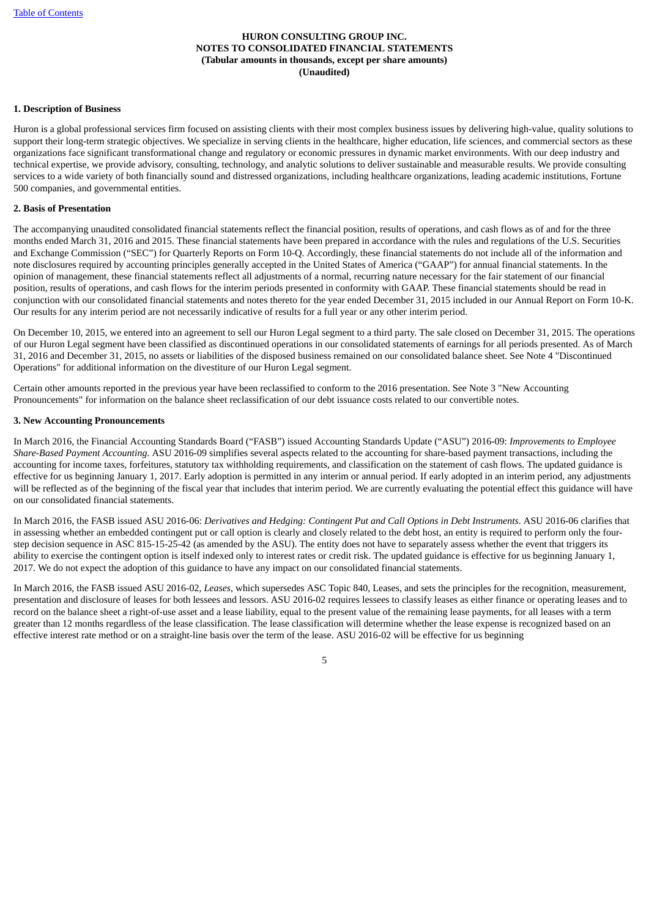#### <span id="page-6-0"></span>**1. Description of Business**

Huron is a global professional services firm focused on assisting clients with their most complex business issues by delivering high-value, quality solutions to support their long-term strategic objectives. We specialize in serving clients in the healthcare, higher education, life sciences, and commercial sectors as these organizations face significant transformational change and regulatory or economic pressures in dynamic market environments. With our deep industry and technical expertise, we provide advisory, consulting, technology, and analytic solutions to deliver sustainable and measurable results. We provide consulting services to a wide variety of both financially sound and distressed organizations, including healthcare organizations, leading academic institutions, Fortune 500 companies, and governmental entities.

#### **2. Basis of Presentation**

The accompanying unaudited consolidated financial statements reflect the financial position, results of operations, and cash flows as of and for the three months ended March 31, 2016 and 2015. These financial statements have been prepared in accordance with the rules and regulations of the U.S. Securities and Exchange Commission ("SEC") for Quarterly Reports on Form 10-Q. Accordingly, these financial statements do not include all of the information and note disclosures required by accounting principles generally accepted in the United States of America ("GAAP") for annual financial statements. In the opinion of management, these financial statements reflect all adjustments of a normal, recurring nature necessary for the fair statement of our financial position, results of operations, and cash flows for the interim periods presented in conformity with GAAP. These financial statements should be read in conjunction with our consolidated financial statements and notes thereto for the year ended December 31, 2015 included in our Annual Report on Form 10-K. Our results for any interim period are not necessarily indicative of results for a full year or any other interim period.

On December 10, 2015, we entered into an agreement to sell our Huron Legal segment to a third party. The sale closed on December 31, 2015. The operations of our Huron Legal segment have been classified as discontinued operations in our consolidated statements of earnings for all periods presented. As of March 31, 2016 and December 31, 2015, no assets or liabilities of the disposed business remained on our consolidated balance sheet. See Note 4 "Discontinued Operations" for additional information on the divestiture of our Huron Legal segment.

Certain other amounts reported in the previous year have been reclassified to conform to the 2016 presentation. See Note 3 "New Accounting Pronouncements" for information on the balance sheet reclassification of our debt issuance costs related to our convertible notes.

#### **3. New Accounting Pronouncements**

In March 2016, the Financial Accounting Standards Board ("FASB") issued Accounting Standards Update ("ASU") 2016-09: *Improvements to Employee Share-Based Payment Accounting*. ASU 2016-09 simplifies several aspects related to the accounting for share-based payment transactions, including the accounting for income taxes, forfeitures, statutory tax withholding requirements, and classification on the statement of cash flows. The updated guidance is effective for us beginning January 1, 2017. Early adoption is permitted in any interim or annual period. If early adopted in an interim period, any adjustments will be reflected as of the beginning of the fiscal year that includes that interim period. We are currently evaluating the potential effect this guidance will have on our consolidated financial statements.

In March 2016, the FASB issued ASU 2016-06: Derivatives and Hedging: Contingent Put and Call Options in Debt Instruments. ASU 2016-06 clarifies that in assessing whether an embedded contingent put or call option is clearly and closely related to the debt host, an entity is required to perform only the fourstep decision sequence in ASC 815-15-25-42 (as amended by the ASU). The entity does not have to separately assess whether the event that triggers its ability to exercise the contingent option is itself indexed only to interest rates or credit risk. The updated guidance is effective for us beginning January 1, 2017. We do not expect the adoption of this guidance to have any impact on our consolidated financial statements.

In March 2016, the FASB issued ASU 2016-02, *Leases*, which supersedes ASC Topic 840, Leases, and sets the principles for the recognition, measurement, presentation and disclosure of leases for both lessees and lessors. ASU 2016-02 requires lessees to classify leases as either finance or operating leases and to record on the balance sheet a right-of-use asset and a lease liability, equal to the present value of the remaining lease payments, for all leases with a term greater than 12 months regardless of the lease classification. The lease classification will determine whether the lease expense is recognized based on an effective interest rate method or on a straight-line basis over the term of the lease. ASU 2016-02 will be effective for us beginning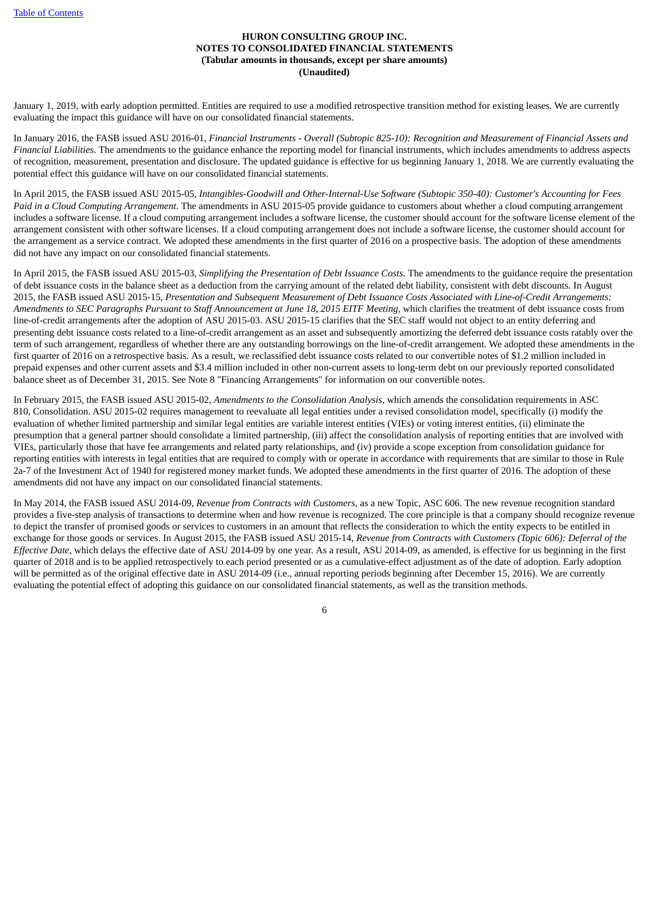January 1, 2019, with early adoption permitted. Entities are required to use a modified retrospective transition method for existing leases. We are currently evaluating the impact this guidance will have on our consolidated financial statements.

In January 2016, the FASB issued ASU 2016-01, Financial Instruments - Overall (Subtopic 825-10): Recognition and Measurement of Financial Assets and *Financial Liabilities*. The amendments to the guidance enhance the reporting model for financial instruments, which includes amendments to address aspects of recognition, measurement, presentation and disclosure. The updated guidance is effective for us beginning January 1, 2018. We are currently evaluating the potential effect this guidance will have on our consolidated financial statements.

In April 2015, the FASB issued ASU 2015-05, *Intangibles-Goodwill and Other-Internal-Use Software (Subtopic 350-40): Customer's Accounting for Fees Paid in a Cloud Computing Arrangement*. The amendments in ASU 2015-05 provide guidance to customers about whether a cloud computing arrangement includes a software license. If a cloud computing arrangement includes a software license, the customer should account for the software license element of the arrangement consistent with other software licenses. If a cloud computing arrangement does not include a software license, the customer should account for the arrangement as a service contract. We adopted these amendments in the first quarter of 2016 on a prospective basis. The adoption of these amendments did not have any impact on our consolidated financial statements.

In April 2015, the FASB issued ASU 2015-03, *Simplifying the Presentation of Debt Issuance Costs*. The amendments to the guidance require the presentation of debt issuance costs in the balance sheet as a deduction from the carrying amount of the related debt liability, consistent with debt discounts. In August 2015, the FASB issued ASU 2015-15, Presentation and Subsequent Measurement of Debt Issuance Costs Associated with Line-of-Credit Arranaements: Amendments to SEC Paragraphs Pursuant to Staff Announcement at June 18, 2015 EITF Meeting, which clarifies the treatment of debt issuance costs from line-of-credit arrangements after the adoption of ASU 2015-03. ASU 2015-15 clarifies that the SEC staff would not object to an entity deferring and presenting debt issuance costs related to a line-of-credit arrangement as an asset and subsequently amortizing the deferred debt issuance costs ratably over the term of such arrangement, regardless of whether there are any outstanding borrowings on the line-of-credit arrangement. We adopted these amendments in the first quarter of 2016 on a retrospective basis. As a result, we reclassified debt issuance costs related to our convertible notes of \$1.2 million included in prepaid expenses and other current assets and \$3.4 million included in other non-current assets to long-term debt on our previously reported consolidated balance sheet as of December 31, 2015. See Note 8 "Financing Arrangements" for information on our convertible notes.

In February 2015, the FASB issued ASU 2015-02, *Amendments to the Consolidation Analysis*, which amends the consolidation requirements in ASC 810, Consolidation. ASU 2015-02 requires management to reevaluate all legal entities under a revised consolidation model, specifically (i) modify the evaluation of whether limited partnership and similar legal entities are variable interest entities (VIEs) or voting interest entities, (ii) eliminate the presumption that a general partner should consolidate a limited partnership, (iii) affect the consolidation analysis of reporting entities that are involved with VIEs, particularly those that have fee arrangements and related party relationships, and (iv) provide a scope exception from consolidation guidance for reporting entities with interests in legal entities that are required to comply with or operate in accordance with requirements that are similar to those in Rule 2a-7 of the Investment Act of 1940 for registered money market funds. We adopted these amendments in the first quarter of 2016. The adoption of these amendments did not have any impact on our consolidated financial statements.

In May 2014, the FASB issued ASU 2014-09, *Revenue from Contracts with Customers*, as a new Topic, ASC 606. The new revenue recognition standard provides a five-step analysis of transactions to determine when and how revenue is recognized. The core principle is that a company should recognize revenue to depict the transfer of promised goods or services to customers in an amount that reflects the consideration to which the entity expects to be entitled in exchange for those goods or services. In August 2015, the FASB issued ASU 2015-14, *Revenue from Contracts with Customers (Topic 606): Deferral of the Effective Date*, which delays the effective date of ASU 2014-09 by one year. As a result, ASU 2014-09, as amended, is effective for us beginning in the first quarter of 2018 and is to be applied retrospectively to each period presented or as a cumulative-effect adjustment as of the date of adoption. Early adoption will be permitted as of the original effective date in ASU 2014-09 (i.e., annual reporting periods beginning after December 15, 2016). We are currently evaluating the potential effect of adopting this guidance on our consolidated financial statements, as well as the transition methods.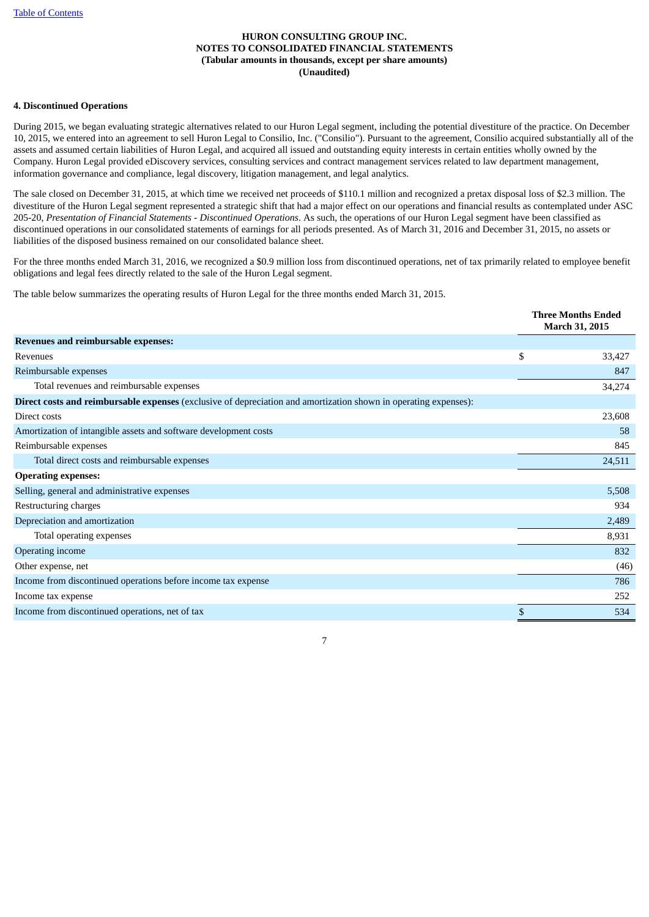## **4. Discontinued Operations**

During 2015, we began evaluating strategic alternatives related to our Huron Legal segment, including the potential divestiture of the practice. On December 10, 2015, we entered into an agreement to sell Huron Legal to Consilio, Inc. ("Consilio"). Pursuant to the agreement, Consilio acquired substantially all of the assets and assumed certain liabilities of Huron Legal, and acquired all issued and outstanding equity interests in certain entities wholly owned by the Company. Huron Legal provided eDiscovery services, consulting services and contract management services related to law department management, information governance and compliance, legal discovery, litigation management, and legal analytics.

The sale closed on December 31, 2015, at which time we received net proceeds of \$110.1 million and recognized a pretax disposal loss of \$2.3 million. The divestiture of the Huron Legal segment represented a strategic shift that had a major effect on our operations and financial results as contemplated under ASC 205-20, *Presentation of Financial Statements - Discontinued Operations*. As such, the operations of our Huron Legal segment have been classified as discontinued operations in our consolidated statements of earnings for all periods presented. As of March 31, 2016 and December 31, 2015, no assets or liabilities of the disposed business remained on our consolidated balance sheet.

For the three months ended March 31, 2016, we recognized a \$0.9 million loss from discontinued operations, net of tax primarily related to employee benefit obligations and legal fees directly related to the sale of the Huron Legal segment.

The table below summarizes the operating results of Huron Legal for the three months ended March 31, 2015.

|                                                                                                                         | <b>Three Months Ended</b><br>March 31, 2015 |
|-------------------------------------------------------------------------------------------------------------------------|---------------------------------------------|
| <b>Revenues and reimbursable expenses:</b>                                                                              |                                             |
| Revenues                                                                                                                | \$<br>33,427                                |
| Reimbursable expenses                                                                                                   | 847                                         |
| Total revenues and reimbursable expenses                                                                                | 34,274                                      |
| <b>Direct costs and reimbursable expenses</b> (exclusive of depreciation and amortization shown in operating expenses): |                                             |
| Direct costs                                                                                                            | 23,608                                      |
| Amortization of intangible assets and software development costs                                                        | 58                                          |
| Reimbursable expenses                                                                                                   | 845                                         |
| Total direct costs and reimbursable expenses                                                                            | 24,511                                      |
| <b>Operating expenses:</b>                                                                                              |                                             |
| Selling, general and administrative expenses                                                                            | 5,508                                       |
| Restructuring charges                                                                                                   | 934                                         |
| Depreciation and amortization                                                                                           | 2,489                                       |
| Total operating expenses                                                                                                | 8,931                                       |
| Operating income                                                                                                        | 832                                         |
| Other expense, net                                                                                                      | (46)                                        |
| Income from discontinued operations before income tax expense                                                           | 786                                         |
| Income tax expense                                                                                                      | 252                                         |
| Income from discontinued operations, net of tax                                                                         | \$<br>534                                   |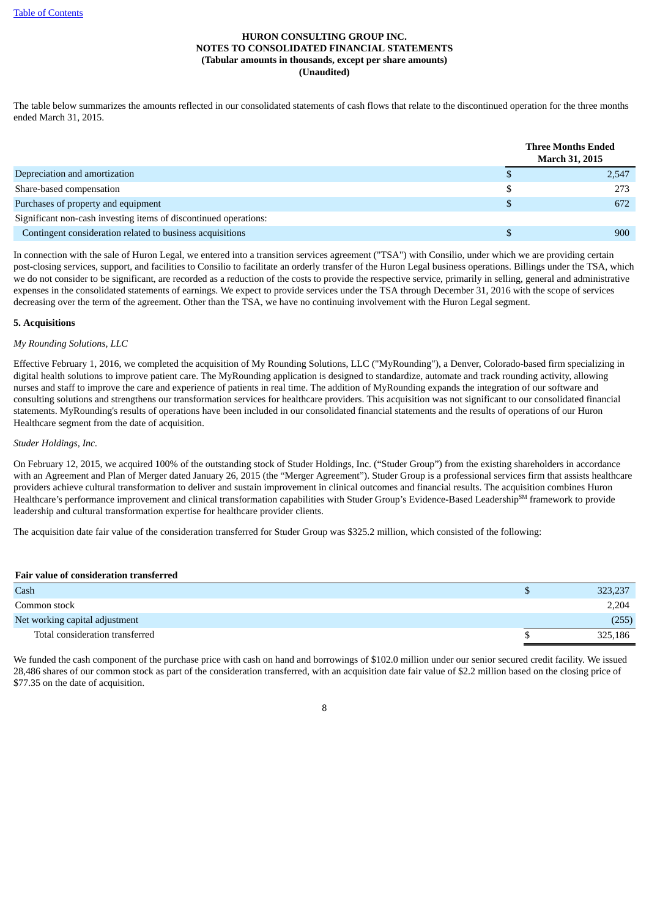The table below summarizes the amounts reflected in our consolidated statements of cash flows that relate to the discontinued operation for the three months ended March 31, 2015.

|                                                                  |               | <b>Three Months Ended</b><br><b>March 31, 2015</b> |
|------------------------------------------------------------------|---------------|----------------------------------------------------|
| Depreciation and amortization                                    |               | 2,547                                              |
| Share-based compensation                                         |               | 273                                                |
| Purchases of property and equipment                              | <sup>\$</sup> | 672                                                |
| Significant non-cash investing items of discontinued operations: |               |                                                    |
| Contingent consideration related to business acquisitions        |               | 900                                                |

In connection with the sale of Huron Legal, we entered into a transition services agreement ("TSA") with Consilio, under which we are providing certain post-closing services, support, and facilities to Consilio to facilitate an orderly transfer of the Huron Legal business operations. Billings under the TSA, which we do not consider to be significant, are recorded as a reduction of the costs to provide the respective service, primarily in selling, general and administrative expenses in the consolidated statements of earnings. We expect to provide services under the TSA through December 31, 2016 with the scope of services decreasing over the term of the agreement. Other than the TSA, we have no continuing involvement with the Huron Legal segment.

#### **5. Acquisitions**

## *My Rounding Solutions, LLC*

Effective February 1, 2016, we completed the acquisition of My Rounding Solutions, LLC ("MyRounding"), a Denver, Colorado-based firm specializing in digital health solutions to improve patient care. The MyRounding application is designed to standardize, automate and track rounding activity, allowing nurses and staff to improve the care and experience of patients in real time. The addition of MyRounding expands the integration of our software and consulting solutions and strengthens our transformation services for healthcare providers. This acquisition was not significant to our consolidated financial statements. MyRounding's results of operations have been included in our consolidated financial statements and the results of operations of our Huron Healthcare segment from the date of acquisition.

#### *Studer Holdings, Inc.*

On February 12, 2015, we acquired 100% of the outstanding stock of Studer Holdings, Inc. ("Studer Group") from the existing shareholders in accordance with an Agreement and Plan of Merger dated January 26, 2015 (the "Merger Agreement"). Studer Group is a professional services firm that assists healthcare providers achieve cultural transformation to deliver and sustain improvement in clinical outcomes and financial results. The acquisition combines Huron Healthcare's performance improvement and clinical transformation capabilities with Studer Group's Evidence-Based Leadership<sup>sM</sup> framework to provide leadership and cultural transformation expertise for healthcare provider clients.

The acquisition date fair value of the consideration transferred for Studer Group was \$325.2 million, which consisted of the following:

## **Fair value of consideration transferred**

| Cash                            | 323,237 |
|---------------------------------|---------|
| Common stock                    | 2,204   |
| Net working capital adjustment  | (255)   |
| Total consideration transferred | 325.186 |

We funded the cash component of the purchase price with cash on hand and borrowings of \$102.0 million under our senior secured credit facility. We issued 28,486 shares of our common stock as part of the consideration transferred, with an acquisition date fair value of \$2.2 million based on the closing price of \$77.35 on the date of acquisition.

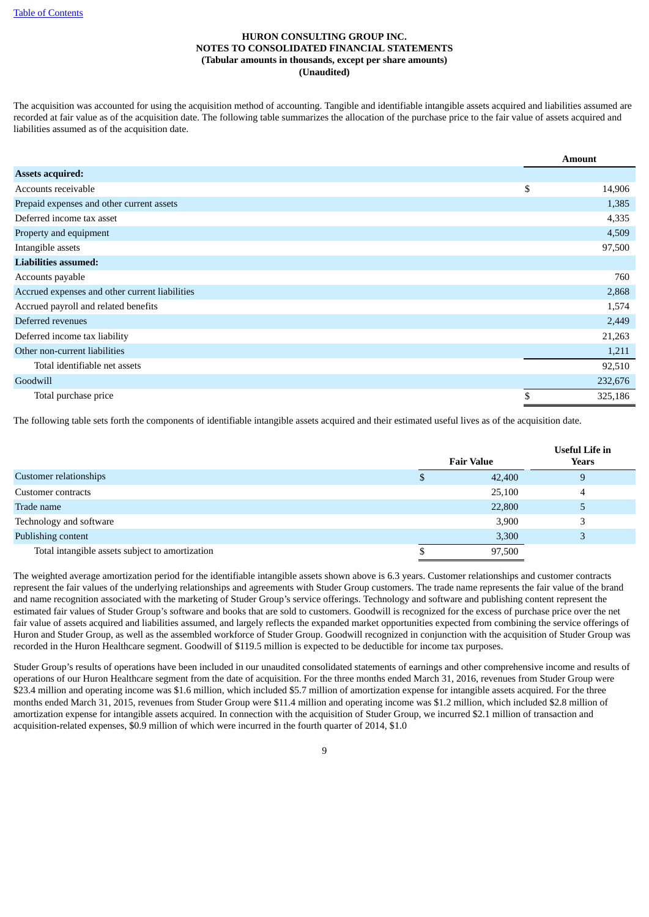The acquisition was accounted for using the acquisition method of accounting. Tangible and identifiable intangible assets acquired and liabilities assumed are recorded at fair value as of the acquisition date. The following table summarizes the allocation of the purchase price to the fair value of assets acquired and liabilities assumed as of the acquisition date.

|                                                | <b>Amount</b> |
|------------------------------------------------|---------------|
| <b>Assets acquired:</b>                        |               |
| Accounts receivable                            | \$<br>14,906  |
| Prepaid expenses and other current assets      | 1,385         |
| Deferred income tax asset                      | 4,335         |
| Property and equipment                         | 4,509         |
| Intangible assets                              | 97,500        |
| <b>Liabilities assumed:</b>                    |               |
| Accounts payable                               | 760           |
| Accrued expenses and other current liabilities | 2,868         |
| Accrued payroll and related benefits           | 1,574         |
| Deferred revenues                              | 2,449         |
| Deferred income tax liability                  | 21,263        |
| Other non-current liabilities                  | 1,211         |
| Total identifiable net assets                  | 92,510        |
| Goodwill                                       | 232,676       |
| Total purchase price                           | \$<br>325,186 |

The following table sets forth the components of identifiable intangible assets acquired and their estimated useful lives as of the acquisition date.

|                                                 | <b>Fair Value</b> | <b>Useful Life in</b><br><b>Years</b> |
|-------------------------------------------------|-------------------|---------------------------------------|
| Customer relationships                          | 42,400            | 9                                     |
| Customer contracts                              | 25,100            | 4                                     |
| Trade name                                      | 22,800            | 5                                     |
| Technology and software                         | 3,900             | З                                     |
| Publishing content                              | 3,300             |                                       |
| Total intangible assets subject to amortization | 97,500            |                                       |

The weighted average amortization period for the identifiable intangible assets shown above is 6.3 years. Customer relationships and customer contracts represent the fair values of the underlying relationships and agreements with Studer Group customers. The trade name represents the fair value of the brand and name recognition associated with the marketing of Studer Group's service offerings. Technology and software and publishing content represent the estimated fair values of Studer Group's software and books that are sold to customers. Goodwill is recognized for the excess of purchase price over the net fair value of assets acquired and liabilities assumed, and largely reflects the expanded market opportunities expected from combining the service offerings of Huron and Studer Group, as well as the assembled workforce of Studer Group. Goodwill recognized in conjunction with the acquisition of Studer Group was recorded in the Huron Healthcare segment. Goodwill of \$119.5 million is expected to be deductible for income tax purposes.

Studer Group's results of operations have been included in our unaudited consolidated statements of earnings and other comprehensive income and results of operations of our Huron Healthcare segment from the date of acquisition. For the three months ended March 31, 2016, revenues from Studer Group were \$23.4 million and operating income was \$1.6 million, which included \$5.7 million of amortization expense for intangible assets acquired. For the three months ended March 31, 2015, revenues from Studer Group were \$11.4 million and operating income was \$1.2 million, which included \$2.8 million of amortization expense for intangible assets acquired. In connection with the acquisition of Studer Group, we incurred \$2.1 million of transaction and acquisition-related expenses, \$0.9 million of which were incurred in the fourth quarter of 2014, \$1.0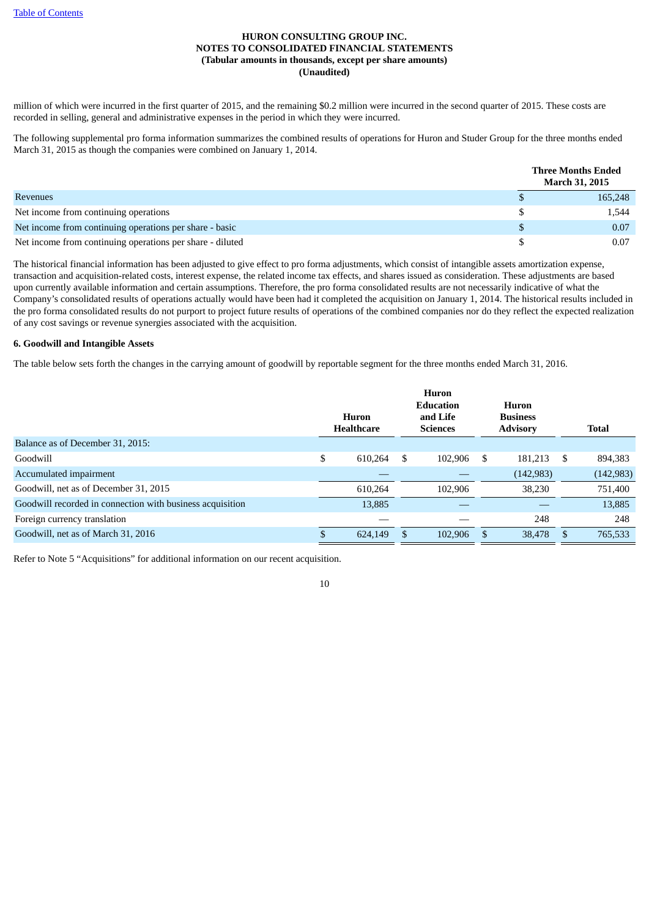million of which were incurred in the first quarter of 2015, and the remaining \$0.2 million were incurred in the second quarter of 2015. These costs are recorded in selling, general and administrative expenses in the period in which they were incurred.

The following supplemental pro forma information summarizes the combined results of operations for Huron and Studer Group for the three months ended March 31, 2015 as though the companies were combined on January 1, 2014.

|                                                           | <b>Three Months Ended</b><br><b>March 31, 2015</b> |
|-----------------------------------------------------------|----------------------------------------------------|
| <b>Revenues</b>                                           | 165,248                                            |
| Net income from continuing operations                     | 1.544                                              |
| Net income from continuing operations per share - basic   | 0.07                                               |
| Net income from continuing operations per share - diluted | 0.07                                               |

The historical financial information has been adjusted to give effect to pro forma adjustments, which consist of intangible assets amortization expense, transaction and acquisition-related costs, interest expense, the related income tax effects, and shares issued as consideration. These adjustments are based upon currently available information and certain assumptions. Therefore, the pro forma consolidated results are not necessarily indicative of what the Company's consolidated results of operations actually would have been had it completed the acquisition on January 1, 2014. The historical results included in the pro forma consolidated results do not purport to project future results of operations of the combined companies nor do they reflect the expected realization of any cost savings or revenue synergies associated with the acquisition.

## **6. Goodwill and Intangible Assets**

The table below sets forth the changes in the carrying amount of goodwill by reportable segment for the three months ended March 31, 2016.

|                                                           | <b>Huron</b><br><b>Healthcare</b> | Huron<br><b>Education</b><br>and Life<br><b>Sciences</b> |    | Huron<br><b>Business</b><br><b>Advisory</b> |    | <b>Total</b> |
|-----------------------------------------------------------|-----------------------------------|----------------------------------------------------------|----|---------------------------------------------|----|--------------|
| Balance as of December 31, 2015:                          |                                   |                                                          |    |                                             |    |              |
| Goodwill                                                  | \$<br>610,264                     | 102,906                                                  | -S | 181,213                                     | S  | 894,383      |
| Accumulated impairment                                    |                                   |                                                          |    | (142, 983)                                  |    | (142, 983)   |
| Goodwill, net as of December 31, 2015                     | 610.264                           | 102,906                                                  |    | 38,230                                      |    | 751,400      |
| Goodwill recorded in connection with business acquisition | 13,885                            |                                                          |    |                                             |    | 13,885       |
| Foreign currency translation                              |                                   |                                                          |    | 248                                         |    | 248          |
| Goodwill, net as of March 31, 2016                        | 624,149                           | 102.906                                                  |    | 38,478                                      | -S | 765,533      |

Refer to Note 5 "Acquisitions" for additional information on our recent acquisition.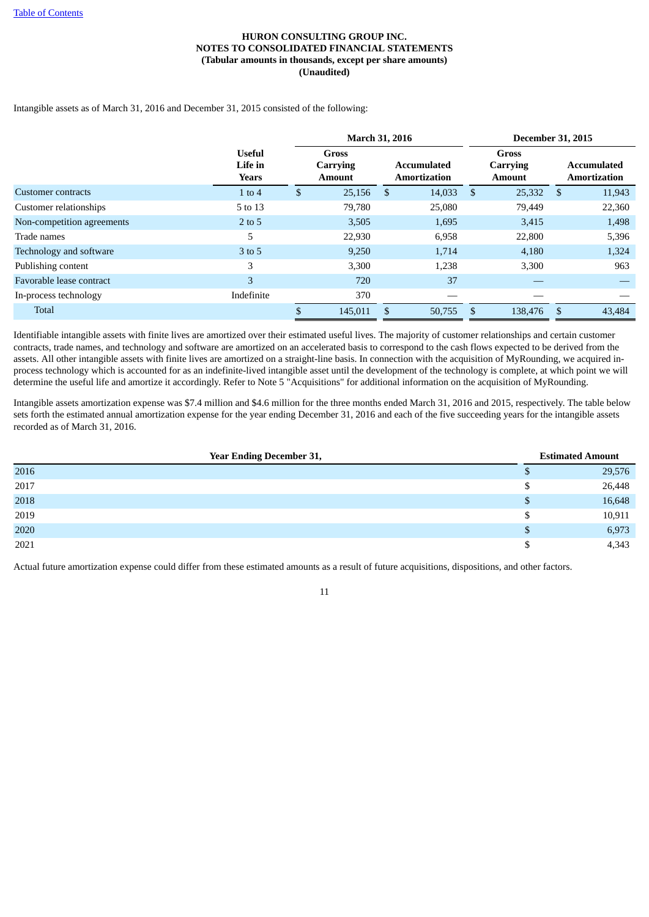Intangible assets as of March 31, 2016 and December 31, 2015 consisted of the following:

|                            |                                          | <b>March 31, 2016</b>                     |     |                                           |               | <b>December 31, 2015</b>           |      |                                           |
|----------------------------|------------------------------------------|-------------------------------------------|-----|-------------------------------------------|---------------|------------------------------------|------|-------------------------------------------|
|                            | <b>Useful</b><br>Life in<br><b>Years</b> | <b>Gross</b><br>Carrying<br><b>Amount</b> |     | <b>Accumulated</b><br><b>Amortization</b> |               | Gross<br>Carrying<br><b>Amount</b> |      | <b>Accumulated</b><br><b>Amortization</b> |
| Customer contracts         | $1$ to $4$                               | \$<br>25,156                              | \$. | 14,033                                    | <sup>\$</sup> | 25,332                             | - \$ | 11,943                                    |
| Customer relationships     | 5 to 13                                  | 79.780                                    |     | 25,080                                    |               | 79,449                             |      | 22,360                                    |
| Non-competition agreements | 2 to 5                                   | 3,505                                     |     | 1,695                                     |               | 3,415                              |      | 1,498                                     |
| Trade names                | 5                                        | 22,930                                    |     | 6,958                                     |               | 22,800                             |      | 5,396                                     |
| Technology and software    | 3 to 5                                   | 9,250                                     |     | 1,714                                     |               | 4,180                              |      | 1,324                                     |
| Publishing content         | 3                                        | 3,300                                     |     | 1,238                                     |               | 3,300                              |      | 963                                       |
| Favorable lease contract   | 3                                        | 720                                       |     | 37                                        |               |                                    |      |                                           |
| In-process technology      | Indefinite                               | 370                                       |     |                                           |               |                                    |      |                                           |
| <b>Total</b>               |                                          | \$<br>145,011                             | \$. | 50,755                                    | S.            | 138,476                            | - \$ | 43,484                                    |

Identifiable intangible assets with finite lives are amortized over their estimated useful lives. The majority of customer relationships and certain customer contracts, trade names, and technology and software are amortized on an accelerated basis to correspond to the cash flows expected to be derived from the assets. All other intangible assets with finite lives are amortized on a straight-line basis. In connection with the acquisition of MyRounding, we acquired inprocess technology which is accounted for as an indefinite-lived intangible asset until the development of the technology is complete, at which point we will determine the useful life and amortize it accordingly. Refer to Note 5 "Acquisitions" for additional information on the acquisition of MyRounding.

Intangible assets amortization expense was \$7.4 million and \$4.6 million for the three months ended March 31, 2016 and 2015, respectively. The table below sets forth the estimated annual amortization expense for the year ending December 31, 2016 and each of the five succeeding years for the intangible assets recorded as of March 31, 2016.

|      | <b>Year Ending December 31,</b> | <b>Estimated Amount</b> |
|------|---------------------------------|-------------------------|
| 2016 |                                 | 29,576                  |
| 2017 | \$                              | 26,448                  |
| 2018 | \$                              | 16,648                  |
| 2019 | S                               | 10,911                  |
| 2020 | \$                              | 6,973                   |
| 2021 | ۰                               | 4,343                   |

Actual future amortization expense could differ from these estimated amounts as a result of future acquisitions, dispositions, and other factors.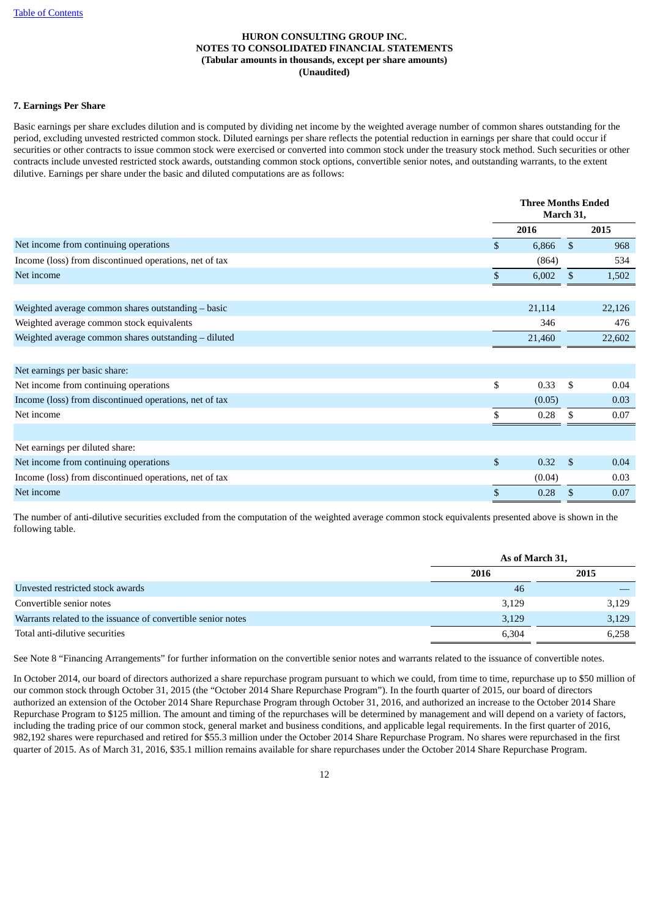## **7. Earnings Per Share**

Basic earnings per share excludes dilution and is computed by dividing net income by the weighted average number of common shares outstanding for the period, excluding unvested restricted common stock. Diluted earnings per share reflects the potential reduction in earnings per share that could occur if securities or other contracts to issue common stock were exercised or converted into common stock under the treasury stock method. Such securities or other contracts include unvested restricted stock awards, outstanding common stock options, convertible senior notes, and outstanding warrants, to the extent dilutive. Earnings per share under the basic and diluted computations are as follows:

|                                                        | <b>Three Months Ended</b><br>March 31, |                |        |
|--------------------------------------------------------|----------------------------------------|----------------|--------|
|                                                        | 2016                                   |                | 2015   |
| Net income from continuing operations                  | \$<br>6,866                            | $\mathfrak{s}$ | 968    |
| Income (loss) from discontinued operations, net of tax | (864)                                  |                | 534    |
| Net income                                             | \$<br>6,002                            | \$             | 1,502  |
|                                                        |                                        |                |        |
| Weighted average common shares outstanding - basic     | 21,114                                 |                | 22,126 |
| Weighted average common stock equivalents              | 346                                    |                | 476    |
| Weighted average common shares outstanding - diluted   | 21,460                                 |                | 22,602 |
|                                                        |                                        |                |        |
| Net earnings per basic share:                          |                                        |                |        |
| Net income from continuing operations                  | \$<br>0.33                             | \$             | 0.04   |
| Income (loss) from discontinued operations, net of tax | (0.05)                                 |                | 0.03   |
| Net income                                             | \$<br>0.28                             | \$             | 0.07   |
|                                                        |                                        |                |        |
| Net earnings per diluted share:                        |                                        |                |        |
| Net income from continuing operations                  | \$<br>0.32                             | \$             | 0.04   |
| Income (loss) from discontinued operations, net of tax | (0.04)                                 |                | 0.03   |
| Net income                                             | \$<br>0.28                             | \$             | 0.07   |

The number of anti-dilutive securities excluded from the computation of the weighted average common stock equivalents presented above is shown in the following table.

|                                                              | As of March 31, |       |  |  |
|--------------------------------------------------------------|-----------------|-------|--|--|
|                                                              | 2016            | 2015  |  |  |
| Unvested restricted stock awards                             | 46              |       |  |  |
| Convertible senior notes                                     | 3,129           | 3,129 |  |  |
| Warrants related to the issuance of convertible senior notes | 3,129           | 3,129 |  |  |
| Total anti-dilutive securities                               | 6,304           | 6.258 |  |  |

See Note 8 "Financing Arrangements" for further information on the convertible senior notes and warrants related to the issuance of convertible notes.

In October 2014, our board of directors authorized a share repurchase program pursuant to which we could, from time to time, repurchase up to \$50 million of our common stock through October 31, 2015 (the "October 2014 Share Repurchase Program"). In the fourth quarter of 2015, our board of directors authorized an extension of the October 2014 Share Repurchase Program through October 31, 2016, and authorized an increase to the October 2014 Share Repurchase Program to \$125 million. The amount and timing of the repurchases will be determined by management and will depend on a variety of factors, including the trading price of our common stock, general market and business conditions, and applicable legal requirements. In the first quarter of 2016, 982,192 shares were repurchased and retired for \$55.3 million under the October 2014 Share Repurchase Program. No shares were repurchased in the first quarter of 2015. As of March 31, 2016, \$35.1 million remains available for share repurchases under the October 2014 Share Repurchase Program.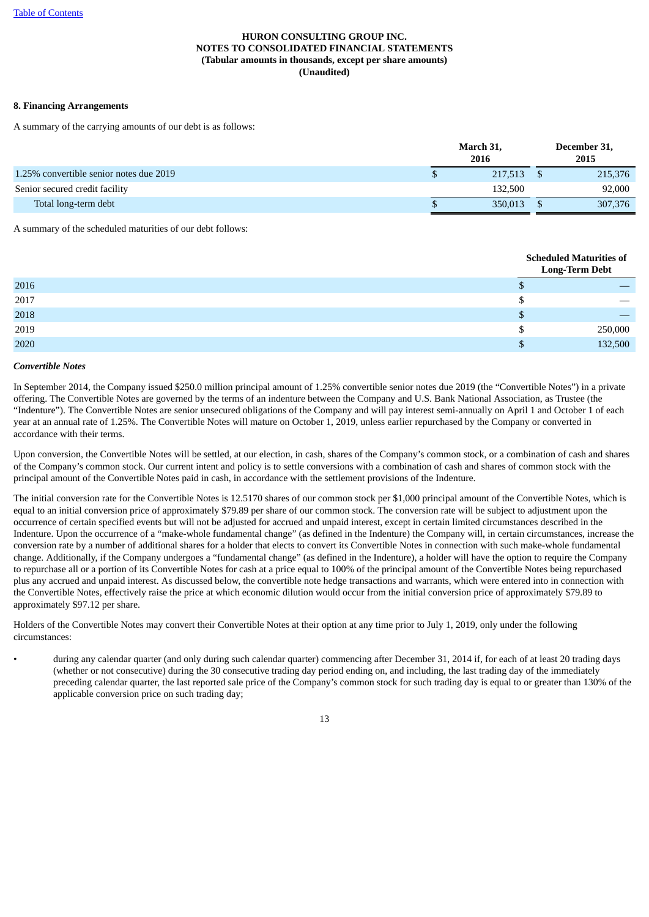## **8. Financing Arrangements**

A summary of the carrying amounts of our debt is as follows:

|                                         | March 31,<br>2016 | December 31,<br>2015 |
|-----------------------------------------|-------------------|----------------------|
| 1.25% convertible senior notes due 2019 | 217,513           | 215,376              |
| Senior secured credit facility          | 132,500           | 92,000               |
| Total long-term debt                    | 350,013           | 307,376              |

A summary of the scheduled maturities of our debt follows:

|      | <b>Scheduled Maturities of</b><br><b>Long-Term Debt</b> |
|------|---------------------------------------------------------|
| 2016 |                                                         |
| 2017 |                                                         |
| 2018 |                                                         |
| 2019 | 250,000                                                 |
| 2020 | 132,500                                                 |

## *Convertible Notes*

In September 2014, the Company issued \$250.0 million principal amount of 1.25% convertible senior notes due 2019 (the "Convertible Notes") in a private offering. The Convertible Notes are governed by the terms of an indenture between the Company and U.S. Bank National Association, as Trustee (the "Indenture"). The Convertible Notes are senior unsecured obligations of the Company and will pay interest semi-annually on April 1 and October 1 of each year at an annual rate of 1.25%. The Convertible Notes will mature on October 1, 2019, unless earlier repurchased by the Company or converted in accordance with their terms.

Upon conversion, the Convertible Notes will be settled, at our election, in cash, shares of the Company's common stock, or a combination of cash and shares of the Company's common stock. Our current intent and policy is to settle conversions with a combination of cash and shares of common stock with the principal amount of the Convertible Notes paid in cash, in accordance with the settlement provisions of the Indenture.

The initial conversion rate for the Convertible Notes is 12.5170 shares of our common stock per \$1,000 principal amount of the Convertible Notes, which is equal to an initial conversion price of approximately \$79.89 per share of our common stock. The conversion rate will be subject to adjustment upon the occurrence of certain specified events but will not be adjusted for accrued and unpaid interest, except in certain limited circumstances described in the Indenture. Upon the occurrence of a "make-whole fundamental change" (as defined in the Indenture) the Company will, in certain circumstances, increase the conversion rate by a number of additional shares for a holder that elects to convert its Convertible Notes in connection with such make-whole fundamental change. Additionally, if the Company undergoes a "fundamental change" (as defined in the Indenture), a holder will have the option to require the Company to repurchase all or a portion of its Convertible Notes for cash at a price equal to 100% of the principal amount of the Convertible Notes being repurchased plus any accrued and unpaid interest. As discussed below, the convertible note hedge transactions and warrants, which were entered into in connection with the Convertible Notes, effectively raise the price at which economic dilution would occur from the initial conversion price of approximately \$79.89 to approximately \$97.12 per share.

Holders of the Convertible Notes may convert their Convertible Notes at their option at any time prior to July 1, 2019, only under the following circumstances:

• during any calendar quarter (and only during such calendar quarter) commencing after December 31, 2014 if, for each of at least 20 trading days (whether or not consecutive) during the 30 consecutive trading day period ending on, and including, the last trading day of the immediately preceding calendar quarter, the last reported sale price of the Company's common stock for such trading day is equal to or greater than 130% of the applicable conversion price on such trading day;

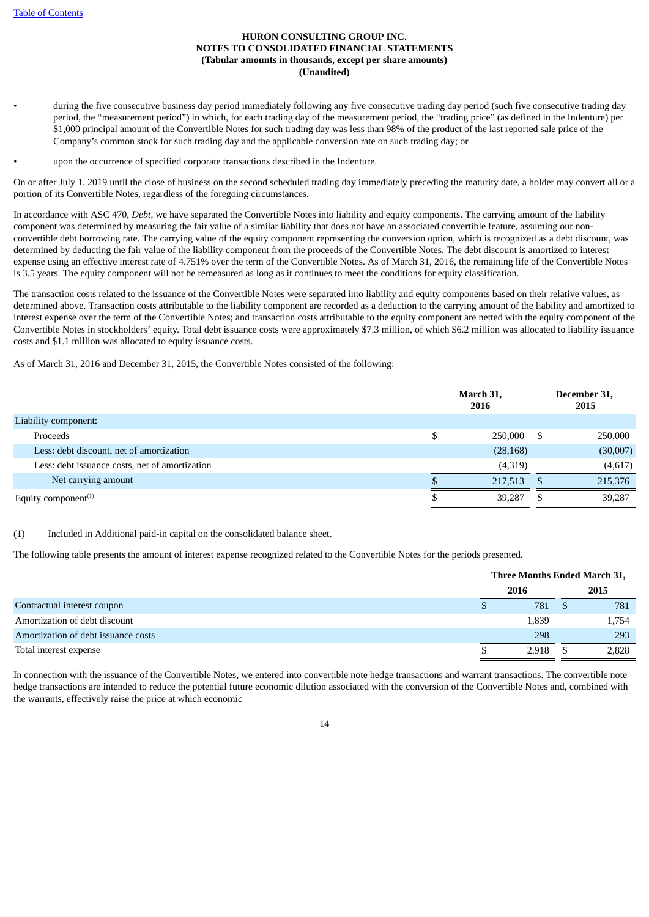• during the five consecutive business day period immediately following any five consecutive trading day period (such five consecutive trading day period, the "measurement period") in which, for each trading day of the measurement period, the "trading price" (as defined in the Indenture) per \$1,000 principal amount of the Convertible Notes for such trading day was less than 98% of the product of the last reported sale price of the Company's common stock for such trading day and the applicable conversion rate on such trading day; or

upon the occurrence of specified corporate transactions described in the Indenture.

On or after July 1, 2019 until the close of business on the second scheduled trading day immediately preceding the maturity date, a holder may convert all or a portion of its Convertible Notes, regardless of the foregoing circumstances.

In accordance with ASC 470, *Debt*, we have separated the Convertible Notes into liability and equity components. The carrying amount of the liability component was determined by measuring the fair value of a similar liability that does not have an associated convertible feature, assuming our nonconvertible debt borrowing rate. The carrying value of the equity component representing the conversion option, which is recognized as a debt discount, was determined by deducting the fair value of the liability component from the proceeds of the Convertible Notes. The debt discount is amortized to interest expense using an effective interest rate of 4.751% over the term of the Convertible Notes. As of March 31, 2016, the remaining life of the Convertible Notes is 3.5 years. The equity component will not be remeasured as long as it continues to meet the conditions for equity classification.

The transaction costs related to the issuance of the Convertible Notes were separated into liability and equity components based on their relative values, as determined above. Transaction costs attributable to the liability component are recorded as a deduction to the carrying amount of the liability and amortized to interest expense over the term of the Convertible Notes; and transaction costs attributable to the equity component are netted with the equity component of the Convertible Notes in stockholders' equity. Total debt issuance costs were approximately \$7.3 million, of which \$6.2 million was allocated to liability issuance costs and \$1.1 million was allocated to equity issuance costs.

As of March 31, 2016 and December 31, 2015, the Convertible Notes consisted of the following:

|                                                |   | March 31,<br>2016 |              | December 31,<br>2015 |
|------------------------------------------------|---|-------------------|--------------|----------------------|
| Liability component:                           |   |                   |              |                      |
| Proceeds                                       | ω | 250,000           | - S          | 250,000              |
| Less: debt discount, net of amortization       |   | (28, 168)         |              | (30,007)             |
| Less: debt issuance costs, net of amortization |   | (4,319)           |              | (4,617)              |
| Net carrying amount                            |   | 217,513           | <sup>S</sup> | 215,376              |
| Equity component <sup><math>(1)</math></sup>   |   | 39,287            |              | 39,287               |

(1) Included in Additional paid-in capital on the consolidated balance sheet.

The following table presents the amount of interest expense recognized related to the Convertible Notes for the periods presented.

|                                     | Three Months Ended March 31, |       |  |       |
|-------------------------------------|------------------------------|-------|--|-------|
|                                     |                              | 2016  |  | 2015  |
| Contractual interest coupon         | S                            | 781   |  | 781   |
| Amortization of debt discount       |                              | 1,839 |  | 1,754 |
| Amortization of debt issuance costs |                              | 298   |  | 293   |
| Total interest expense              |                              | 2.918 |  | 2,828 |

In connection with the issuance of the Convertible Notes, we entered into convertible note hedge transactions and warrant transactions. The convertible note hedge transactions are intended to reduce the potential future economic dilution associated with the conversion of the Convertible Notes and, combined with the warrants, effectively raise the price at which economic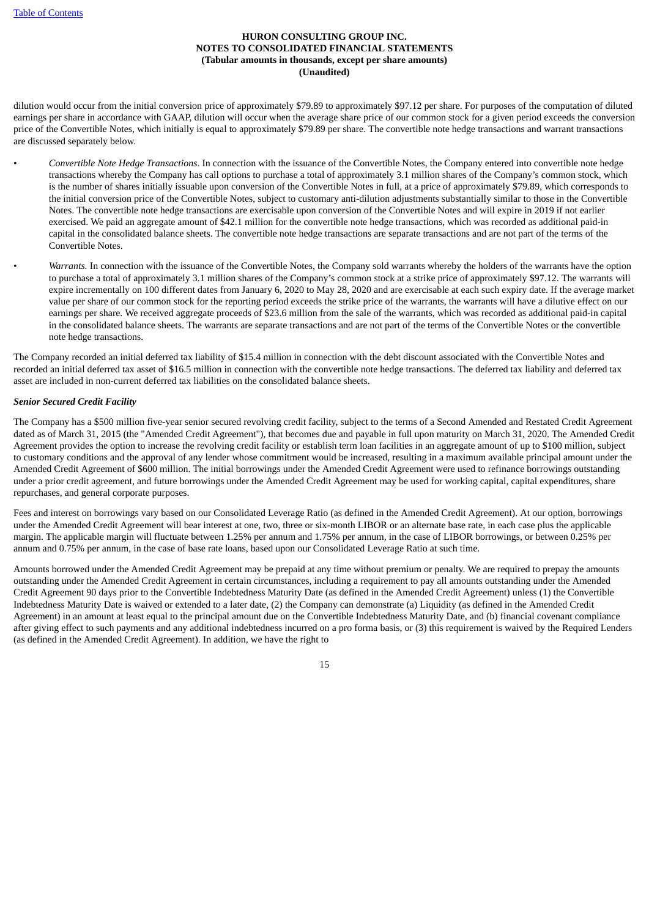dilution would occur from the initial conversion price of approximately \$79.89 to approximately \$97.12 per share. For purposes of the computation of diluted earnings per share in accordance with GAAP, dilution will occur when the average share price of our common stock for a given period exceeds the conversion price of the Convertible Notes, which initially is equal to approximately \$79.89 per share. The convertible note hedge transactions and warrant transactions are discussed separately below.

- *Convertible Note Hedge Transactions*. In connection with the issuance of the Convertible Notes, the Company entered into convertible note hedge transactions whereby the Company has call options to purchase a total of approximately 3.1 million shares of the Company's common stock, which is the number of shares initially issuable upon conversion of the Convertible Notes in full, at a price of approximately \$79.89, which corresponds to the initial conversion price of the Convertible Notes, subject to customary anti-dilution adjustments substantially similar to those in the Convertible Notes. The convertible note hedge transactions are exercisable upon conversion of the Convertible Notes and will expire in 2019 if not earlier exercised. We paid an aggregate amount of \$42.1 million for the convertible note hedge transactions, which was recorded as additional paid-in capital in the consolidated balance sheets. The convertible note hedge transactions are separate transactions and are not part of the terms of the Convertible Notes.
- *Warrants.* In connection with the issuance of the Convertible Notes, the Company sold warrants whereby the holders of the warrants have the option to purchase a total of approximately 3.1 million shares of the Company's common stock at a strike price of approximately \$97.12. The warrants will expire incrementally on 100 different dates from January 6, 2020 to May 28, 2020 and are exercisable at each such expiry date. If the average market value per share of our common stock for the reporting period exceeds the strike price of the warrants, the warrants will have a dilutive effect on our earnings per share. We received aggregate proceeds of \$23.6 million from the sale of the warrants, which was recorded as additional paid-in capital in the consolidated balance sheets. The warrants are separate transactions and are not part of the terms of the Convertible Notes or the convertible note hedge transactions.

The Company recorded an initial deferred tax liability of \$15.4 million in connection with the debt discount associated with the Convertible Notes and recorded an initial deferred tax asset of \$16.5 million in connection with the convertible note hedge transactions. The deferred tax liability and deferred tax asset are included in non-current deferred tax liabilities on the consolidated balance sheets.

## *Senior Secured Credit Facility*

The Company has a \$500 million five-year senior secured revolving credit facility, subject to the terms of a Second Amended and Restated Credit Agreement dated as of March 31, 2015 (the "Amended Credit Agreement"), that becomes due and payable in full upon maturity on March 31, 2020. The Amended Credit Agreement provides the option to increase the revolving credit facility or establish term loan facilities in an aggregate amount of up to \$100 million, subject to customary conditions and the approval of any lender whose commitment would be increased, resulting in a maximum available principal amount under the Amended Credit Agreement of \$600 million. The initial borrowings under the Amended Credit Agreement were used to refinance borrowings outstanding under a prior credit agreement, and future borrowings under the Amended Credit Agreement may be used for working capital, capital expenditures, share repurchases, and general corporate purposes.

Fees and interest on borrowings vary based on our Consolidated Leverage Ratio (as defined in the Amended Credit Agreement). At our option, borrowings under the Amended Credit Agreement will bear interest at one, two, three or six-month LIBOR or an alternate base rate, in each case plus the applicable margin. The applicable margin will fluctuate between 1.25% per annum and 1.75% per annum, in the case of LIBOR borrowings, or between 0.25% per annum and 0.75% per annum, in the case of base rate loans, based upon our Consolidated Leverage Ratio at such time.

Amounts borrowed under the Amended Credit Agreement may be prepaid at any time without premium or penalty. We are required to prepay the amounts outstanding under the Amended Credit Agreement in certain circumstances, including a requirement to pay all amounts outstanding under the Amended Credit Agreement 90 days prior to the Convertible Indebtedness Maturity Date (as defined in the Amended Credit Agreement) unless (1) the Convertible Indebtedness Maturity Date is waived or extended to a later date, (2) the Company can demonstrate (a) Liquidity (as defined in the Amended Credit Agreement) in an amount at least equal to the principal amount due on the Convertible Indebtedness Maturity Date, and (b) financial covenant compliance after giving effect to such payments and any additional indebtedness incurred on a pro forma basis, or (3) this requirement is waived by the Required Lenders (as defined in the Amended Credit Agreement). In addition, we have the right to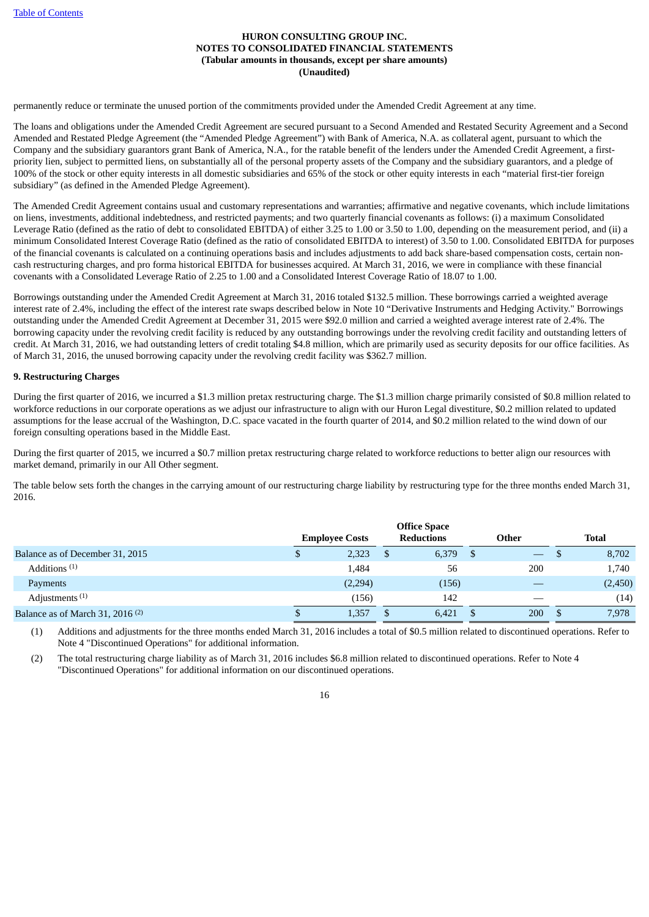permanently reduce or terminate the unused portion of the commitments provided under the Amended Credit Agreement at any time.

The loans and obligations under the Amended Credit Agreement are secured pursuant to a Second Amended and Restated Security Agreement and a Second Amended and Restated Pledge Agreement (the "Amended Pledge Agreement") with Bank of America, N.A. as collateral agent, pursuant to which the Company and the subsidiary guarantors grant Bank of America, N.A., for the ratable benefit of the lenders under the Amended Credit Agreement, a firstpriority lien, subject to permitted liens, on substantially all of the personal property assets of the Company and the subsidiary guarantors, and a pledge of 100% of the stock or other equity interests in all domestic subsidiaries and 65% of the stock or other equity interests in each "material first-tier foreign subsidiary" (as defined in the Amended Pledge Agreement).

The Amended Credit Agreement contains usual and customary representations and warranties; affirmative and negative covenants, which include limitations on liens, investments, additional indebtedness, and restricted payments; and two quarterly financial covenants as follows: (i) a maximum Consolidated Leverage Ratio (defined as the ratio of debt to consolidated EBITDA) of either 3.25 to 1.00 or 3.50 to 1.00, depending on the measurement period, and (ii) a minimum Consolidated Interest Coverage Ratio (defined as the ratio of consolidated EBITDA to interest) of 3.50 to 1.00. Consolidated EBITDA for purposes of the financial covenants is calculated on a continuing operations basis and includes adjustments to add back share-based compensation costs, certain noncash restructuring charges, and pro forma historical EBITDA for businesses acquired. At March 31, 2016, we were in compliance with these financial covenants with a Consolidated Leverage Ratio of 2.25 to 1.00 and a Consolidated Interest Coverage Ratio of 18.07 to 1.00.

Borrowings outstanding under the Amended Credit Agreement at March 31, 2016 totaled \$132.5 million. These borrowings carried a weighted average interest rate of 2.4%, including the effect of the interest rate swaps described below in Note 10 "Derivative Instruments and Hedging Activity." Borrowings outstanding under the Amended Credit Agreement at December 31, 2015 were \$92.0 million and carried a weighted average interest rate of 2.4%. The borrowing capacity under the revolving credit facility is reduced by any outstanding borrowings under the revolving credit facility and outstanding letters of credit. At March 31, 2016, we had outstanding letters of credit totaling \$4.8 million, which are primarily used as security deposits for our office facilities. As of March 31, 2016, the unused borrowing capacity under the revolving credit facility was \$362.7 million.

## **9. Restructuring Charges**

During the first quarter of 2016, we incurred a \$1.3 million pretax restructuring charge. The \$1.3 million charge primarily consisted of \$0.8 million related to workforce reductions in our corporate operations as we adjust our infrastructure to align with our Huron Legal divestiture, \$0.2 million related to updated assumptions for the lease accrual of the Washington, D.C. space vacated in the fourth quarter of 2014, and \$0.2 million related to the wind down of our foreign consulting operations based in the Middle East.

During the first quarter of 2015, we incurred a \$0.7 million pretax restructuring charge related to workforce reductions to better align our resources with market demand, primarily in our All Other segment.

The table below sets forth the changes in the carrying amount of our restructuring charge liability by restructuring type for the three months ended March 31, 2016.

|                                             |    | <b>Employee Costs</b> |   | <b>Office Space</b><br><b>Reductions</b> |               | Other                    |   | <b>Total</b> |
|---------------------------------------------|----|-----------------------|---|------------------------------------------|---------------|--------------------------|---|--------------|
| Balance as of December 31, 2015             | \$ | 2,323                 | S | 6,379                                    | <sup>\$</sup> | $\overline{\phantom{m}}$ | ා | 8,702        |
| Additions $(1)$                             |    | 1,484                 |   | 56                                       |               | 200                      |   | 1,740        |
| Payments                                    |    | (2,294)               |   | (156)                                    |               |                          |   | (2,450)      |
| Adjustments <sup>(1)</sup>                  |    | (156)                 |   | 142                                      |               |                          |   | (14)         |
| Balance as of March 31, 2016 <sup>(2)</sup> | Φ  | 1,357                 | S | 6,421                                    |               | 200                      |   | 7,978        |

(1) Additions and adjustments for the three months ended March 31, 2016 includes a total of \$0.5 million related to discontinued operations. Refer to Note 4 "Discontinued Operations" for additional information.

(2) The total restructuring charge liability as of March 31, 2016 includes \$6.8 million related to discontinued operations. Refer to Note 4 "Discontinued Operations" for additional information on our discontinued operations.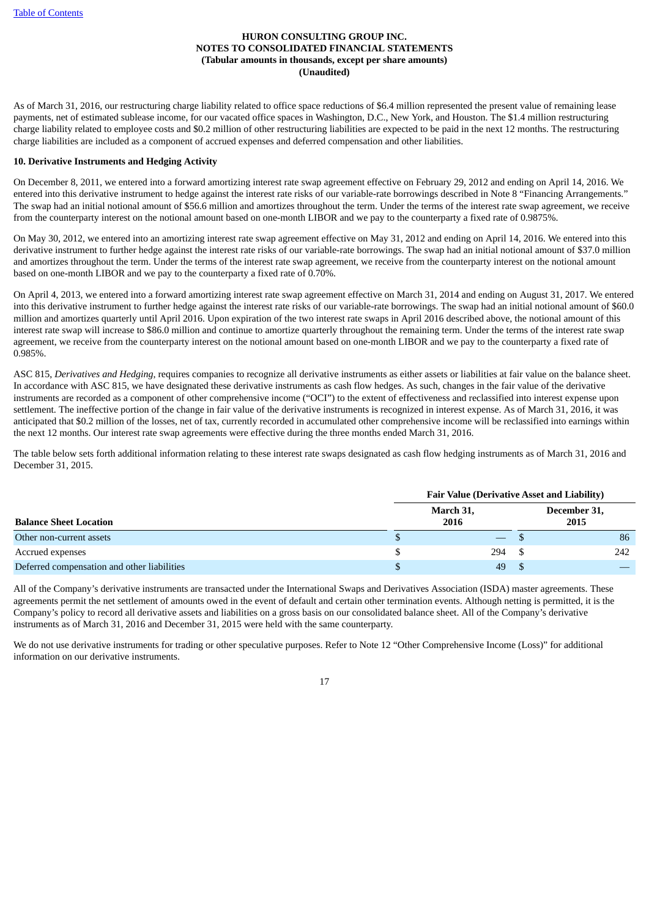As of March 31, 2016, our restructuring charge liability related to office space reductions of \$6.4 million represented the present value of remaining lease payments, net of estimated sublease income, for our vacated office spaces in Washington, D.C., New York, and Houston. The \$1.4 million restructuring charge liability related to employee costs and \$0.2 million of other restructuring liabilities are expected to be paid in the next 12 months. The restructuring charge liabilities are included as a component of accrued expenses and deferred compensation and other liabilities.

#### **10. Derivative Instruments and Hedging Activity**

On December 8, 2011, we entered into a forward amortizing interest rate swap agreement effective on February 29, 2012 and ending on April 14, 2016. We entered into this derivative instrument to hedge against the interest rate risks of our variable-rate borrowings described in Note 8 "Financing Arrangements." The swap had an initial notional amount of \$56.6 million and amortizes throughout the term. Under the terms of the interest rate swap agreement, we receive from the counterparty interest on the notional amount based on one-month LIBOR and we pay to the counterparty a fixed rate of 0.9875%.

On May 30, 2012, we entered into an amortizing interest rate swap agreement effective on May 31, 2012 and ending on April 14, 2016. We entered into this derivative instrument to further hedge against the interest rate risks of our variable-rate borrowings. The swap had an initial notional amount of \$37.0 million and amortizes throughout the term. Under the terms of the interest rate swap agreement, we receive from the counterparty interest on the notional amount based on one-month LIBOR and we pay to the counterparty a fixed rate of 0.70%.

On April 4, 2013, we entered into a forward amortizing interest rate swap agreement effective on March 31, 2014 and ending on August 31, 2017. We entered into this derivative instrument to further hedge against the interest rate risks of our variable-rate borrowings. The swap had an initial notional amount of \$60.0 million and amortizes quarterly until April 2016. Upon expiration of the two interest rate swaps in April 2016 described above, the notional amount of this interest rate swap will increase to \$86.0 million and continue to amortize quarterly throughout the remaining term. Under the terms of the interest rate swap agreement, we receive from the counterparty interest on the notional amount based on one-month LIBOR and we pay to the counterparty a fixed rate of 0.985%.

ASC 815, *Derivatives and Hedging*, requires companies to recognize all derivative instruments as either assets or liabilities at fair value on the balance sheet. In accordance with ASC 815, we have designated these derivative instruments as cash flow hedges. As such, changes in the fair value of the derivative instruments are recorded as a component of other comprehensive income ("OCI") to the extent of effectiveness and reclassified into interest expense upon settlement. The ineffective portion of the change in fair value of the derivative instruments is recognized in interest expense. As of March 31, 2016, it was anticipated that \$0.2 million of the losses, net of tax, currently recorded in accumulated other comprehensive income will be reclassified into earnings within the next 12 months. Our interest rate swap agreements were effective during the three months ended March 31, 2016.

The table below sets forth additional information relating to these interest rate swaps designated as cash flow hedging instruments as of March 31, 2016 and December 31, 2015.

|                                             | <b>Fair Value (Derivative Asset and Liability)</b> |  |                      |  |  |  |  |  |  |
|---------------------------------------------|----------------------------------------------------|--|----------------------|--|--|--|--|--|--|
| <b>Balance Sheet Location</b>               | March 31,<br>2016                                  |  | December 31,<br>2015 |  |  |  |  |  |  |
| Other non-current assets                    | $-5$                                               |  | 86                   |  |  |  |  |  |  |
| Accrued expenses                            | 294                                                |  | 242                  |  |  |  |  |  |  |
| Deferred compensation and other liabilities | 49                                                 |  |                      |  |  |  |  |  |  |

All of the Company's derivative instruments are transacted under the International Swaps and Derivatives Association (ISDA) master agreements. These agreements permit the net settlement of amounts owed in the event of default and certain other termination events. Although netting is permitted, it is the Company's policy to record all derivative assets and liabilities on a gross basis on our consolidated balance sheet. All of the Company's derivative instruments as of March 31, 2016 and December 31, 2015 were held with the same counterparty.

We do not use derivative instruments for trading or other speculative purposes. Refer to Note 12 "Other Comprehensive Income (Loss)" for additional information on our derivative instruments.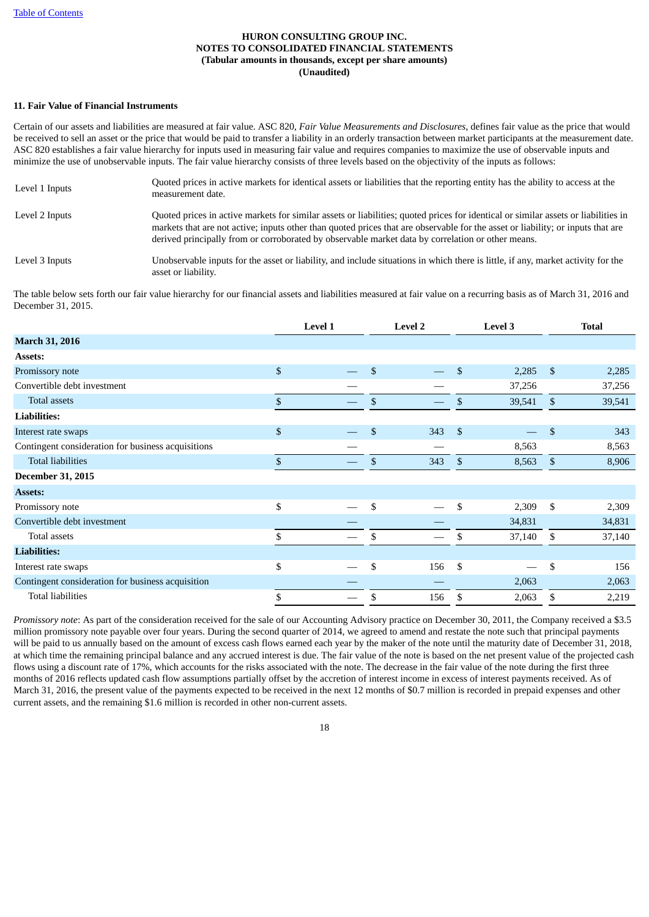## **11. Fair Value of Financial Instruments**

Certain of our assets and liabilities are measured at fair value. ASC 820, *Fair Value Measurements and Disclosures*, defines fair value as the price that would be received to sell an asset or the price that would be paid to transfer a liability in an orderly transaction between market participants at the measurement date. ASC 820 establishes a fair value hierarchy for inputs used in measuring fair value and requires companies to maximize the use of observable inputs and minimize the use of unobservable inputs. The fair value hierarchy consists of three levels based on the objectivity of the inputs as follows:

| Level 1 Inputs           | Quoted prices in active markets for identical assets or liabilities that the reporting entity has the ability to access at the<br>measurement date.                                                                                                                                                                                                                        |
|--------------------------|----------------------------------------------------------------------------------------------------------------------------------------------------------------------------------------------------------------------------------------------------------------------------------------------------------------------------------------------------------------------------|
| Level 2 Inputs           | Quoted prices in active markets for similar assets or liabilities; quoted prices for identical or similar assets or liabilities in<br>markets that are not active; inputs other than quoted prices that are observable for the asset or liability; or inputs that are<br>derived principally from or corroborated by observable market data by correlation or other means. |
| $I_{\text{eval}}$ Tenute | Unobcorreble inputs for the asset or lightlity, and include cityations in which there is little. if our mortest estimity for the                                                                                                                                                                                                                                           |

Level 3 Inputs The Unobservable inputs for the asset or liability, and include situations in which there is little, if any, market activity for the asset or liability.

The table below sets forth our fair value hierarchy for our financial assets and liabilities measured at fair value on a recurring basis as of March 31, 2016 and December 31, 2015.

|                                                    | <b>Level 1</b> | <b>Level 2</b> |                | Level 3 |              | <b>Total</b> |
|----------------------------------------------------|----------------|----------------|----------------|---------|--------------|--------------|
| <b>March 31, 2016</b>                              |                |                |                |         |              |              |
| Assets:                                            |                |                |                |         |              |              |
| Promissory note                                    | \$             | \$             | $\mathfrak{L}$ | 2,285   | $\mathbb{S}$ | 2,285        |
| Convertible debt investment                        |                |                |                | 37,256  |              | 37,256       |
| Total assets                                       | \$             |                | \$             | 39,541  | \$           | 39,541       |
| <b>Liabilities:</b>                                |                |                |                |         |              |              |
| Interest rate swaps                                | \$             | \$<br>343      | \$             |         | \$           | 343          |
| Contingent consideration for business acquisitions |                |                |                | 8,563   |              | 8,563        |
| <b>Total liabilities</b>                           | \$             | \$<br>343      | $\mathfrak{S}$ | 8,563   | \$           | 8,906        |
| <b>December 31, 2015</b>                           |                |                |                |         |              |              |
| <b>Assets:</b>                                     |                |                |                |         |              |              |
| Promissory note                                    | \$             | \$             | <sup>\$</sup>  | 2,309   | \$           | 2,309        |
| Convertible debt investment                        |                |                |                | 34,831  |              | 34,831       |
| Total assets                                       | \$             | \$             | \$             | 37,140  | \$           | 37,140       |
| <b>Liabilities:</b>                                |                |                |                |         |              |              |
| Interest rate swaps                                | \$             | \$<br>156      | $\mathfrak{S}$ |         | \$           | 156          |
| Contingent consideration for business acquisition  |                |                |                | 2,063   |              | 2,063        |
| <b>Total liabilities</b>                           | \$             | \$<br>156      | \$             | 2,063   | \$           | 2,219        |

*Promissory note*: As part of the consideration received for the sale of our Accounting Advisory practice on December 30, 2011, the Company received a \$3.5 million promissory note payable over four years. During the second quarter of 2014, we agreed to amend and restate the note such that principal payments will be paid to us annually based on the amount of excess cash flows earned each year by the maker of the note until the maturity date of December 31, 2018, at which time the remaining principal balance and any accrued interest is due. The fair value of the note is based on the net present value of the projected cash flows using a discount rate of 17%, which accounts for the risks associated with the note. The decrease in the fair value of the note during the first three months of 2016 reflects updated cash flow assumptions partially offset by the accretion of interest income in excess of interest payments received. As of March 31, 2016, the present value of the payments expected to be received in the next 12 months of \$0.7 million is recorded in prepaid expenses and other current assets, and the remaining \$1.6 million is recorded in other non-current assets.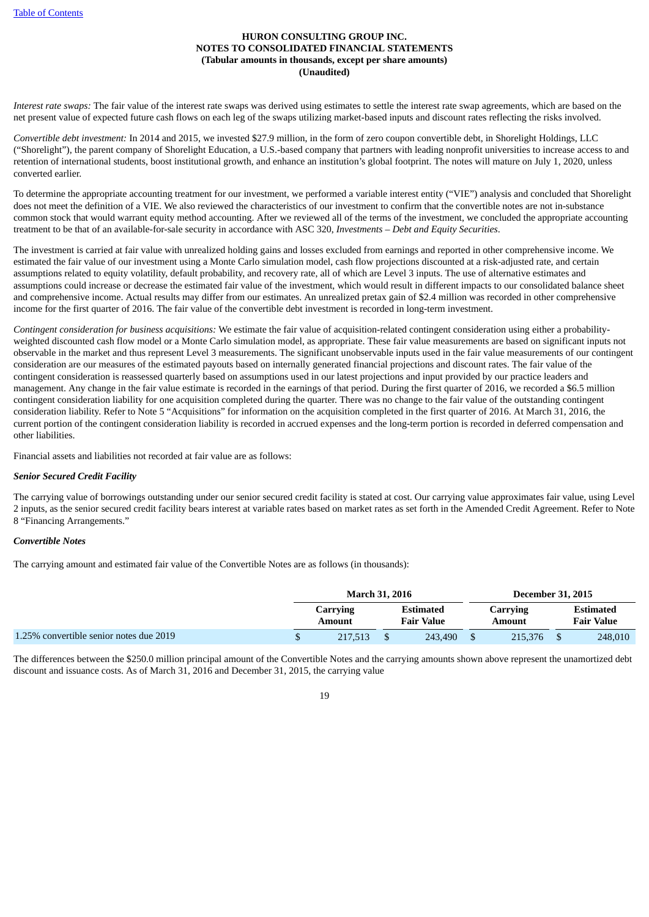*Interest rate swaps:* The fair value of the interest rate swaps was derived using estimates to settle the interest rate swap agreements, which are based on the net present value of expected future cash flows on each leg of the swaps utilizing market-based inputs and discount rates reflecting the risks involved.

*Convertible debt investment:* In 2014 and 2015, we invested \$27.9 million, in the form of zero coupon convertible debt, in Shorelight Holdings, LLC ("Shorelight"), the parent company of Shorelight Education, a U.S.-based company that partners with leading nonprofit universities to increase access to and retention of international students, boost institutional growth, and enhance an institution's global footprint. The notes will mature on July 1, 2020, unless converted earlier.

To determine the appropriate accounting treatment for our investment, we performed a variable interest entity ("VIE") analysis and concluded that Shorelight does not meet the definition of a VIE. We also reviewed the characteristics of our investment to confirm that the convertible notes are not in-substance common stock that would warrant equity method accounting. After we reviewed all of the terms of the investment, we concluded the appropriate accounting treatment to be that of an available-for-sale security in accordance with ASC 320, *Investments – Debt and Equity Securities*.

The investment is carried at fair value with unrealized holding gains and losses excluded from earnings and reported in other comprehensive income. We estimated the fair value of our investment using a Monte Carlo simulation model, cash flow projections discounted at a risk-adjusted rate, and certain assumptions related to equity volatility, default probability, and recovery rate, all of which are Level 3 inputs. The use of alternative estimates and assumptions could increase or decrease the estimated fair value of the investment, which would result in different impacts to our consolidated balance sheet and comprehensive income. Actual results may differ from our estimates. An unrealized pretax gain of \$2.4 million was recorded in other comprehensive income for the first quarter of 2016. The fair value of the convertible debt investment is recorded in long-term investment.

*Contingent consideration for business acquisitions:* We estimate the fair value of acquisition-related contingent consideration using either a probabilityweighted discounted cash flow model or a Monte Carlo simulation model, as appropriate. These fair value measurements are based on significant inputs not observable in the market and thus represent Level 3 measurements. The significant unobservable inputs used in the fair value measurements of our contingent consideration are our measures of the estimated payouts based on internally generated financial projections and discount rates. The fair value of the contingent consideration is reassessed quarterly based on assumptions used in our latest projections and input provided by our practice leaders and management. Any change in the fair value estimate is recorded in the earnings of that period. During the first quarter of 2016, we recorded a \$6.5 million contingent consideration liability for one acquisition completed during the quarter. There was no change to the fair value of the outstanding contingent consideration liability. Refer to Note 5 "Acquisitions" for information on the acquisition completed in the first quarter of 2016. At March 31, 2016, the current portion of the contingent consideration liability is recorded in accrued expenses and the long-term portion is recorded in deferred compensation and other liabilities.

Financial assets and liabilities not recorded at fair value are as follows:

## *Senior Secured Credit Facility*

The carrying value of borrowings outstanding under our senior secured credit facility is stated at cost. Our carrying value approximates fair value, using Level 2 inputs, as the senior secured credit facility bears interest at variable rates based on market rates as set forth in the Amended Credit Agreement. Refer to Note 8 "Financing Arrangements."

## *Convertible Notes*

The carrying amount and estimated fair value of the Convertible Notes are as follows (in thousands):

|                                         | <b>March 31, 2016</b> |                                | <b>December 31, 2015</b>                             |  |         |  |
|-----------------------------------------|-----------------------|--------------------------------|------------------------------------------------------|--|---------|--|
|                                         | Carrying<br>Amount    | <b>Estimated</b><br>Fair Value | Estimated<br>Carrying<br><b>Fair Value</b><br>Amount |  |         |  |
| 1.25% convertible senior notes due 2019 | 217,513               | 243,490                        | 215,376                                              |  | 248,010 |  |

The differences between the \$250.0 million principal amount of the Convertible Notes and the carrying amounts shown above represent the unamortized debt discount and issuance costs. As of March 31, 2016 and December 31, 2015, the carrying value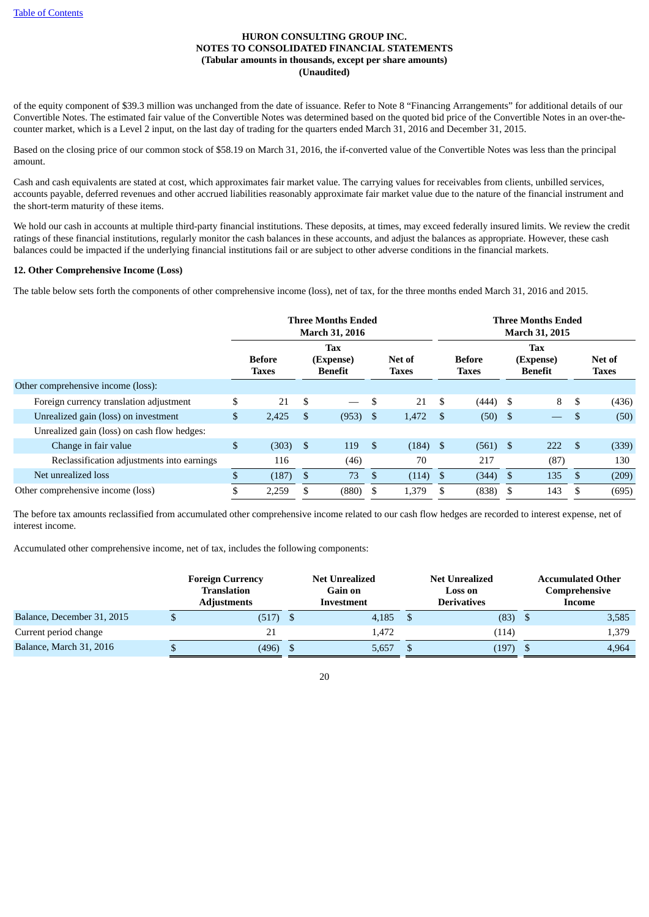of the equity component of \$39.3 million was unchanged from the date of issuance. Refer to Note 8 "Financing Arrangements" for additional details of our Convertible Notes. The estimated fair value of the Convertible Notes was determined based on the quoted bid price of the Convertible Notes in an over-thecounter market, which is a Level 2 input, on the last day of trading for the quarters ended March 31, 2016 and December 31, 2015.

Based on the closing price of our common stock of \$58.19 on March 31, 2016, the if-converted value of the Convertible Notes was less than the principal amount.

Cash and cash equivalents are stated at cost, which approximates fair market value. The carrying values for receivables from clients, unbilled services, accounts payable, deferred revenues and other accrued liabilities reasonably approximate fair market value due to the nature of the financial instrument and the short-term maturity of these items.

We hold our cash in accounts at multiple third-party financial institutions. These deposits, at times, may exceed federally insured limits. We review the credit ratings of these financial institutions, regularly monitor the cash balances in these accounts, and adjust the balances as appropriate. However, these cash balances could be impacted if the underlying financial institutions fail or are subject to other adverse conditions in the financial markets.

## **12. Other Comprehensive Income (Loss)**

The table below sets forth the components of other comprehensive income (loss), net of tax, for the three months ended March 31, 2016 and 2015.

|                                             | <b>Three Months Ended</b><br><b>March 31, 2016</b> |                                                                                               |     |       |                                             |            | <b>Three Months Ended</b><br>March 31, 2015 |                      |      |                        |               |       |
|---------------------------------------------|----------------------------------------------------|-----------------------------------------------------------------------------------------------|-----|-------|---------------------------------------------|------------|---------------------------------------------|----------------------|------|------------------------|---------------|-------|
|                                             |                                                    | <b>Tax</b><br><b>Before</b><br>Net of<br>(Expense)<br>Benefit<br><b>Taxes</b><br><b>Taxes</b> |     |       | <b>Tax</b><br><b>Before</b><br><b>Taxes</b> |            |                                             | (Expense)<br>Benefit |      | Net of<br><b>Taxes</b> |               |       |
| Other comprehensive income (loss):          |                                                    |                                                                                               |     |       |                                             |            |                                             |                      |      |                        |               |       |
| Foreign currency translation adjustment     | \$                                                 | 21                                                                                            | \$  |       | \$                                          | 21         | \$                                          | $(444)$ \$           |      | 8                      | \$            | (436) |
| Unrealized gain (loss) on investment        | \$                                                 | 2,425                                                                                         | \$. | (953) | -\$                                         | 1,472      | \$                                          | (50)                 | - \$ |                        | \$            | (50)  |
| Unrealized gain (loss) on cash flow hedges: |                                                    |                                                                                               |     |       |                                             |            |                                             |                      |      |                        |               |       |
| Change in fair value                        | \$                                                 | (303)                                                                                         | \$  | 119   | -S                                          | $(184)$ \$ |                                             | $(561)$ \$           |      | 222                    | - \$          | (339) |
| Reclassification adjustments into earnings  |                                                    | 116                                                                                           |     | (46)  |                                             | 70         |                                             | 217                  |      | (87)                   |               | 130   |
| Net unrealized loss                         | $\mathfrak{L}$                                     | (187)                                                                                         | \$  | 73    | \$                                          | (114)      | - \$                                        | (344)                | - \$ | 135                    | <sup>\$</sup> | (209) |
| Other comprehensive income (loss)           | \$.                                                | 2,259                                                                                         | \$  | (880) | \$                                          | 1,379      | S                                           | (838)                | -S   | 143                    | \$.           | (695) |

The before tax amounts reclassified from accumulated other comprehensive income related to our cash flow hedges are recorded to interest expense, net of interest income.

Accumulated other comprehensive income, net of tax, includes the following components:

|                            |  | <b>Foreign Currency</b><br><b>Translation</b><br><b>Adjustments</b> | <b>Net Unrealized</b><br><b>Gain on</b><br>Investment |       | <b>Net Unrealized</b><br>Loss on<br><b>Derivatives</b> | <b>Accumulated Other</b><br>Comprehensive<br>Income |
|----------------------------|--|---------------------------------------------------------------------|-------------------------------------------------------|-------|--------------------------------------------------------|-----------------------------------------------------|
| Balance, December 31, 2015 |  | $(517)$ \$                                                          |                                                       | 4,185 | (83)                                                   | 3,585                                               |
| Current period change      |  | 21                                                                  |                                                       | 1.472 | (114)                                                  | 1,379                                               |
| Balance, March 31, 2016    |  | (496)                                                               |                                                       | 5,657 | (197)                                                  | 4.964                                               |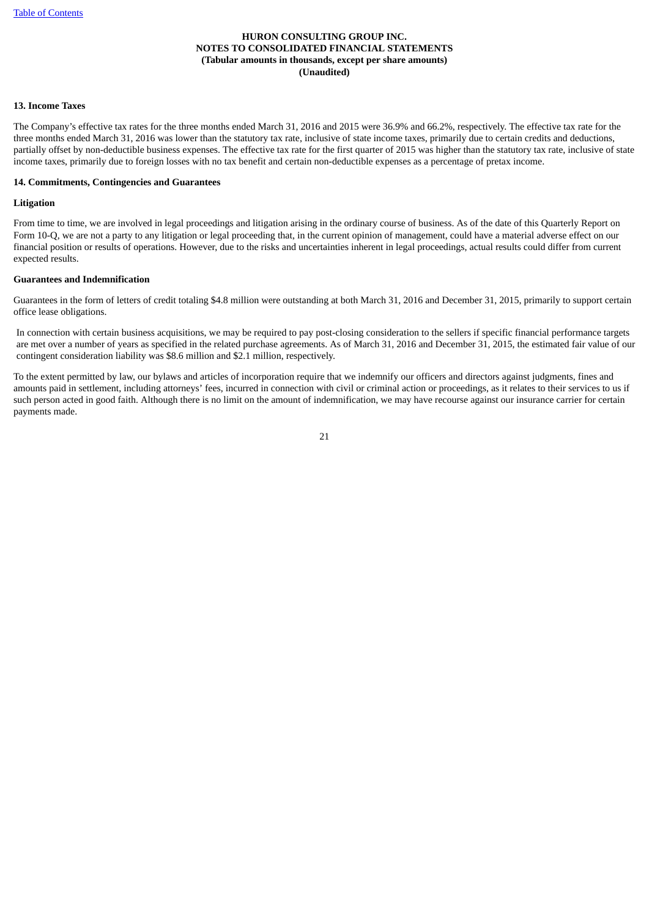#### **13. Income Taxes**

The Company's effective tax rates for the three months ended March 31, 2016 and 2015 were 36.9% and 66.2%, respectively. The effective tax rate for the three months ended March 31, 2016 was lower than the statutory tax rate, inclusive of state income taxes, primarily due to certain credits and deductions, partially offset by non-deductible business expenses. The effective tax rate for the first quarter of 2015 was higher than the statutory tax rate, inclusive of state income taxes, primarily due to foreign losses with no tax benefit and certain non-deductible expenses as a percentage of pretax income.

#### **14. Commitments, Contingencies and Guarantees**

#### **Litigation**

From time to time, we are involved in legal proceedings and litigation arising in the ordinary course of business. As of the date of this Quarterly Report on Form 10-Q, we are not a party to any litigation or legal proceeding that, in the current opinion of management, could have a material adverse effect on our financial position or results of operations. However, due to the risks and uncertainties inherent in legal proceedings, actual results could differ from current expected results.

## **Guarantees and Indemnification**

Guarantees in the form of letters of credit totaling \$4.8 million were outstanding at both March 31, 2016 and December 31, 2015, primarily to support certain office lease obligations.

In connection with certain business acquisitions, we may be required to pay post-closing consideration to the sellers if specific financial performance targets are met over a number of years as specified in the related purchase agreements. As of March 31, 2016 and December 31, 2015, the estimated fair value of our contingent consideration liability was \$8.6 million and \$2.1 million, respectively.

To the extent permitted by law, our bylaws and articles of incorporation require that we indemnify our officers and directors against judgments, fines and amounts paid in settlement, including attorneys' fees, incurred in connection with civil or criminal action or proceedings, as it relates to their services to us if such person acted in good faith. Although there is no limit on the amount of indemnification, we may have recourse against our insurance carrier for certain payments made.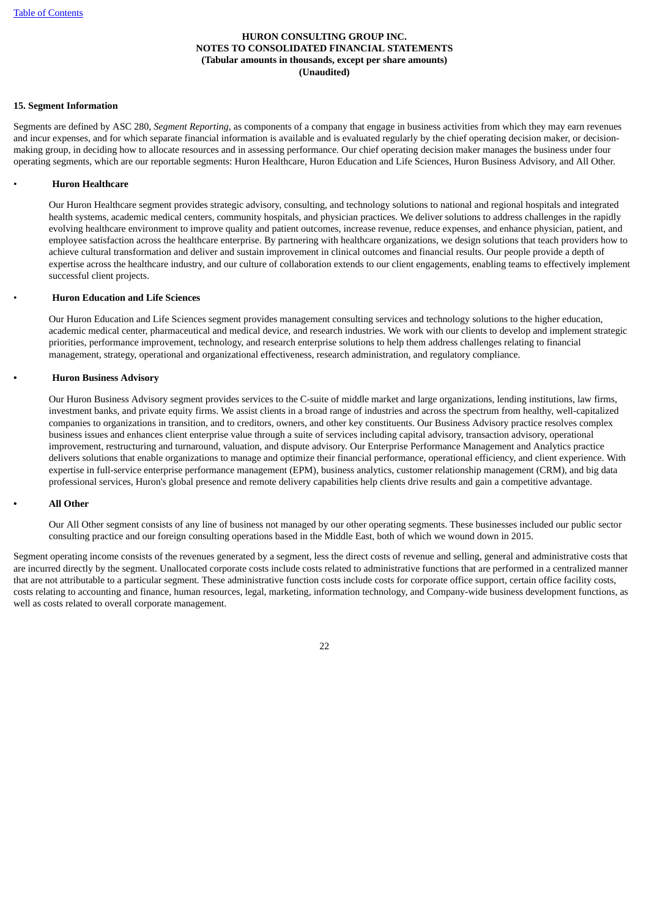## **15. Segment Information**

Segments are defined by ASC 280, *Segment Reporting*, as components of a company that engage in business activities from which they may earn revenues and incur expenses, and for which separate financial information is available and is evaluated regularly by the chief operating decision maker, or decisionmaking group, in deciding how to allocate resources and in assessing performance. Our chief operating decision maker manages the business under four operating segments, which are our reportable segments: Huron Healthcare, Huron Education and Life Sciences, Huron Business Advisory, and All Other.

#### • **Huron Healthcare**

Our Huron Healthcare segment provides strategic advisory, consulting, and technology solutions to national and regional hospitals and integrated health systems, academic medical centers, community hospitals, and physician practices. We deliver solutions to address challenges in the rapidly evolving healthcare environment to improve quality and patient outcomes, increase revenue, reduce expenses, and enhance physician, patient, and employee satisfaction across the healthcare enterprise. By partnering with healthcare organizations, we design solutions that teach providers how to achieve cultural transformation and deliver and sustain improvement in clinical outcomes and financial results. Our people provide a depth of expertise across the healthcare industry, and our culture of collaboration extends to our client engagements, enabling teams to effectively implement successful client projects.

#### • **Huron Education and Life Sciences**

Our Huron Education and Life Sciences segment provides management consulting services and technology solutions to the higher education, academic medical center, pharmaceutical and medical device, and research industries. We work with our clients to develop and implement strategic priorities, performance improvement, technology, and research enterprise solutions to help them address challenges relating to financial management, strategy, operational and organizational effectiveness, research administration, and regulatory compliance.

#### **• Huron Business Advisory**

Our Huron Business Advisory segment provides services to the C-suite of middle market and large organizations, lending institutions, law firms, investment banks, and private equity firms. We assist clients in a broad range of industries and across the spectrum from healthy, well-capitalized companies to organizations in transition, and to creditors, owners, and other key constituents. Our Business Advisory practice resolves complex business issues and enhances client enterprise value through a suite of services including capital advisory, transaction advisory, operational improvement, restructuring and turnaround, valuation, and dispute advisory. Our Enterprise Performance Management and Analytics practice delivers solutions that enable organizations to manage and optimize their financial performance, operational efficiency, and client experience. With expertise in full-service enterprise performance management (EPM), business analytics, customer relationship management (CRM), and big data professional services, Huron's global presence and remote delivery capabilities help clients drive results and gain a competitive advantage.

#### **• All Other**

Our All Other segment consists of any line of business not managed by our other operating segments. These businesses included our public sector consulting practice and our foreign consulting operations based in the Middle East, both of which we wound down in 2015.

Segment operating income consists of the revenues generated by a segment, less the direct costs of revenue and selling, general and administrative costs that are incurred directly by the segment. Unallocated corporate costs include costs related to administrative functions that are performed in a centralized manner that are not attributable to a particular segment. These administrative function costs include costs for corporate office support, certain office facility costs, costs relating to accounting and finance, human resources, legal, marketing, information technology, and Company-wide business development functions, as well as costs related to overall corporate management.

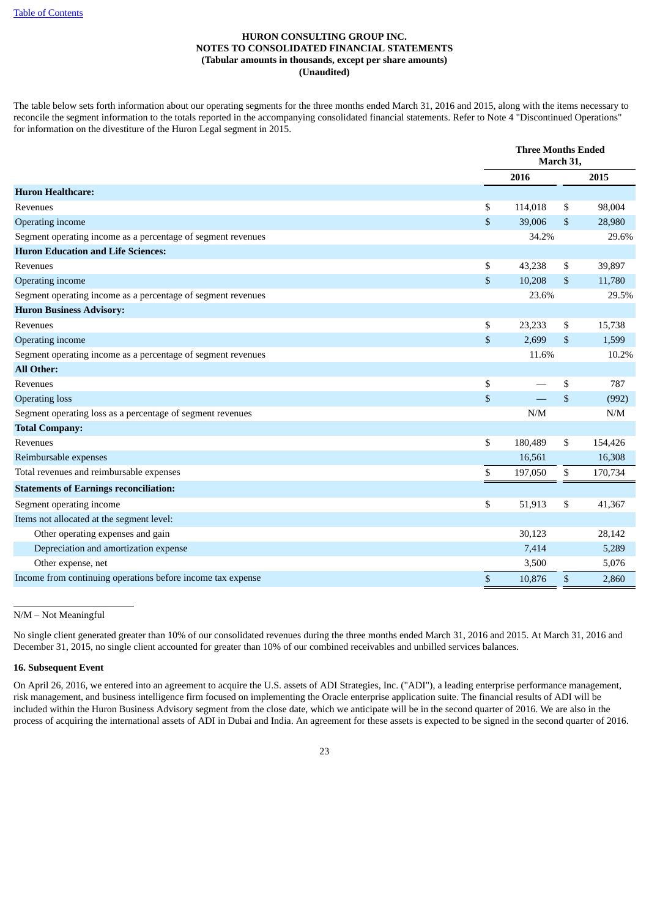The table below sets forth information about our operating segments for the three months ended March 31, 2016 and 2015, along with the items necessary to reconcile the segment information to the totals reported in the accompanying consolidated financial statements. Refer to Note 4 "Discontinued Operations" for information on the divestiture of the Huron Legal segment in 2015.

|                                                              | <b>Three Months Ended</b> | March 31,      |         |
|--------------------------------------------------------------|---------------------------|----------------|---------|
|                                                              | 2016                      |                | 2015    |
| <b>Huron Healthcare:</b>                                     |                           |                |         |
| Revenues                                                     | \$<br>114,018             | \$             | 98,004  |
| Operating income                                             | \$<br>39,006              | $\mathfrak{S}$ | 28,980  |
| Segment operating income as a percentage of segment revenues | 34.2%                     |                | 29.6%   |
| <b>Huron Education and Life Sciences:</b>                    |                           |                |         |
| Revenues                                                     | \$<br>43,238              | \$             | 39,897  |
| Operating income                                             | \$<br>10,208              | $\mathfrak{S}$ | 11,780  |
| Segment operating income as a percentage of segment revenues | 23.6%                     |                | 29.5%   |
| <b>Huron Business Advisory:</b>                              |                           |                |         |
| Revenues                                                     | \$<br>23,233              | \$             | 15,738  |
| Operating income                                             | \$<br>2,699               | \$             | 1,599   |
| Segment operating income as a percentage of segment revenues | 11.6%                     |                | 10.2%   |
| <b>All Other:</b>                                            |                           |                |         |
| Revenues                                                     | \$                        | \$             | 787     |
| <b>Operating loss</b>                                        | \$                        | \$             | (992)   |
| Segment operating loss as a percentage of segment revenues   | N/M                       |                | N/M     |
| <b>Total Company:</b>                                        |                           |                |         |
| Revenues                                                     | \$<br>180,489             | \$             | 154,426 |
| Reimbursable expenses                                        | 16,561                    |                | 16,308  |
| Total revenues and reimbursable expenses                     | \$<br>197,050             | \$             | 170,734 |
| <b>Statements of Earnings reconciliation:</b>                |                           |                |         |
| Segment operating income                                     | \$<br>51,913              | \$             | 41,367  |
| Items not allocated at the segment level:                    |                           |                |         |
| Other operating expenses and gain                            | 30,123                    |                | 28,142  |
| Depreciation and amortization expense                        | 7,414                     |                | 5,289   |
| Other expense, net                                           | 3,500                     |                | 5,076   |
| Income from continuing operations before income tax expense  | \$<br>10,876              | \$             | 2,860   |

N/M – Not Meaningful

No single client generated greater than 10% of our consolidated revenues during the three months ended March 31, 2016 and 2015. At March 31, 2016 and December 31, 2015, no single client accounted for greater than 10% of our combined receivables and unbilled services balances.

## **16. Subsequent Event**

On April 26, 2016, we entered into an agreement to acquire the U.S. assets of ADI Strategies, Inc. ("ADI"), a leading enterprise performance management, risk management, and business intelligence firm focused on implementing the Oracle enterprise application suite. The financial results of ADI will be included within the Huron Business Advisory segment from the close date, which we anticipate will be in the second quarter of 2016. We are also in the process of acquiring the international assets of ADI in Dubai and India. An agreement for these assets is expected to be signed in the second quarter of 2016.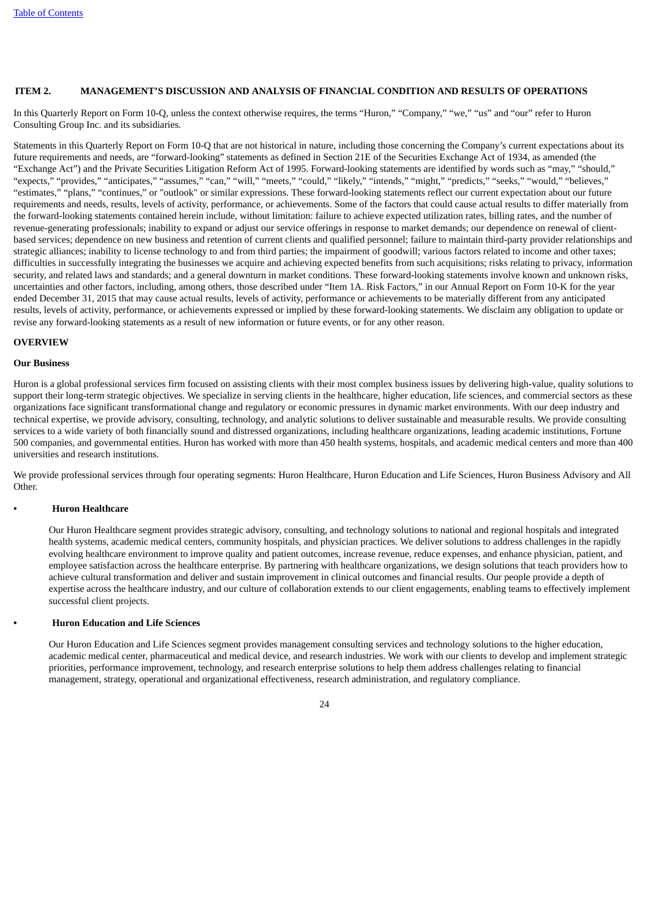#### <span id="page-25-0"></span>**ITEM 2. MANAGEMENT'S DISCUSSION AND ANALYSIS OF FINANCIAL CONDITION AND RESULTS OF OPERATIONS**

In this Quarterly Report on Form 10-Q, unless the context otherwise requires, the terms "Huron," "Company," "we," "us" and "our" refer to Huron Consulting Group Inc. and its subsidiaries.

Statements in this Quarterly Report on Form 10-Q that are not historical in nature, including those concerning the Company's current expectations about its future requirements and needs, are "forward-looking" statements as defined in Section 21E of the Securities Exchange Act of 1934, as amended (the "Exchange Act") and the Private Securities Litigation Reform Act of 1995. Forward-looking statements are identified by words such as "may," "should," "expects," "provides," "anticipates," "assumes," "can," "will," "meets," "could," "likely," "intends," "might," "predicts," "seeks," "would," "believes," "estimates," "plans," "continues," or "outlook" or similar expressions. These forward-looking statements reflect our current expectation about our future requirements and needs, results, levels of activity, performance, or achievements. Some of the factors that could cause actual results to differ materially from the forward-looking statements contained herein include, without limitation: failure to achieve expected utilization rates, billing rates, and the number of revenue-generating professionals; inability to expand or adjust our service offerings in response to market demands; our dependence on renewal of clientbased services; dependence on new business and retention of current clients and qualified personnel; failure to maintain third-party provider relationships and strategic alliances; inability to license technology to and from third parties; the impairment of goodwill; various factors related to income and other taxes; difficulties in successfully integrating the businesses we acquire and achieving expected benefits from such acquisitions; risks relating to privacy, information security, and related laws and standards; and a general downturn in market conditions. These forward-looking statements involve known and unknown risks, uncertainties and other factors, including, among others, those described under "Item 1A. Risk Factors," in our Annual Report on Form 10-K for the year ended December 31, 2015 that may cause actual results, levels of activity, performance or achievements to be materially different from any anticipated results, levels of activity, performance, or achievements expressed or implied by these forward-looking statements. We disclaim any obligation to update or revise any forward-looking statements as a result of new information or future events, or for any other reason.

#### **OVERVIEW**

### **Our Business**

Huron is a global professional services firm focused on assisting clients with their most complex business issues by delivering high-value, quality solutions to support their long-term strategic objectives. We specialize in serving clients in the healthcare, higher education, life sciences, and commercial sectors as these organizations face significant transformational change and regulatory or economic pressures in dynamic market environments. With our deep industry and technical expertise, we provide advisory, consulting, technology, and analytic solutions to deliver sustainable and measurable results. We provide consulting services to a wide variety of both financially sound and distressed organizations, including healthcare organizations, leading academic institutions, Fortune 500 companies, and governmental entities. Huron has worked with more than 450 health systems, hospitals, and academic medical centers and more than 400 universities and research institutions.

We provide professional services through four operating segments: Huron Healthcare, Huron Education and Life Sciences, Huron Business Advisory and All Other.

#### **• Huron Healthcare**

Our Huron Healthcare segment provides strategic advisory, consulting, and technology solutions to national and regional hospitals and integrated health systems, academic medical centers, community hospitals, and physician practices. We deliver solutions to address challenges in the rapidly evolving healthcare environment to improve quality and patient outcomes, increase revenue, reduce expenses, and enhance physician, patient, and employee satisfaction across the healthcare enterprise. By partnering with healthcare organizations, we design solutions that teach providers how to achieve cultural transformation and deliver and sustain improvement in clinical outcomes and financial results. Our people provide a depth of expertise across the healthcare industry, and our culture of collaboration extends to our client engagements, enabling teams to effectively implement successful client projects.

#### **• Huron Education and Life Sciences**

Our Huron Education and Life Sciences segment provides management consulting services and technology solutions to the higher education, academic medical center, pharmaceutical and medical device, and research industries. We work with our clients to develop and implement strategic priorities, performance improvement, technology, and research enterprise solutions to help them address challenges relating to financial management, strategy, operational and organizational effectiveness, research administration, and regulatory compliance.

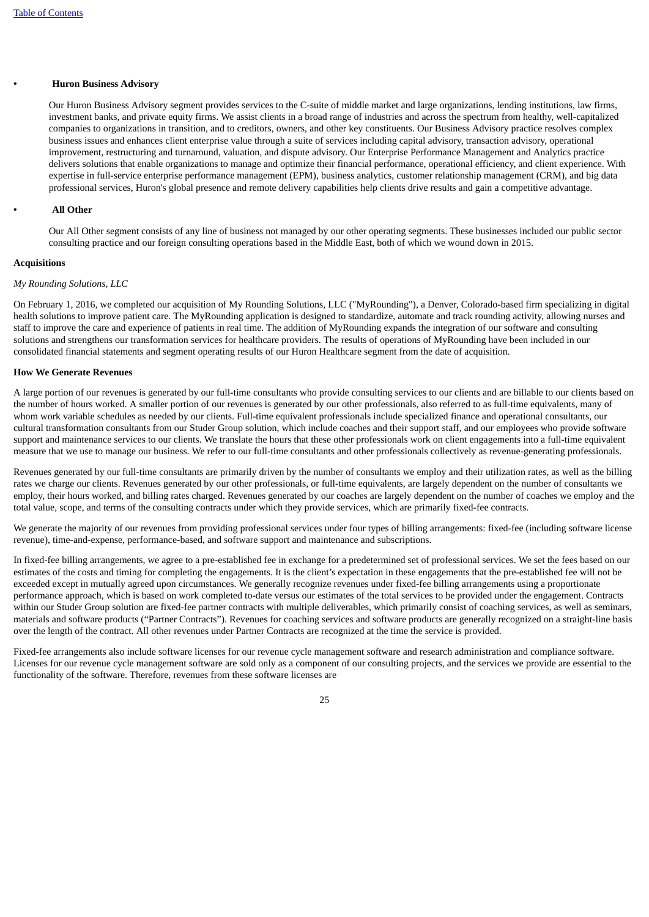#### **• Huron Business Advisory**

Our Huron Business Advisory segment provides services to the C-suite of middle market and large organizations, lending institutions, law firms, investment banks, and private equity firms. We assist clients in a broad range of industries and across the spectrum from healthy, well-capitalized companies to organizations in transition, and to creditors, owners, and other key constituents. Our Business Advisory practice resolves complex business issues and enhances client enterprise value through a suite of services including capital advisory, transaction advisory, operational improvement, restructuring and turnaround, valuation, and dispute advisory. Our Enterprise Performance Management and Analytics practice delivers solutions that enable organizations to manage and optimize their financial performance, operational efficiency, and client experience. With expertise in full-service enterprise performance management (EPM), business analytics, customer relationship management (CRM), and big data professional services, Huron's global presence and remote delivery capabilities help clients drive results and gain a competitive advantage.

#### **• All Other**

Our All Other segment consists of any line of business not managed by our other operating segments. These businesses included our public sector consulting practice and our foreign consulting operations based in the Middle East, both of which we wound down in 2015.

#### **Acquisitions**

#### *My Rounding Solutions, LLC*

On February 1, 2016, we completed our acquisition of My Rounding Solutions, LLC ("MyRounding"), a Denver, Colorado-based firm specializing in digital health solutions to improve patient care. The MyRounding application is designed to standardize, automate and track rounding activity, allowing nurses and staff to improve the care and experience of patients in real time. The addition of MyRounding expands the integration of our software and consulting solutions and strengthens our transformation services for healthcare providers. The results of operations of MyRounding have been included in our consolidated financial statements and segment operating results of our Huron Healthcare segment from the date of acquisition.

#### **How We Generate Revenues**

A large portion of our revenues is generated by our full-time consultants who provide consulting services to our clients and are billable to our clients based on the number of hours worked. A smaller portion of our revenues is generated by our other professionals, also referred to as full-time equivalents, many of whom work variable schedules as needed by our clients. Full-time equivalent professionals include specialized finance and operational consultants, our cultural transformation consultants from our Studer Group solution, which include coaches and their support staff, and our employees who provide software support and maintenance services to our clients. We translate the hours that these other professionals work on client engagements into a full-time equivalent measure that we use to manage our business. We refer to our full-time consultants and other professionals collectively as revenue-generating professionals.

Revenues generated by our full-time consultants are primarily driven by the number of consultants we employ and their utilization rates, as well as the billing rates we charge our clients. Revenues generated by our other professionals, or full-time equivalents, are largely dependent on the number of consultants we employ, their hours worked, and billing rates charged. Revenues generated by our coaches are largely dependent on the number of coaches we employ and the total value, scope, and terms of the consulting contracts under which they provide services, which are primarily fixed-fee contracts.

We generate the majority of our revenues from providing professional services under four types of billing arrangements: fixed-fee (including software license revenue), time-and-expense, performance-based, and software support and maintenance and subscriptions.

In fixed-fee billing arrangements, we agree to a pre-established fee in exchange for a predetermined set of professional services. We set the fees based on our estimates of the costs and timing for completing the engagements. It is the client's expectation in these engagements that the pre-established fee will not be exceeded except in mutually agreed upon circumstances. We generally recognize revenues under fixed-fee billing arrangements using a proportionate performance approach, which is based on work completed to-date versus our estimates of the total services to be provided under the engagement. Contracts within our Studer Group solution are fixed-fee partner contracts with multiple deliverables, which primarily consist of coaching services, as well as seminars, materials and software products ("Partner Contracts"). Revenues for coaching services and software products are generally recognized on a straight-line basis over the length of the contract. All other revenues under Partner Contracts are recognized at the time the service is provided.

Fixed-fee arrangements also include software licenses for our revenue cycle management software and research administration and compliance software. Licenses for our revenue cycle management software are sold only as a component of our consulting projects, and the services we provide are essential to the functionality of the software. Therefore, revenues from these software licenses are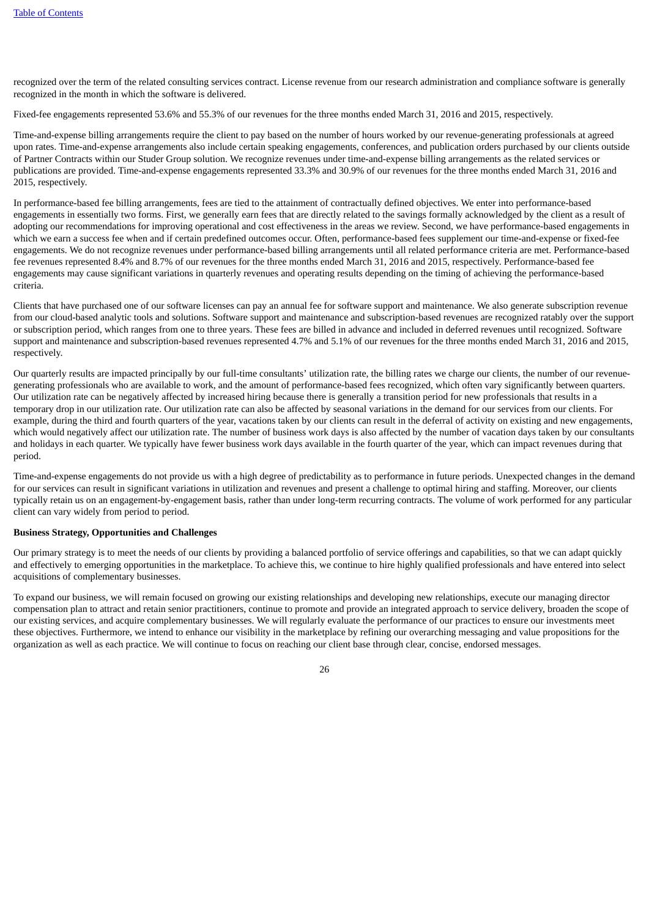recognized over the term of the related consulting services contract. License revenue from our research administration and compliance software is generally recognized in the month in which the software is delivered.

Fixed-fee engagements represented 53.6% and 55.3% of our revenues for the three months ended March 31, 2016 and 2015, respectively.

Time-and-expense billing arrangements require the client to pay based on the number of hours worked by our revenue-generating professionals at agreed upon rates. Time-and-expense arrangements also include certain speaking engagements, conferences, and publication orders purchased by our clients outside of Partner Contracts within our Studer Group solution. We recognize revenues under time-and-expense billing arrangements as the related services or publications are provided. Time-and-expense engagements represented 33.3% and 30.9% of our revenues for the three months ended March 31, 2016 and 2015, respectively.

In performance-based fee billing arrangements, fees are tied to the attainment of contractually defined objectives. We enter into performance-based engagements in essentially two forms. First, we generally earn fees that are directly related to the savings formally acknowledged by the client as a result of adopting our recommendations for improving operational and cost effectiveness in the areas we review. Second, we have performance-based engagements in which we earn a success fee when and if certain predefined outcomes occur. Often, performance-based fees supplement our time-and-expense or fixed-fee engagements. We do not recognize revenues under performance-based billing arrangements until all related performance criteria are met. Performance-based fee revenues represented 8.4% and 8.7% of our revenues for the three months ended March 31, 2016 and 2015, respectively. Performance-based fee engagements may cause significant variations in quarterly revenues and operating results depending on the timing of achieving the performance-based criteria.

Clients that have purchased one of our software licenses can pay an annual fee for software support and maintenance. We also generate subscription revenue from our cloud-based analytic tools and solutions. Software support and maintenance and subscription-based revenues are recognized ratably over the support or subscription period, which ranges from one to three years. These fees are billed in advance and included in deferred revenues until recognized. Software support and maintenance and subscription-based revenues represented 4.7% and 5.1% of our revenues for the three months ended March 31, 2016 and 2015, respectively.

Our quarterly results are impacted principally by our full-time consultants' utilization rate, the billing rates we charge our clients, the number of our revenuegenerating professionals who are available to work, and the amount of performance-based fees recognized, which often vary significantly between quarters. Our utilization rate can be negatively affected by increased hiring because there is generally a transition period for new professionals that results in a temporary drop in our utilization rate. Our utilization rate can also be affected by seasonal variations in the demand for our services from our clients. For example, during the third and fourth quarters of the year, vacations taken by our clients can result in the deferral of activity on existing and new engagements, which would negatively affect our utilization rate. The number of business work days is also affected by the number of vacation days taken by our consultants and holidays in each quarter. We typically have fewer business work days available in the fourth quarter of the year, which can impact revenues during that period.

Time-and-expense engagements do not provide us with a high degree of predictability as to performance in future periods. Unexpected changes in the demand for our services can result in significant variations in utilization and revenues and present a challenge to optimal hiring and staffing. Moreover, our clients typically retain us on an engagement-by-engagement basis, rather than under long-term recurring contracts. The volume of work performed for any particular client can vary widely from period to period.

## **Business Strategy, Opportunities and Challenges**

Our primary strategy is to meet the needs of our clients by providing a balanced portfolio of service offerings and capabilities, so that we can adapt quickly and effectively to emerging opportunities in the marketplace. To achieve this, we continue to hire highly qualified professionals and have entered into select acquisitions of complementary businesses.

To expand our business, we will remain focused on growing our existing relationships and developing new relationships, execute our managing director compensation plan to attract and retain senior practitioners, continue to promote and provide an integrated approach to service delivery, broaden the scope of our existing services, and acquire complementary businesses. We will regularly evaluate the performance of our practices to ensure our investments meet these objectives. Furthermore, we intend to enhance our visibility in the marketplace by refining our overarching messaging and value propositions for the organization as well as each practice. We will continue to focus on reaching our client base through clear, concise, endorsed messages.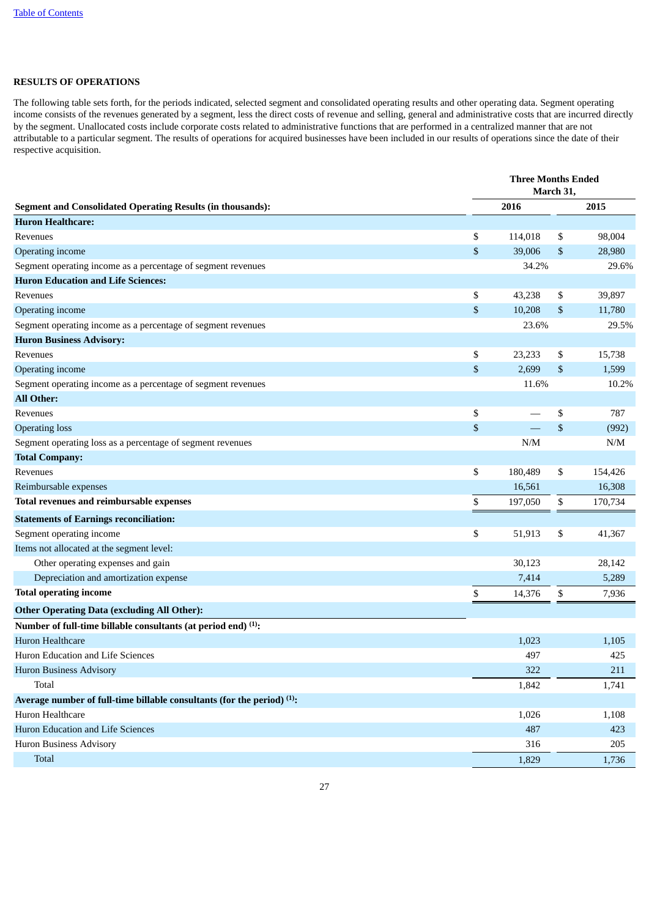## **RESULTS OF OPERATIONS**

The following table sets forth, for the periods indicated, selected segment and consolidated operating results and other operating data. Segment operating income consists of the revenues generated by a segment, less the direct costs of revenue and selling, general and administrative costs that are incurred directly by the segment. Unallocated costs include corporate costs related to administrative functions that are performed in a centralized manner that are not attributable to a particular segment. The results of operations for acquired businesses have been included in our results of operations since the date of their respective acquisition.

|                                                                                    |      | <b>Three Months Ended</b><br>March 31, |    |         |
|------------------------------------------------------------------------------------|------|----------------------------------------|----|---------|
| <b>Segment and Consolidated Operating Results (in thousands):</b>                  |      | 2016                                   |    | 2015    |
| <b>Huron Healthcare:</b>                                                           |      |                                        |    |         |
| Revenues                                                                           | \$   | 114,018                                | \$ | 98,004  |
| Operating income                                                                   | \$   | 39,006                                 | \$ | 28,980  |
| Segment operating income as a percentage of segment revenues                       |      | 34.2%                                  |    | 29.6%   |
| <b>Huron Education and Life Sciences:</b>                                          |      |                                        |    |         |
| Revenues                                                                           | \$   | 43,238                                 | \$ | 39,897  |
| Operating income                                                                   | \$   | 10,208                                 | \$ | 11,780  |
| Segment operating income as a percentage of segment revenues                       |      | 23.6%                                  |    | 29.5%   |
| <b>Huron Business Advisory:</b>                                                    |      |                                        |    |         |
| Revenues                                                                           | \$   | 23,233                                 | \$ | 15,738  |
| Operating income                                                                   | $\$$ | 2,699                                  | \$ | 1,599   |
| Segment operating income as a percentage of segment revenues                       |      | 11.6%                                  |    | 10.2%   |
| <b>All Other:</b>                                                                  |      |                                        |    |         |
| Revenues                                                                           | \$   |                                        | \$ | 787     |
| <b>Operating loss</b>                                                              | $\$$ |                                        | \$ | (992)   |
| Segment operating loss as a percentage of segment revenues                         |      | N/M                                    |    | N/M     |
| <b>Total Company:</b>                                                              |      |                                        |    |         |
| Revenues                                                                           | \$   | 180,489                                | \$ | 154,426 |
| Reimbursable expenses                                                              |      | 16,561                                 |    | 16,308  |
| Total revenues and reimbursable expenses                                           | \$   | 197,050                                | \$ | 170,734 |
| <b>Statements of Earnings reconciliation:</b>                                      |      |                                        |    |         |
| Segment operating income                                                           | \$   | 51,913                                 | \$ | 41,367  |
| Items not allocated at the segment level:                                          |      |                                        |    |         |
| Other operating expenses and gain                                                  |      | 30,123                                 |    | 28,142  |
| Depreciation and amortization expense                                              |      | 7,414                                  |    | 5,289   |
| <b>Total operating income</b>                                                      | \$   | 14,376                                 | \$ | 7,936   |
| <b>Other Operating Data (excluding All Other):</b>                                 |      |                                        |    |         |
| Number of full-time billable consultants (at period end) (1):                      |      |                                        |    |         |
| <b>Huron Healthcare</b>                                                            |      | 1,023                                  |    | 1,105   |
| Huron Education and Life Sciences                                                  |      | 497                                    |    | 425     |
| <b>Huron Business Advisory</b>                                                     |      | 322                                    |    | 211     |
| Total                                                                              |      | 1,842                                  |    | 1,741   |
| Average number of full-time billable consultants (for the period) <sup>(1)</sup> : |      |                                        |    |         |
| Huron Healthcare                                                                   |      | 1,026                                  |    | 1,108   |
| Huron Education and Life Sciences                                                  |      | 487                                    |    | 423     |
| Huron Business Advisory                                                            |      | 316                                    |    | 205     |
| Total                                                                              |      | 1,829                                  |    | 1,736   |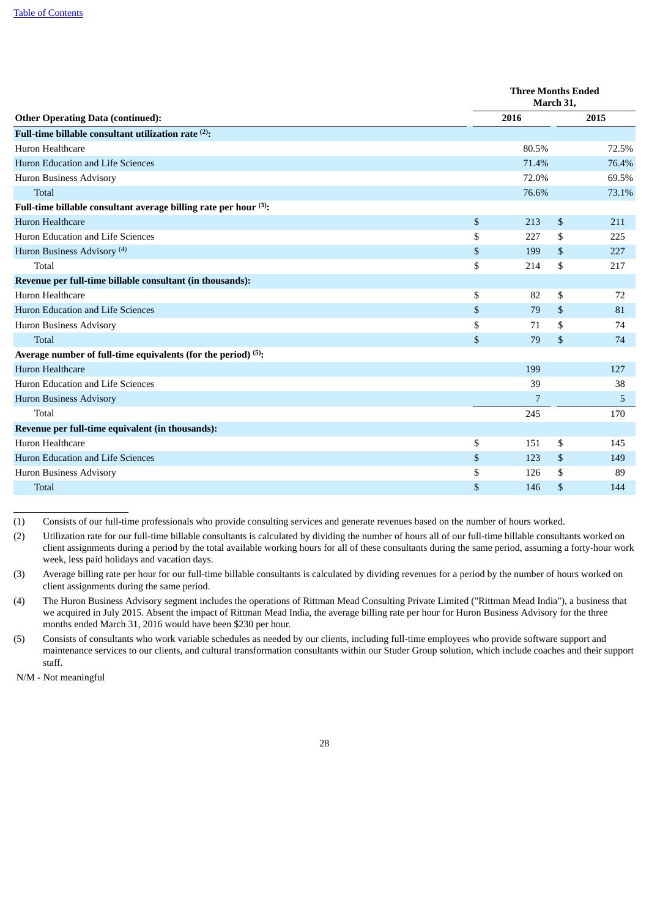|                                                                  | <b>Three Months Ended</b> | March 31, |       |  |  |
|------------------------------------------------------------------|---------------------------|-----------|-------|--|--|
| <b>Other Operating Data (continued):</b>                         | 2016                      |           | 2015  |  |  |
| Full-time billable consultant utilization rate (2):              |                           |           |       |  |  |
| Huron Healthcare                                                 | 80.5%                     |           | 72.5% |  |  |
| <b>Huron Education and Life Sciences</b>                         | 71.4%                     |           | 76.4% |  |  |
| <b>Huron Business Advisory</b>                                   | 72.0%                     |           | 69.5% |  |  |
| <b>Total</b>                                                     | 76.6%                     |           | 73.1% |  |  |
| Full-time billable consultant average billing rate per hour (3): |                           |           |       |  |  |
| <b>Huron Healthcare</b>                                          | \$<br>213                 | \$        | 211   |  |  |
| Huron Education and Life Sciences                                | \$<br>227                 | \$        | 225   |  |  |
| Huron Business Advisory <sup>(4)</sup>                           | \$<br>199                 | \$        | 227   |  |  |
| Total                                                            | \$<br>214                 | \$        | 217   |  |  |
| Revenue per full-time billable consultant (in thousands):        |                           |           |       |  |  |
| Huron Healthcare                                                 | \$<br>82                  | \$        | 72    |  |  |
| <b>Huron Education and Life Sciences</b>                         | \$<br>79                  | \$        | 81    |  |  |
| <b>Huron Business Advisory</b>                                   | \$<br>71                  | \$        | 74    |  |  |
| Total                                                            | \$<br>79                  | \$        | 74    |  |  |
| Average number of full-time equivalents (for the period) (5):    |                           |           |       |  |  |
| <b>Huron Healthcare</b>                                          | 199                       |           | 127   |  |  |
| Huron Education and Life Sciences                                | 39                        |           | 38    |  |  |
| <b>Huron Business Advisory</b>                                   | 7                         |           | 5     |  |  |
| Total                                                            | 245                       |           | 170   |  |  |
| Revenue per full-time equivalent (in thousands):                 |                           |           |       |  |  |
| Huron Healthcare                                                 | \$<br>151                 | \$        | 145   |  |  |
| <b>Huron Education and Life Sciences</b>                         | \$<br>123                 | \$        | 149   |  |  |
| <b>Huron Business Advisory</b>                                   | \$<br>126                 | \$        | 89    |  |  |
| <b>Total</b>                                                     | \$<br>146                 | \$        | 144   |  |  |

(1) Consists of our full-time professionals who provide consulting services and generate revenues based on the number of hours worked.

(2) Utilization rate for our full-time billable consultants is calculated by dividing the number of hours all of our full-time billable consultants worked on client assignments during a period by the total available working hours for all of these consultants during the same period, assuming a forty-hour work week, less paid holidays and vacation days.

(3) Average billing rate per hour for our full-time billable consultants is calculated by dividing revenues for a period by the number of hours worked on client assignments during the same period.

(4) The Huron Business Advisory segment includes the operations of Rittman Mead Consulting Private Limited ("Rittman Mead India"), a business that we acquired in July 2015. Absent the impact of Rittman Mead India, the average billing rate per hour for Huron Business Advisory for the three months ended March 31, 2016 would have been \$230 per hour.

(5) Consists of consultants who work variable schedules as needed by our clients, including full-time employees who provide software support and maintenance services to our clients, and cultural transformation consultants within our Studer Group solution, which include coaches and their support staff.

N/M - Not meaningful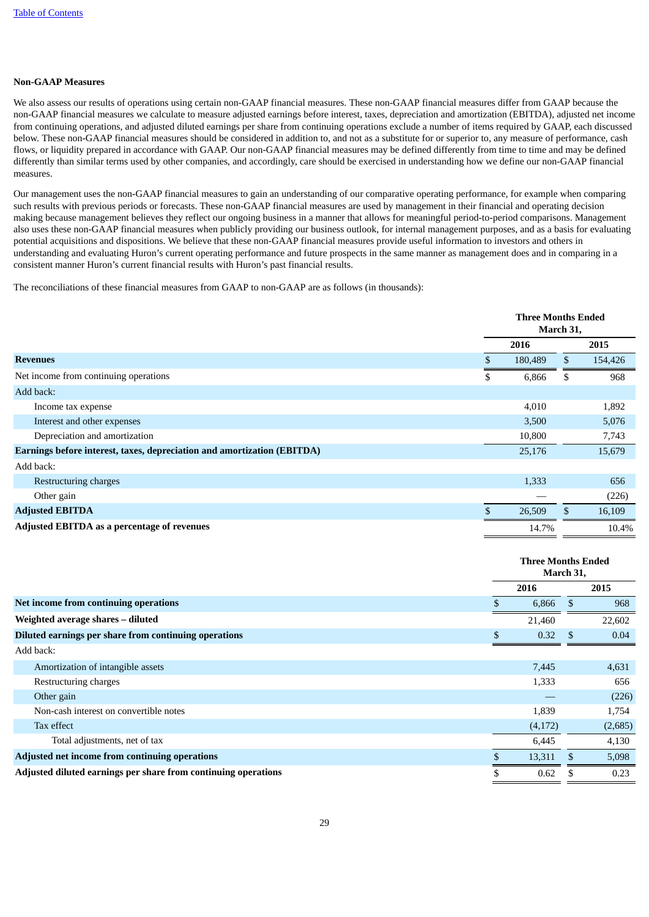## **Non-GAAP Measures**

We also assess our results of operations using certain non-GAAP financial measures. These non-GAAP financial measures differ from GAAP because the non-GAAP financial measures we calculate to measure adjusted earnings before interest, taxes, depreciation and amortization (EBITDA), adjusted net income from continuing operations, and adjusted diluted earnings per share from continuing operations exclude a number of items required by GAAP, each discussed below. These non-GAAP financial measures should be considered in addition to, and not as a substitute for or superior to, any measure of performance, cash flows, or liquidity prepared in accordance with GAAP. Our non-GAAP financial measures may be defined differently from time to time and may be defined differently than similar terms used by other companies, and accordingly, care should be exercised in understanding how we define our non-GAAP financial measures.

Our management uses the non-GAAP financial measures to gain an understanding of our comparative operating performance, for example when comparing such results with previous periods or forecasts. These non-GAAP financial measures are used by management in their financial and operating decision making because management believes they reflect our ongoing business in a manner that allows for meaningful period-to-period comparisons. Management also uses these non-GAAP financial measures when publicly providing our business outlook, for internal management purposes, and as a basis for evaluating potential acquisitions and dispositions. We believe that these non-GAAP financial measures provide useful information to investors and others in understanding and evaluating Huron's current operating performance and future prospects in the same manner as management does and in comparing in a consistent manner Huron's current financial results with Huron's past financial results.

**Three Months Ended**

The reconciliations of these financial measures from GAAP to non-GAAP are as follows (in thousands):

|                                                                         |    | March 31,                              |               |
|-------------------------------------------------------------------------|----|----------------------------------------|---------------|
|                                                                         |    | 2016                                   | 2015          |
| <b>Revenues</b>                                                         | \$ | 180,489                                | \$<br>154,426 |
| Net income from continuing operations                                   |    | 6,866                                  | \$<br>968     |
| Add back:                                                               |    |                                        |               |
| Income tax expense                                                      |    | 4,010                                  | 1,892         |
| Interest and other expenses                                             |    | 3,500                                  | 5,076         |
| Depreciation and amortization                                           |    | 10,800                                 | 7,743         |
| Earnings before interest, taxes, depreciation and amortization (EBITDA) |    | 25,176                                 | 15,679        |
| Add back:                                                               |    |                                        |               |
| Restructuring charges                                                   |    | 1,333                                  | 656           |
| Other gain                                                              |    |                                        | (226)         |
| <b>Adjusted EBITDA</b>                                                  | \$ | 26,509                                 | \$<br>16,109  |
| Adjusted EBITDA as a percentage of revenues                             |    | 14.7%                                  | 10.4%         |
|                                                                         |    |                                        |               |
|                                                                         |    | <b>Three Months Ended</b><br>March 31, |               |
|                                                                         |    | 2016                                   | 2015          |
| Net income from continuing operations                                   | \$ | 6,866                                  | \$<br>968     |
| Weighted average shares - diluted                                       |    | 21,460                                 | 22,602        |
| Diluted earnings per share from continuing operations                   | \$ | 0.32                                   | \$<br>0.04    |

Add back: Amortization of intangible assets **4,631** Amortization of intangible assets **4,631** Restructuring charges 656 and the state of the state of the state of the state of the state of the state of the state of the state of the state of the state of the state of the state of the state of the state of the state Other gain **Example 2008 Contract Contract Contract Contract Contract Contract Contract Contract Contract CON** Non-cash interest on convertible notes and the state of the state of the state of the state of the state of the state of the state of the state of the state of the state of the state of the state of the state of the state Tax effect  $(4,172)$   $(2,685)$ Total adjustments, net of tax 6,445 4,130 **Adjusted net income from continuing operations** \$ 13,311 \$ 5,098 **Adjusted diluted earnings per share from continuing operations** \$ 0.62 \$ 0.23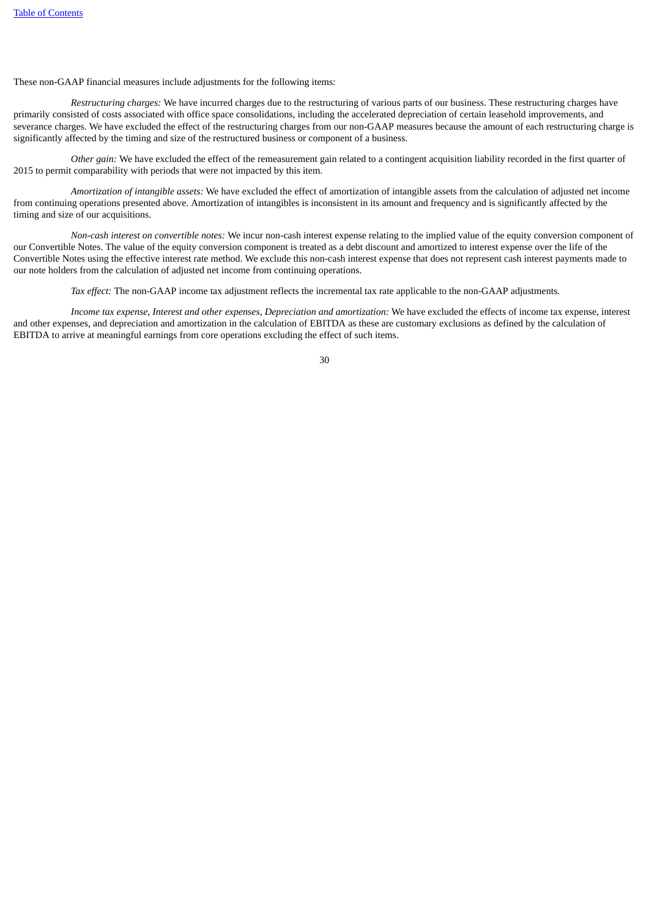These non-GAAP financial measures include adjustments for the following items:

*Restructuring charges:* We have incurred charges due to the restructuring of various parts of our business. These restructuring charges have primarily consisted of costs associated with office space consolidations, including the accelerated depreciation of certain leasehold improvements, and severance charges. We have excluded the effect of the restructuring charges from our non-GAAP measures because the amount of each restructuring charge is significantly affected by the timing and size of the restructured business or component of a business.

*Other gain:* We have excluded the effect of the remeasurement gain related to a contingent acquisition liability recorded in the first quarter of 2015 to permit comparability with periods that were not impacted by this item.

*Amortization of intangible assets:* We have excluded the effect of amortization of intangible assets from the calculation of adjusted net income from continuing operations presented above. Amortization of intangibles is inconsistent in its amount and frequency and is significantly affected by the timing and size of our acquisitions.

*Non-cash interest on convertible notes:* We incur non-cash interest expense relating to the implied value of the equity conversion component of our Convertible Notes. The value of the equity conversion component is treated as a debt discount and amortized to interest expense over the life of the Convertible Notes using the effective interest rate method. We exclude this non-cash interest expense that does not represent cash interest payments made to our note holders from the calculation of adjusted net income from continuing operations.

*Tax effect:* The non-GAAP income tax adjustment reflects the incremental tax rate applicable to the non-GAAP adjustments.

*Income tax expense, Interest and other expenses, Depreciation and amortization:* We have excluded the effects of income tax expense, interest and other expenses, and depreciation and amortization in the calculation of EBITDA as these are customary exclusions as defined by the calculation of EBITDA to arrive at meaningful earnings from core operations excluding the effect of such items.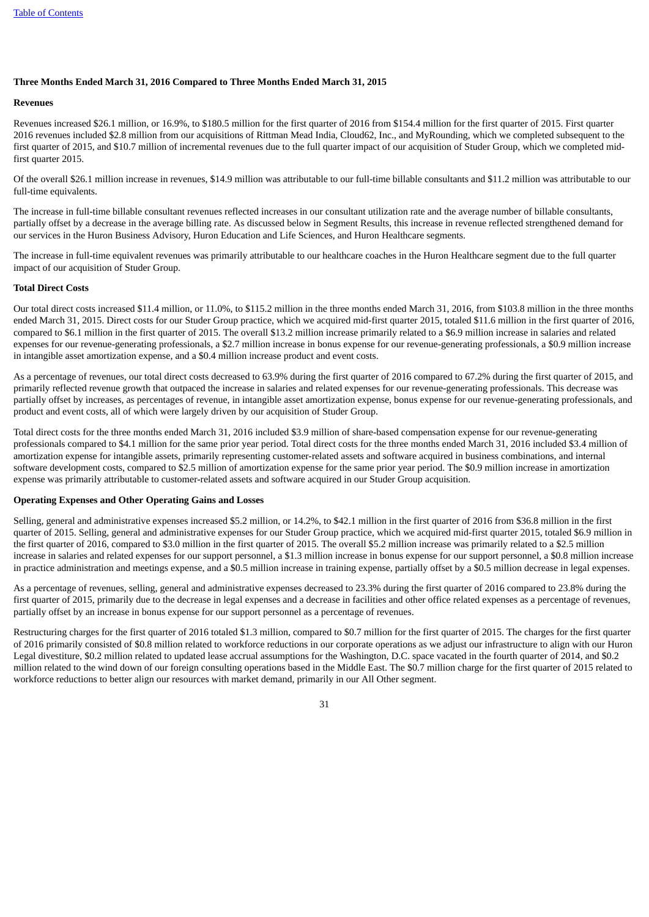## **Three Months Ended March 31, 2016 Compared to Three Months Ended March 31, 2015**

#### **Revenues**

Revenues increased \$26.1 million, or 16.9%, to \$180.5 million for the first quarter of 2016 from \$154.4 million for the first quarter of 2015. First quarter 2016 revenues included \$2.8 million from our acquisitions of Rittman Mead India, Cloud62, Inc., and MyRounding, which we completed subsequent to the first quarter of 2015, and \$10.7 million of incremental revenues due to the full quarter impact of our acquisition of Studer Group, which we completed midfirst quarter 2015.

Of the overall \$26.1 million increase in revenues, \$14.9 million was attributable to our full-time billable consultants and \$11.2 million was attributable to our full-time equivalents.

The increase in full-time billable consultant revenues reflected increases in our consultant utilization rate and the average number of billable consultants, partially offset by a decrease in the average billing rate. As discussed below in Segment Results, this increase in revenue reflected strengthened demand for our services in the Huron Business Advisory, Huron Education and Life Sciences, and Huron Healthcare segments.

The increase in full-time equivalent revenues was primarily attributable to our healthcare coaches in the Huron Healthcare segment due to the full quarter impact of our acquisition of Studer Group.

#### **Total Direct Costs**

Our total direct costs increased \$11.4 million, or 11.0%, to \$115.2 million in the three months ended March 31, 2016, from \$103.8 million in the three months ended March 31, 2015. Direct costs for our Studer Group practice, which we acquired mid-first quarter 2015, totaled \$11.6 million in the first quarter of 2016, compared to \$6.1 million in the first quarter of 2015. The overall \$13.2 million increase primarily related to a \$6.9 million increase in salaries and related expenses for our revenue-generating professionals, a \$2.7 million increase in bonus expense for our revenue-generating professionals, a \$0.9 million increase in intangible asset amortization expense, and a \$0.4 million increase product and event costs.

As a percentage of revenues, our total direct costs decreased to 63.9% during the first quarter of 2016 compared to 67.2% during the first quarter of 2015, and primarily reflected revenue growth that outpaced the increase in salaries and related expenses for our revenue-generating professionals. This decrease was partially offset by increases, as percentages of revenue, in intangible asset amortization expense, bonus expense for our revenue-generating professionals, and product and event costs, all of which were largely driven by our acquisition of Studer Group.

Total direct costs for the three months ended March 31, 2016 included \$3.9 million of share-based compensation expense for our revenue-generating professionals compared to \$4.1 million for the same prior year period. Total direct costs for the three months ended March 31, 2016 included \$3.4 million of amortization expense for intangible assets, primarily representing customer-related assets and software acquired in business combinations, and internal software development costs, compared to \$2.5 million of amortization expense for the same prior year period. The \$0.9 million increase in amortization expense was primarily attributable to customer-related assets and software acquired in our Studer Group acquisition.

#### **Operating Expenses and Other Operating Gains and Losses**

Selling, general and administrative expenses increased \$5.2 million, or 14.2%, to \$42.1 million in the first quarter of 2016 from \$36.8 million in the first quarter of 2015. Selling, general and administrative expenses for our Studer Group practice, which we acquired mid-first quarter 2015, totaled \$6.9 million in the first quarter of 2016, compared to \$3.0 million in the first quarter of 2015. The overall \$5.2 million increase was primarily related to a \$2.5 million increase in salaries and related expenses for our support personnel, a \$1.3 million increase in bonus expense for our support personnel, a \$0.8 million increase in practice administration and meetings expense, and a \$0.5 million increase in training expense, partially offset by a \$0.5 million decrease in legal expenses.

As a percentage of revenues, selling, general and administrative expenses decreased to 23.3% during the first quarter of 2016 compared to 23.8% during the first quarter of 2015, primarily due to the decrease in legal expenses and a decrease in facilities and other office related expenses as a percentage of revenues, partially offset by an increase in bonus expense for our support personnel as a percentage of revenues.

Restructuring charges for the first quarter of 2016 totaled \$1.3 million, compared to \$0.7 million for the first quarter of 2015. The charges for the first quarter of 2016 primarily consisted of \$0.8 million related to workforce reductions in our corporate operations as we adjust our infrastructure to align with our Huron Legal divestiture, \$0.2 million related to updated lease accrual assumptions for the Washington, D.C. space vacated in the fourth quarter of 2014, and \$0.2 million related to the wind down of our foreign consulting operations based in the Middle East. The \$0.7 million charge for the first quarter of 2015 related to workforce reductions to better align our resources with market demand, primarily in our All Other segment.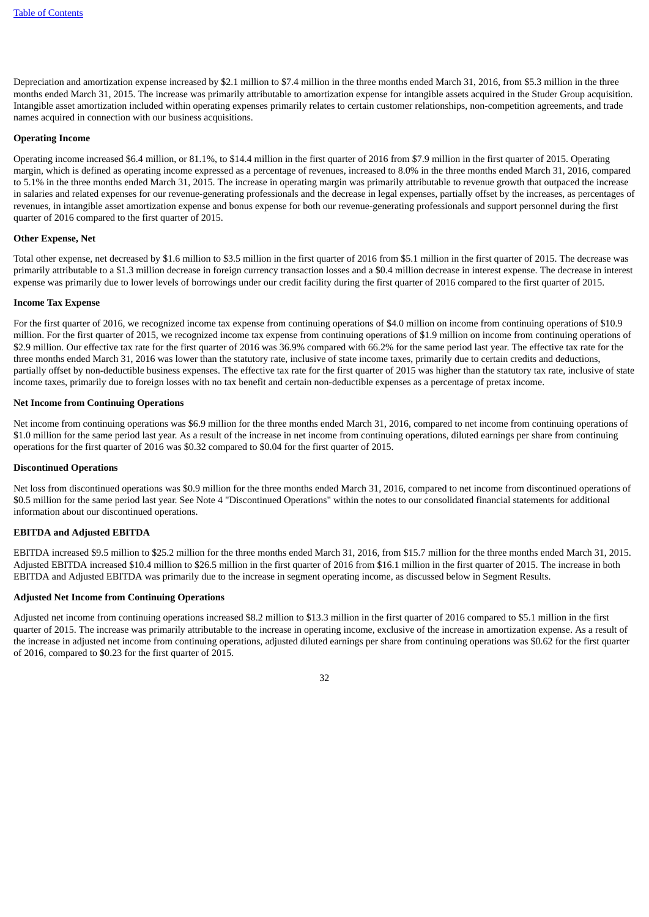Depreciation and amortization expense increased by \$2.1 million to \$7.4 million in the three months ended March 31, 2016, from \$5.3 million in the three months ended March 31, 2015. The increase was primarily attributable to amortization expense for intangible assets acquired in the Studer Group acquisition. Intangible asset amortization included within operating expenses primarily relates to certain customer relationships, non-competition agreements, and trade names acquired in connection with our business acquisitions.

#### **Operating Income**

Operating income increased \$6.4 million, or 81.1%, to \$14.4 million in the first quarter of 2016 from \$7.9 million in the first quarter of 2015. Operating margin, which is defined as operating income expressed as a percentage of revenues, increased to 8.0% in the three months ended March 31, 2016, compared to 5.1% in the three months ended March 31, 2015. The increase in operating margin was primarily attributable to revenue growth that outpaced the increase in salaries and related expenses for our revenue-generating professionals and the decrease in legal expenses, partially offset by the increases, as percentages of revenues, in intangible asset amortization expense and bonus expense for both our revenue-generating professionals and support personnel during the first quarter of 2016 compared to the first quarter of 2015.

#### **Other Expense, Net**

Total other expense, net decreased by \$1.6 million to \$3.5 million in the first quarter of 2016 from \$5.1 million in the first quarter of 2015. The decrease was primarily attributable to a \$1.3 million decrease in foreign currency transaction losses and a \$0.4 million decrease in interest expense. The decrease in interest expense was primarily due to lower levels of borrowings under our credit facility during the first quarter of 2016 compared to the first quarter of 2015.

#### **Income Tax Expense**

For the first quarter of 2016, we recognized income tax expense from continuing operations of \$4.0 million on income from continuing operations of \$10.9 million. For the first quarter of 2015, we recognized income tax expense from continuing operations of \$1.9 million on income from continuing operations of \$2.9 million. Our effective tax rate for the first quarter of 2016 was 36.9% compared with 66.2% for the same period last year. The effective tax rate for the three months ended March 31, 2016 was lower than the statutory rate, inclusive of state income taxes, primarily due to certain credits and deductions, partially offset by non-deductible business expenses. The effective tax rate for the first quarter of 2015 was higher than the statutory tax rate, inclusive of state income taxes, primarily due to foreign losses with no tax benefit and certain non-deductible expenses as a percentage of pretax income.

## **Net Income from Continuing Operations**

Net income from continuing operations was \$6.9 million for the three months ended March 31, 2016, compared to net income from continuing operations of \$1.0 million for the same period last year. As a result of the increase in net income from continuing operations, diluted earnings per share from continuing operations for the first quarter of 2016 was \$0.32 compared to \$0.04 for the first quarter of 2015.

#### **Discontinued Operations**

Net loss from discontinued operations was \$0.9 million for the three months ended March 31, 2016, compared to net income from discontinued operations of \$0.5 million for the same period last year. See Note 4 "Discontinued Operations" within the notes to our consolidated financial statements for additional information about our discontinued operations.

#### **EBITDA and Adjusted EBITDA**

EBITDA increased \$9.5 million to \$25.2 million for the three months ended March 31, 2016, from \$15.7 million for the three months ended March 31, 2015. Adjusted EBITDA increased \$10.4 million to \$26.5 million in the first quarter of 2016 from \$16.1 million in the first quarter of 2015. The increase in both EBITDA and Adjusted EBITDA was primarily due to the increase in segment operating income, as discussed below in Segment Results.

### **Adjusted Net Income from Continuing Operations**

Adjusted net income from continuing operations increased \$8.2 million to \$13.3 million in the first quarter of 2016 compared to \$5.1 million in the first quarter of 2015. The increase was primarily attributable to the increase in operating income, exclusive of the increase in amortization expense. As a result of the increase in adjusted net income from continuing operations, adjusted diluted earnings per share from continuing operations was \$0.62 for the first quarter of 2016, compared to \$0.23 for the first quarter of 2015.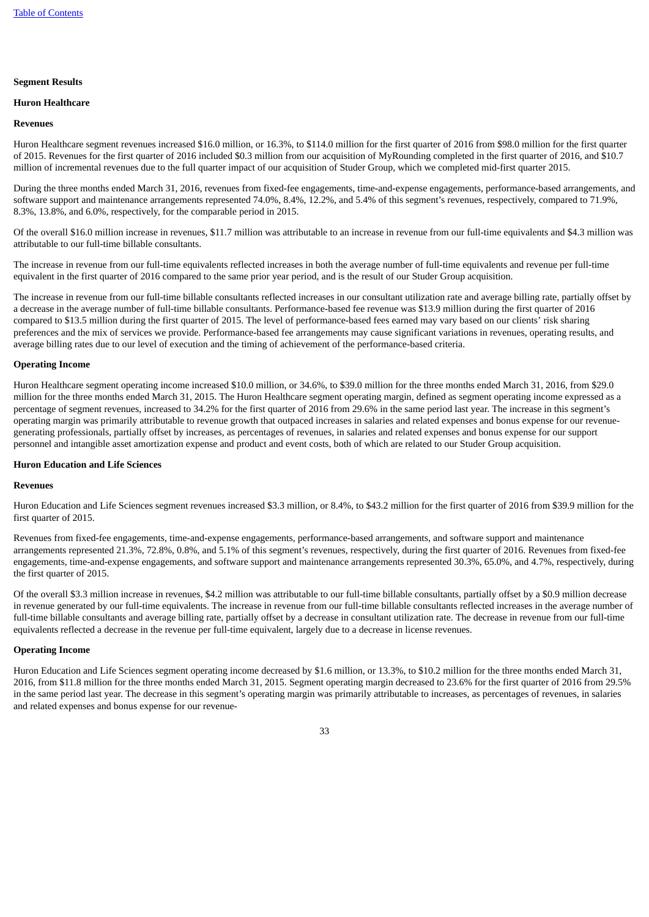#### **Segment Results**

#### **Huron Healthcare**

#### **Revenues**

Huron Healthcare segment revenues increased \$16.0 million, or 16.3%, to \$114.0 million for the first quarter of 2016 from \$98.0 million for the first quarter of 2015. Revenues for the first quarter of 2016 included \$0.3 million from our acquisition of MyRounding completed in the first quarter of 2016, and \$10.7 million of incremental revenues due to the full quarter impact of our acquisition of Studer Group, which we completed mid-first quarter 2015.

During the three months ended March 31, 2016, revenues from fixed-fee engagements, time-and-expense engagements, performance-based arrangements, and software support and maintenance arrangements represented 74.0%, 8.4%, 12.2%, and 5.4% of this segment's revenues, respectively, compared to 71.9%, 8.3%, 13.8%, and 6.0%, respectively, for the comparable period in 2015.

Of the overall \$16.0 million increase in revenues, \$11.7 million was attributable to an increase in revenue from our full-time equivalents and \$4.3 million was attributable to our full-time billable consultants.

The increase in revenue from our full-time equivalents reflected increases in both the average number of full-time equivalents and revenue per full-time equivalent in the first quarter of 2016 compared to the same prior year period, and is the result of our Studer Group acquisition.

The increase in revenue from our full-time billable consultants reflected increases in our consultant utilization rate and average billing rate, partially offset by a decrease in the average number of full-time billable consultants. Performance-based fee revenue was \$13.9 million during the first quarter of 2016 compared to \$13.5 million during the first quarter of 2015. The level of performance-based fees earned may vary based on our clients' risk sharing preferences and the mix of services we provide. Performance-based fee arrangements may cause significant variations in revenues, operating results, and average billing rates due to our level of execution and the timing of achievement of the performance-based criteria.

#### **Operating Income**

Huron Healthcare segment operating income increased \$10.0 million, or 34.6%, to \$39.0 million for the three months ended March 31, 2016, from \$29.0 million for the three months ended March 31, 2015. The Huron Healthcare segment operating margin, defined as segment operating income expressed as a percentage of segment revenues, increased to 34.2% for the first quarter of 2016 from 29.6% in the same period last year. The increase in this segment's operating margin was primarily attributable to revenue growth that outpaced increases in salaries and related expenses and bonus expense for our revenuegenerating professionals, partially offset by increases, as percentages of revenues, in salaries and related expenses and bonus expense for our support personnel and intangible asset amortization expense and product and event costs, both of which are related to our Studer Group acquisition.

#### **Huron Education and Life Sciences**

#### **Revenues**

Huron Education and Life Sciences segment revenues increased \$3.3 million, or 8.4%, to \$43.2 million for the first quarter of 2016 from \$39.9 million for the first quarter of 2015.

Revenues from fixed-fee engagements, time-and-expense engagements, performance-based arrangements, and software support and maintenance arrangements represented 21.3%, 72.8%, 0.8%, and 5.1% of this segment's revenues, respectively, during the first quarter of 2016. Revenues from fixed-fee engagements, time-and-expense engagements, and software support and maintenance arrangements represented 30.3%, 65.0%, and 4.7%, respectively, during the first quarter of 2015.

Of the overall \$3.3 million increase in revenues, \$4.2 million was attributable to our full-time billable consultants, partially offset by a \$0.9 million decrease in revenue generated by our full-time equivalents. The increase in revenue from our full-time billable consultants reflected increases in the average number of full-time billable consultants and average billing rate, partially offset by a decrease in consultant utilization rate. The decrease in revenue from our full-time equivalents reflected a decrease in the revenue per full-time equivalent, largely due to a decrease in license revenues.

#### **Operating Income**

Huron Education and Life Sciences segment operating income decreased by \$1.6 million, or 13.3%, to \$10.2 million for the three months ended March 31, 2016, from \$11.8 million for the three months ended March 31, 2015. Segment operating margin decreased to 23.6% for the first quarter of 2016 from 29.5% in the same period last year. The decrease in this segment's operating margin was primarily attributable to increases, as percentages of revenues, in salaries and related expenses and bonus expense for our revenue-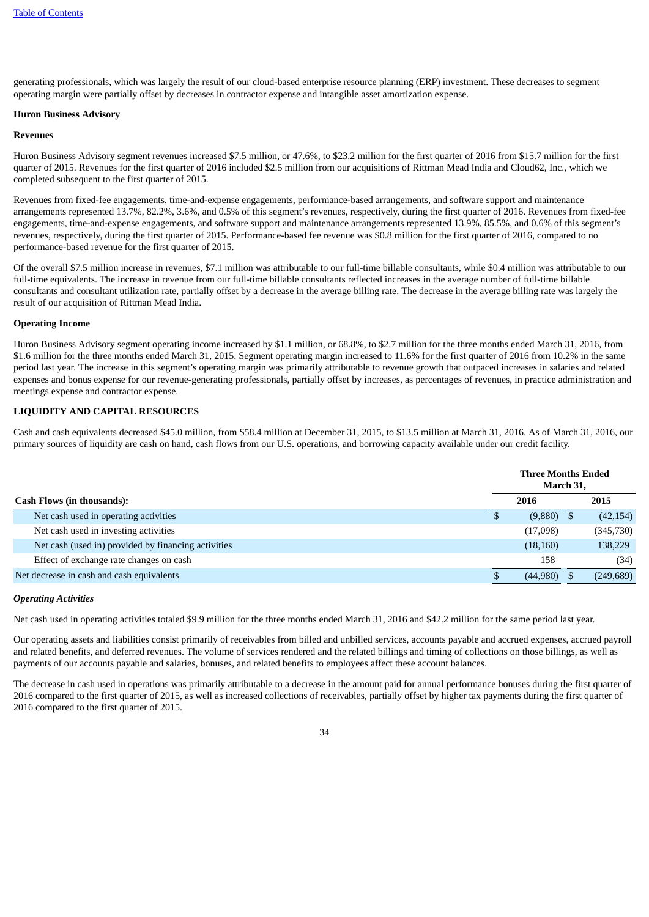generating professionals, which was largely the result of our cloud-based enterprise resource planning (ERP) investment. These decreases to segment operating margin were partially offset by decreases in contractor expense and intangible asset amortization expense.

#### **Huron Business Advisory**

#### **Revenues**

Huron Business Advisory segment revenues increased \$7.5 million, or 47.6%, to \$23.2 million for the first quarter of 2016 from \$15.7 million for the first quarter of 2015. Revenues for the first quarter of 2016 included \$2.5 million from our acquisitions of Rittman Mead India and Cloud62, Inc., which we completed subsequent to the first quarter of 2015.

Revenues from fixed-fee engagements, time-and-expense engagements, performance-based arrangements, and software support and maintenance arrangements represented 13.7%, 82.2%, 3.6%, and 0.5% of this segment's revenues, respectively, during the first quarter of 2016. Revenues from fixed-fee engagements, time-and-expense engagements, and software support and maintenance arrangements represented 13.9%, 85.5%, and 0.6% of this segment's revenues, respectively, during the first quarter of 2015. Performance-based fee revenue was \$0.8 million for the first quarter of 2016, compared to no performance-based revenue for the first quarter of 2015.

Of the overall \$7.5 million increase in revenues, \$7.1 million was attributable to our full-time billable consultants, while \$0.4 million was attributable to our full-time equivalents. The increase in revenue from our full-time billable consultants reflected increases in the average number of full-time billable consultants and consultant utilization rate, partially offset by a decrease in the average billing rate. The decrease in the average billing rate was largely the result of our acquisition of Rittman Mead India.

#### **Operating Income**

Huron Business Advisory segment operating income increased by \$1.1 million, or 68.8%, to \$2.7 million for the three months ended March 31, 2016, from \$1.6 million for the three months ended March 31, 2015. Segment operating margin increased to 11.6% for the first quarter of 2016 from 10.2% in the same period last year. The increase in this segment's operating margin was primarily attributable to revenue growth that outpaced increases in salaries and related expenses and bonus expense for our revenue-generating professionals, partially offset by increases, as percentages of revenues, in practice administration and meetings expense and contractor expense.

#### **LIQUIDITY AND CAPITAL RESOURCES**

Cash and cash equivalents decreased \$45.0 million, from \$58.4 million at December 31, 2015, to \$13.5 million at March 31, 2016. As of March 31, 2016, our primary sources of liquidity are cash on hand, cash flows from our U.S. operations, and borrowing capacity available under our credit facility.

|                                                     | <b>Three Months Ended</b><br>March 31, |               |  |            |  |  |
|-----------------------------------------------------|----------------------------------------|---------------|--|------------|--|--|
| <b>Cash Flows (in thousands):</b>                   |                                        | 2016          |  | 2015       |  |  |
| Net cash used in operating activities               | \$                                     | $(9,880)$ \$  |  | (42, 154)  |  |  |
| Net cash used in investing activities               |                                        | (17,098)      |  | (345,730)  |  |  |
| Net cash (used in) provided by financing activities |                                        | (18, 160)     |  | 138,229    |  |  |
| Effect of exchange rate changes on cash             |                                        | 158           |  | (34)       |  |  |
| Net decrease in cash and cash equivalents           |                                        | $(44,980)$ \$ |  | (249, 689) |  |  |

#### *Operating Activities*

Net cash used in operating activities totaled \$9.9 million for the three months ended March 31, 2016 and \$42.2 million for the same period last year.

Our operating assets and liabilities consist primarily of receivables from billed and unbilled services, accounts payable and accrued expenses, accrued payroll and related benefits, and deferred revenues. The volume of services rendered and the related billings and timing of collections on those billings, as well as payments of our accounts payable and salaries, bonuses, and related benefits to employees affect these account balances.

The decrease in cash used in operations was primarily attributable to a decrease in the amount paid for annual performance bonuses during the first quarter of 2016 compared to the first quarter of 2015, as well as increased collections of receivables, partially offset by higher tax payments during the first quarter of 2016 compared to the first quarter of 2015.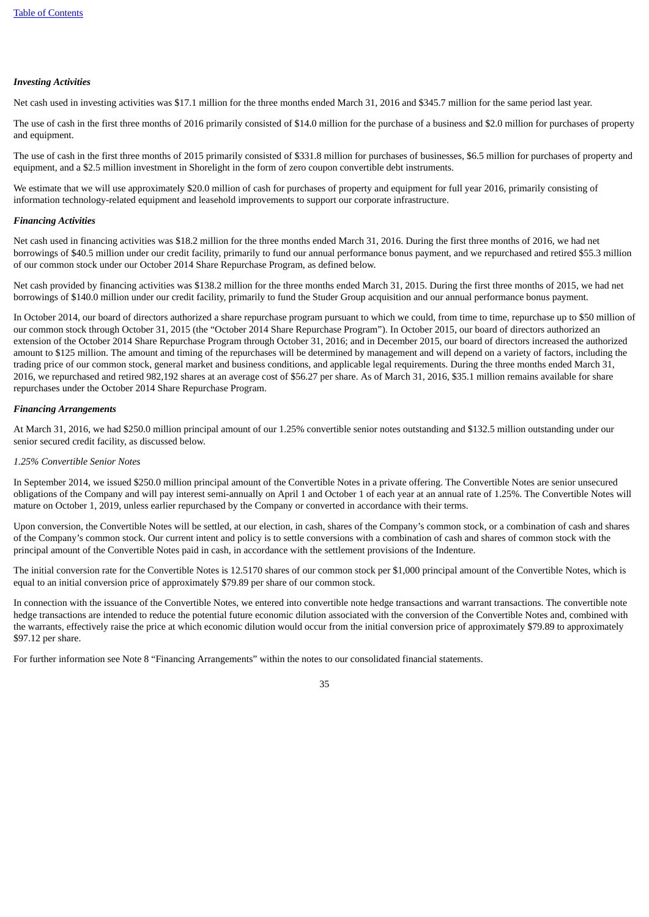#### *Investing Activities*

Net cash used in investing activities was \$17.1 million for the three months ended March 31, 2016 and \$345.7 million for the same period last year.

The use of cash in the first three months of 2016 primarily consisted of \$14.0 million for the purchase of a business and \$2.0 million for purchases of property and equipment.

The use of cash in the first three months of 2015 primarily consisted of \$331.8 million for purchases of businesses, \$6.5 million for purchases of property and equipment, and a \$2.5 million investment in Shorelight in the form of zero coupon convertible debt instruments.

We estimate that we will use approximately \$20.0 million of cash for purchases of property and equipment for full year 2016, primarily consisting of information technology-related equipment and leasehold improvements to support our corporate infrastructure.

#### *Financing Activities*

Net cash used in financing activities was \$18.2 million for the three months ended March 31, 2016. During the first three months of 2016, we had net borrowings of \$40.5 million under our credit facility, primarily to fund our annual performance bonus payment, and we repurchased and retired \$55.3 million of our common stock under our October 2014 Share Repurchase Program, as defined below.

Net cash provided by financing activities was \$138.2 million for the three months ended March 31, 2015. During the first three months of 2015, we had net borrowings of \$140.0 million under our credit facility, primarily to fund the Studer Group acquisition and our annual performance bonus payment.

In October 2014, our board of directors authorized a share repurchase program pursuant to which we could, from time to time, repurchase up to \$50 million of our common stock through October 31, 2015 (the "October 2014 Share Repurchase Program"). In October 2015, our board of directors authorized an extension of the October 2014 Share Repurchase Program through October 31, 2016; and in December 2015, our board of directors increased the authorized amount to \$125 million. The amount and timing of the repurchases will be determined by management and will depend on a variety of factors, including the trading price of our common stock, general market and business conditions, and applicable legal requirements. During the three months ended March 31, 2016, we repurchased and retired 982,192 shares at an average cost of \$56.27 per share. As of March 31, 2016, \$35.1 million remains available for share repurchases under the October 2014 Share Repurchase Program.

#### *Financing Arrangements*

At March 31, 2016, we had \$250.0 million principal amount of our 1.25% convertible senior notes outstanding and \$132.5 million outstanding under our senior secured credit facility, as discussed below.

#### *1.25% Convertible Senior Notes*

In September 2014, we issued \$250.0 million principal amount of the Convertible Notes in a private offering. The Convertible Notes are senior unsecured obligations of the Company and will pay interest semi-annually on April 1 and October 1 of each year at an annual rate of 1.25%. The Convertible Notes will mature on October 1, 2019, unless earlier repurchased by the Company or converted in accordance with their terms.

Upon conversion, the Convertible Notes will be settled, at our election, in cash, shares of the Company's common stock, or a combination of cash and shares of the Company's common stock. Our current intent and policy is to settle conversions with a combination of cash and shares of common stock with the principal amount of the Convertible Notes paid in cash, in accordance with the settlement provisions of the Indenture.

The initial conversion rate for the Convertible Notes is 12.5170 shares of our common stock per \$1,000 principal amount of the Convertible Notes, which is equal to an initial conversion price of approximately \$79.89 per share of our common stock.

In connection with the issuance of the Convertible Notes, we entered into convertible note hedge transactions and warrant transactions. The convertible note hedge transactions are intended to reduce the potential future economic dilution associated with the conversion of the Convertible Notes and, combined with the warrants, effectively raise the price at which economic dilution would occur from the initial conversion price of approximately \$79.89 to approximately \$97.12 per share.

For further information see Note 8 "Financing Arrangements" within the notes to our consolidated financial statements.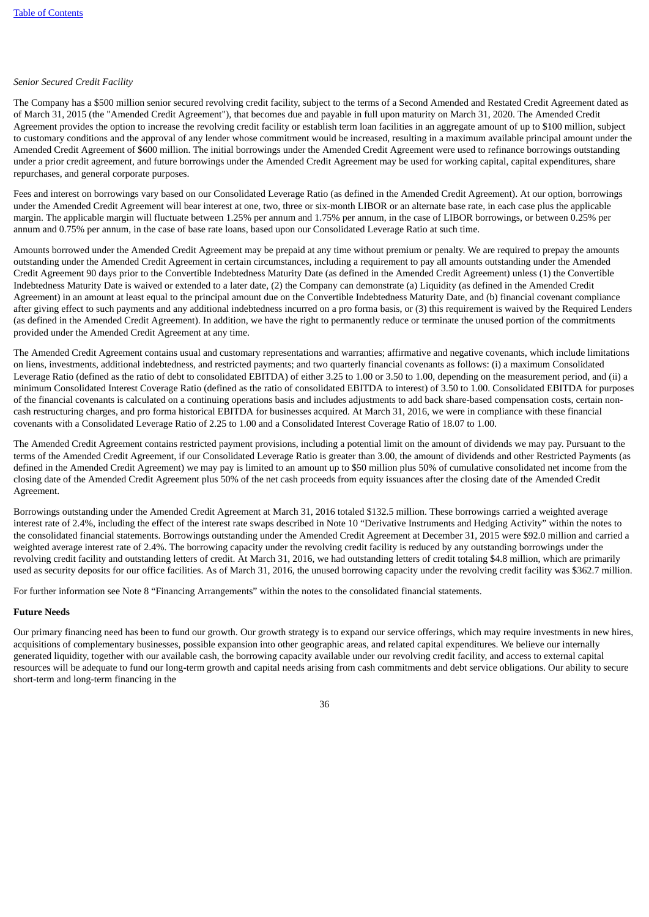## *Senior Secured Credit Facility*

The Company has a \$500 million senior secured revolving credit facility, subject to the terms of a Second Amended and Restated Credit Agreement dated as of March 31, 2015 (the "Amended Credit Agreement"), that becomes due and payable in full upon maturity on March 31, 2020. The Amended Credit Agreement provides the option to increase the revolving credit facility or establish term loan facilities in an aggregate amount of up to \$100 million, subject to customary conditions and the approval of any lender whose commitment would be increased, resulting in a maximum available principal amount under the Amended Credit Agreement of \$600 million. The initial borrowings under the Amended Credit Agreement were used to refinance borrowings outstanding under a prior credit agreement, and future borrowings under the Amended Credit Agreement may be used for working capital, capital expenditures, share repurchases, and general corporate purposes.

Fees and interest on borrowings vary based on our Consolidated Leverage Ratio (as defined in the Amended Credit Agreement). At our option, borrowings under the Amended Credit Agreement will bear interest at one, two, three or six-month LIBOR or an alternate base rate, in each case plus the applicable margin. The applicable margin will fluctuate between 1.25% per annum and 1.75% per annum, in the case of LIBOR borrowings, or between 0.25% per annum and 0.75% per annum, in the case of base rate loans, based upon our Consolidated Leverage Ratio at such time.

Amounts borrowed under the Amended Credit Agreement may be prepaid at any time without premium or penalty. We are required to prepay the amounts outstanding under the Amended Credit Agreement in certain circumstances, including a requirement to pay all amounts outstanding under the Amended Credit Agreement 90 days prior to the Convertible Indebtedness Maturity Date (as defined in the Amended Credit Agreement) unless (1) the Convertible Indebtedness Maturity Date is waived or extended to a later date, (2) the Company can demonstrate (a) Liquidity (as defined in the Amended Credit Agreement) in an amount at least equal to the principal amount due on the Convertible Indebtedness Maturity Date, and (b) financial covenant compliance after giving effect to such payments and any additional indebtedness incurred on a pro forma basis, or (3) this requirement is waived by the Required Lenders (as defined in the Amended Credit Agreement). In addition, we have the right to permanently reduce or terminate the unused portion of the commitments provided under the Amended Credit Agreement at any time.

The Amended Credit Agreement contains usual and customary representations and warranties; affirmative and negative covenants, which include limitations on liens, investments, additional indebtedness, and restricted payments; and two quarterly financial covenants as follows: (i) a maximum Consolidated Leverage Ratio (defined as the ratio of debt to consolidated EBITDA) of either 3.25 to 1.00 or 3.50 to 1.00, depending on the measurement period, and (ii) a minimum Consolidated Interest Coverage Ratio (defined as the ratio of consolidated EBITDA to interest) of 3.50 to 1.00. Consolidated EBITDA for purposes of the financial covenants is calculated on a continuing operations basis and includes adjustments to add back share-based compensation costs, certain noncash restructuring charges, and pro forma historical EBITDA for businesses acquired. At March 31, 2016, we were in compliance with these financial covenants with a Consolidated Leverage Ratio of 2.25 to 1.00 and a Consolidated Interest Coverage Ratio of 18.07 to 1.00.

The Amended Credit Agreement contains restricted payment provisions, including a potential limit on the amount of dividends we may pay. Pursuant to the terms of the Amended Credit Agreement, if our Consolidated Leverage Ratio is greater than 3.00, the amount of dividends and other Restricted Payments (as defined in the Amended Credit Agreement) we may pay is limited to an amount up to \$50 million plus 50% of cumulative consolidated net income from the closing date of the Amended Credit Agreement plus 50% of the net cash proceeds from equity issuances after the closing date of the Amended Credit Agreement.

Borrowings outstanding under the Amended Credit Agreement at March 31, 2016 totaled \$132.5 million. These borrowings carried a weighted average interest rate of 2.4%, including the effect of the interest rate swaps described in Note 10 "Derivative Instruments and Hedging Activity" within the notes to the consolidated financial statements. Borrowings outstanding under the Amended Credit Agreement at December 31, 2015 were \$92.0 million and carried a weighted average interest rate of 2.4%. The borrowing capacity under the revolving credit facility is reduced by any outstanding borrowings under the revolving credit facility and outstanding letters of credit. At March 31, 2016, we had outstanding letters of credit totaling \$4.8 million, which are primarily used as security deposits for our office facilities. As of March 31, 2016, the unused borrowing capacity under the revolving credit facility was \$362.7 million.

For further information see Note 8 "Financing Arrangements" within the notes to the consolidated financial statements.

## **Future Needs**

Our primary financing need has been to fund our growth. Our growth strategy is to expand our service offerings, which may require investments in new hires, acquisitions of complementary businesses, possible expansion into other geographic areas, and related capital expenditures. We believe our internally generated liquidity, together with our available cash, the borrowing capacity available under our revolving credit facility, and access to external capital resources will be adequate to fund our long-term growth and capital needs arising from cash commitments and debt service obligations. Our ability to secure short-term and long-term financing in the

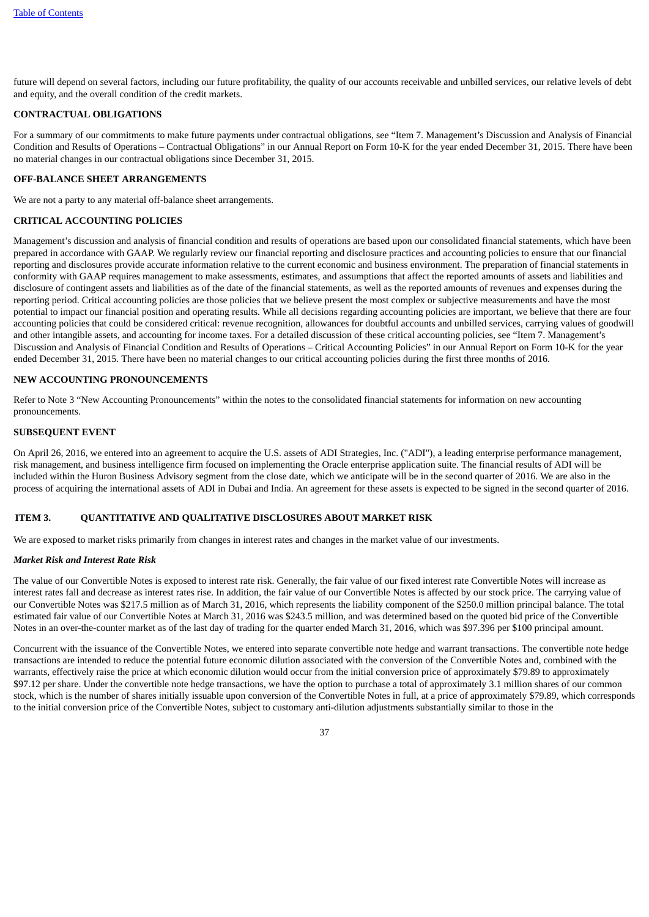future will depend on several factors, including our future profitability, the quality of our accounts receivable and unbilled services, our relative levels of debt and equity, and the overall condition of the credit markets.

## **CONTRACTUAL OBLIGATIONS**

For a summary of our commitments to make future payments under contractual obligations, see "Item 7. Management's Discussion and Analysis of Financial Condition and Results of Operations – Contractual Obligations" in our Annual Report on Form 10-K for the year ended December 31, 2015. There have been no material changes in our contractual obligations since December 31, 2015.

#### **OFF-BALANCE SHEET ARRANGEMENTS**

We are not a party to any material off-balance sheet arrangements.

## **CRITICAL ACCOUNTING POLICIES**

Management's discussion and analysis of financial condition and results of operations are based upon our consolidated financial statements, which have been prepared in accordance with GAAP. We regularly review our financial reporting and disclosure practices and accounting policies to ensure that our financial reporting and disclosures provide accurate information relative to the current economic and business environment. The preparation of financial statements in conformity with GAAP requires management to make assessments, estimates, and assumptions that affect the reported amounts of assets and liabilities and disclosure of contingent assets and liabilities as of the date of the financial statements, as well as the reported amounts of revenues and expenses during the reporting period. Critical accounting policies are those policies that we believe present the most complex or subjective measurements and have the most potential to impact our financial position and operating results. While all decisions regarding accounting policies are important, we believe that there are four accounting policies that could be considered critical: revenue recognition, allowances for doubtful accounts and unbilled services, carrying values of goodwill and other intangible assets, and accounting for income taxes. For a detailed discussion of these critical accounting policies, see "Item 7. Management's Discussion and Analysis of Financial Condition and Results of Operations – Critical Accounting Policies" in our Annual Report on Form 10-K for the year ended December 31, 2015. There have been no material changes to our critical accounting policies during the first three months of 2016.

#### **NEW ACCOUNTING PRONOUNCEMENTS**

Refer to Note 3 "New Accounting Pronouncements" within the notes to the consolidated financial statements for information on new accounting pronouncements.

#### **SUBSEQUENT EVENT**

On April 26, 2016, we entered into an agreement to acquire the U.S. assets of ADI Strategies, Inc. ("ADI"), a leading enterprise performance management, risk management, and business intelligence firm focused on implementing the Oracle enterprise application suite. The financial results of ADI will be included within the Huron Business Advisory segment from the close date, which we anticipate will be in the second quarter of 2016. We are also in the process of acquiring the international assets of ADI in Dubai and India. An agreement for these assets is expected to be signed in the second quarter of 2016.

## <span id="page-38-0"></span>**ITEM 3. QUANTITATIVE AND QUALITATIVE DISCLOSURES ABOUT MARKET RISK**

We are exposed to market risks primarily from changes in interest rates and changes in the market value of our investments.

#### *Market Risk and Interest Rate Risk*

The value of our Convertible Notes is exposed to interest rate risk. Generally, the fair value of our fixed interest rate Convertible Notes will increase as interest rates fall and decrease as interest rates rise. In addition, the fair value of our Convertible Notes is affected by our stock price. The carrying value of our Convertible Notes was \$217.5 million as of March 31, 2016, which represents the liability component of the \$250.0 million principal balance. The total estimated fair value of our Convertible Notes at March 31, 2016 was \$243.5 million, and was determined based on the quoted bid price of the Convertible Notes in an over-the-counter market as of the last day of trading for the quarter ended March 31, 2016, which was \$97.396 per \$100 principal amount.

Concurrent with the issuance of the Convertible Notes, we entered into separate convertible note hedge and warrant transactions. The convertible note hedge transactions are intended to reduce the potential future economic dilution associated with the conversion of the Convertible Notes and, combined with the warrants, effectively raise the price at which economic dilution would occur from the initial conversion price of approximately \$79.89 to approximately \$97.12 per share. Under the convertible note hedge transactions, we have the option to purchase a total of approximately 3.1 million shares of our common stock, which is the number of shares initially issuable upon conversion of the Convertible Notes in full, at a price of approximately \$79.89, which corresponds to the initial conversion price of the Convertible Notes, subject to customary anti-dilution adjustments substantially similar to those in the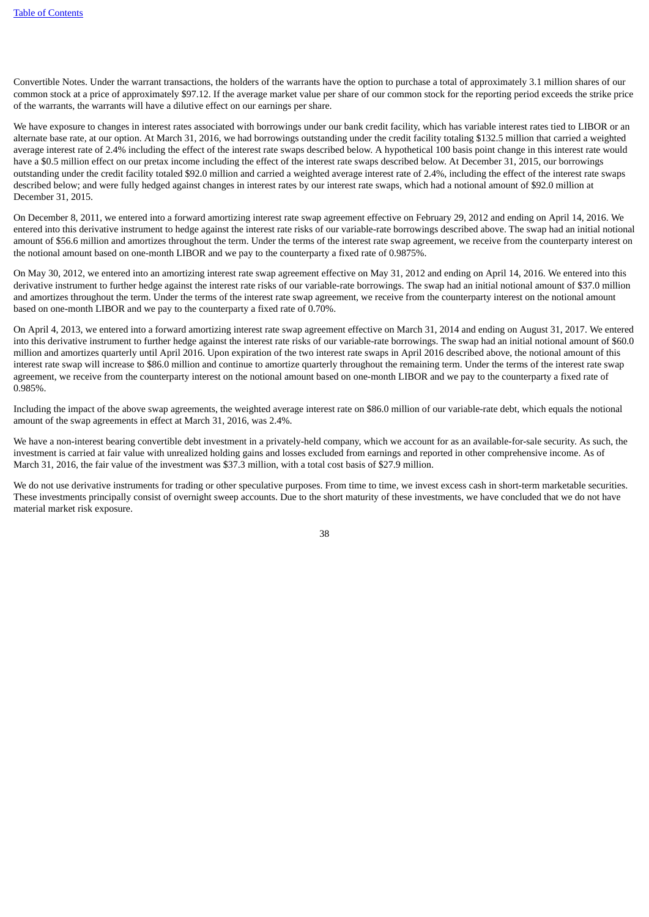Convertible Notes. Under the warrant transactions, the holders of the warrants have the option to purchase a total of approximately 3.1 million shares of our common stock at a price of approximately \$97.12. If the average market value per share of our common stock for the reporting period exceeds the strike price of the warrants, the warrants will have a dilutive effect on our earnings per share.

We have exposure to changes in interest rates associated with borrowings under our bank credit facility, which has variable interest rates tied to LIBOR or an alternate base rate, at our option. At March 31, 2016, we had borrowings outstanding under the credit facility totaling \$132.5 million that carried a weighted average interest rate of 2.4% including the effect of the interest rate swaps described below. A hypothetical 100 basis point change in this interest rate would have a \$0.5 million effect on our pretax income including the effect of the interest rate swaps described below. At December 31, 2015, our borrowings outstanding under the credit facility totaled \$92.0 million and carried a weighted average interest rate of 2.4%, including the effect of the interest rate swaps described below; and were fully hedged against changes in interest rates by our interest rate swaps, which had a notional amount of \$92.0 million at December 31, 2015.

On December 8, 2011, we entered into a forward amortizing interest rate swap agreement effective on February 29, 2012 and ending on April 14, 2016. We entered into this derivative instrument to hedge against the interest rate risks of our variable-rate borrowings described above. The swap had an initial notional amount of \$56.6 million and amortizes throughout the term. Under the terms of the interest rate swap agreement, we receive from the counterparty interest on the notional amount based on one-month LIBOR and we pay to the counterparty a fixed rate of 0.9875%.

On May 30, 2012, we entered into an amortizing interest rate swap agreement effective on May 31, 2012 and ending on April 14, 2016. We entered into this derivative instrument to further hedge against the interest rate risks of our variable-rate borrowings. The swap had an initial notional amount of \$37.0 million and amortizes throughout the term. Under the terms of the interest rate swap agreement, we receive from the counterparty interest on the notional amount based on one-month LIBOR and we pay to the counterparty a fixed rate of 0.70%.

On April 4, 2013, we entered into a forward amortizing interest rate swap agreement effective on March 31, 2014 and ending on August 31, 2017. We entered into this derivative instrument to further hedge against the interest rate risks of our variable-rate borrowings. The swap had an initial notional amount of \$60.0 million and amortizes quarterly until April 2016. Upon expiration of the two interest rate swaps in April 2016 described above, the notional amount of this interest rate swap will increase to \$86.0 million and continue to amortize quarterly throughout the remaining term. Under the terms of the interest rate swap agreement, we receive from the counterparty interest on the notional amount based on one-month LIBOR and we pay to the counterparty a fixed rate of 0.985%.

Including the impact of the above swap agreements, the weighted average interest rate on \$86.0 million of our variable-rate debt, which equals the notional amount of the swap agreements in effect at March 31, 2016, was 2.4%.

We have a non-interest bearing convertible debt investment in a privately-held company, which we account for as an available-for-sale security. As such, the investment is carried at fair value with unrealized holding gains and losses excluded from earnings and reported in other comprehensive income. As of March 31, 2016, the fair value of the investment was \$37.3 million, with a total cost basis of \$27.9 million.

We do not use derivative instruments for trading or other speculative purposes. From time to time, we invest excess cash in short-term marketable securities. These investments principally consist of overnight sweep accounts. Due to the short maturity of these investments, we have concluded that we do not have material market risk exposure.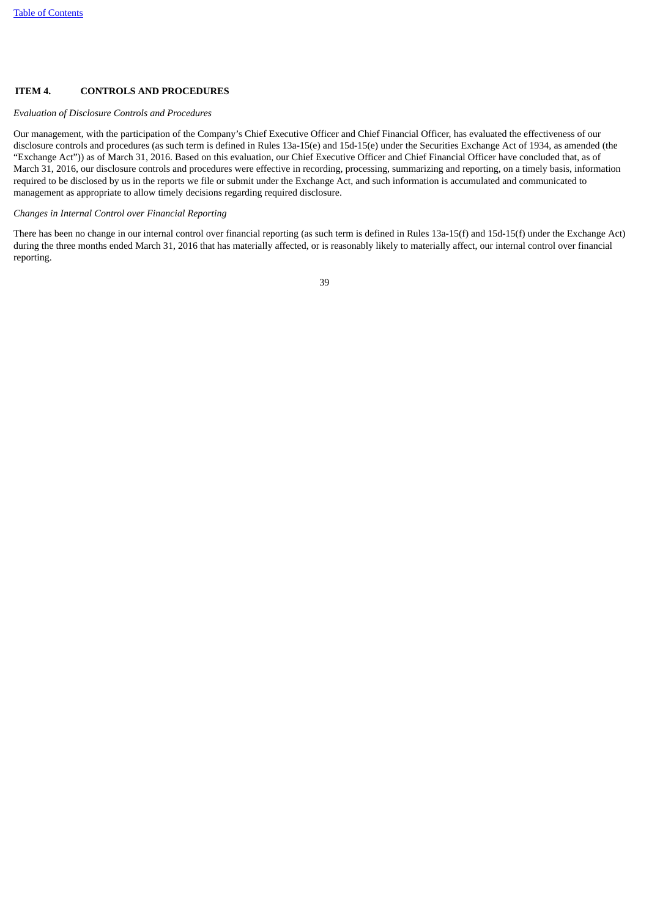## <span id="page-40-0"></span>**ITEM 4. CONTROLS AND PROCEDURES**

## *Evaluation of Disclosure Controls and Procedures*

Our management, with the participation of the Company's Chief Executive Officer and Chief Financial Officer, has evaluated the effectiveness of our disclosure controls and procedures (as such term is defined in Rules 13a-15(e) and 15d-15(e) under the Securities Exchange Act of 1934, as amended (the "Exchange Act")) as of March 31, 2016. Based on this evaluation, our Chief Executive Officer and Chief Financial Officer have concluded that, as of March 31, 2016, our disclosure controls and procedures were effective in recording, processing, summarizing and reporting, on a timely basis, information required to be disclosed by us in the reports we file or submit under the Exchange Act, and such information is accumulated and communicated to management as appropriate to allow timely decisions regarding required disclosure.

#### *Changes in Internal Control over Financial Reporting*

There has been no change in our internal control over financial reporting (as such term is defined in Rules 13a-15(f) and 15d-15(f) under the Exchange Act) during the three months ended March 31, 2016 that has materially affected, or is reasonably likely to materially affect, our internal control over financial reporting.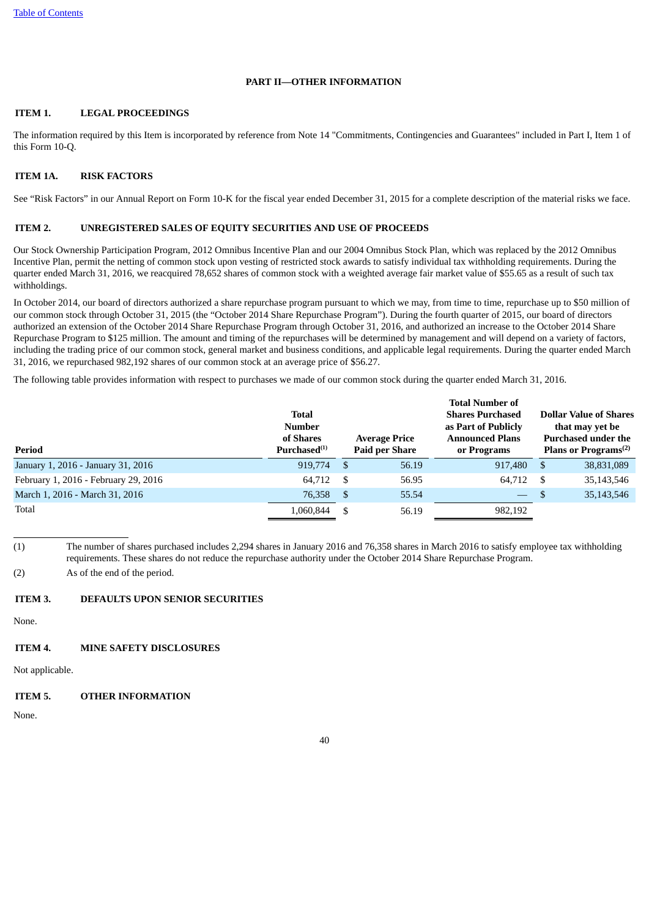## **PART II—OTHER INFORMATION**

## <span id="page-41-1"></span><span id="page-41-0"></span>**ITEM 1. LEGAL PROCEEDINGS**

The information required by this Item is incorporated by reference from Note 14 "Commitments, Contingencies and Guarantees" included in Part I, Item 1 of this Form 10-Q.

## <span id="page-41-2"></span>**ITEM 1A. RISK FACTORS**

<span id="page-41-3"></span>See "Risk Factors" in our Annual Report on Form 10-K for the fiscal year ended December 31, 2015 for a complete description of the material risks we face.

#### **ITEM 2. UNREGISTERED SALES OF EQUITY SECURITIES AND USE OF PROCEEDS**

Our Stock Ownership Participation Program, 2012 Omnibus Incentive Plan and our 2004 Omnibus Stock Plan, which was replaced by the 2012 Omnibus Incentive Plan, permit the netting of common stock upon vesting of restricted stock awards to satisfy individual tax withholding requirements. During the quarter ended March 31, 2016, we reacquired 78,652 shares of common stock with a weighted average fair market value of \$55.65 as a result of such tax withholdings.

In October 2014, our board of directors authorized a share repurchase program pursuant to which we may, from time to time, repurchase up to \$50 million of our common stock through October 31, 2015 (the "October 2014 Share Repurchase Program"). During the fourth quarter of 2015, our board of directors authorized an extension of the October 2014 Share Repurchase Program through October 31, 2016, and authorized an increase to the October 2014 Share Repurchase Program to \$125 million. The amount and timing of the repurchases will be determined by management and will depend on a variety of factors, including the trading price of our common stock, general market and business conditions, and applicable legal requirements. During the quarter ended March 31, 2016, we repurchased 982,192 shares of our common stock at an average price of \$56.27.

The following table provides information with respect to purchases we made of our common stock during the quarter ended March 31, 2016.

| Period                               | Total<br><b>Number</b><br>of Shares<br>Purchase $d^{(1)}$ |      | <b>Average Price</b><br><b>Paid per Share</b> | <b>Total Number of</b><br><b>Shares Purchased</b><br>as Part of Publicly<br><b>Announced Plans</b><br>or Programs |     | <b>Dollar Value of Shares</b><br>that may yet be<br>Purchased under the<br>Plans or Programs $(2)$ |
|--------------------------------------|-----------------------------------------------------------|------|-----------------------------------------------|-------------------------------------------------------------------------------------------------------------------|-----|----------------------------------------------------------------------------------------------------|
| January 1, 2016 - January 31, 2016   | 919,774                                                   | - \$ | 56.19                                         | 917,480                                                                                                           | -\$ | 38,831,089                                                                                         |
| February 1, 2016 - February 29, 2016 | 64,712                                                    | - \$ | 56.95                                         | 64.712                                                                                                            | -S  | 35,143,546                                                                                         |
| March 1, 2016 - March 31, 2016       | 76,358                                                    | - \$ | 55.54                                         |                                                                                                                   |     | 35,143,546                                                                                         |
| Total                                | 1,060,844                                                 |      | 56.19                                         | 982,192                                                                                                           |     |                                                                                                    |

(1) The number of shares purchased includes 2,294 shares in January 2016 and 76,358 shares in March 2016 to satisfy employee tax withholding requirements. These shares do not reduce the repurchase authority under the October 2014 Share Repurchase Program.

<span id="page-41-4"></span>(2) As of the end of the period.

## **ITEM 3. DEFAULTS UPON SENIOR SECURITIES**

<span id="page-41-5"></span>None.

#### **ITEM 4. MINE SAFETY DISCLOSURES**

<span id="page-41-6"></span>Not applicable.

#### **ITEM 5. OTHER INFORMATION**

None.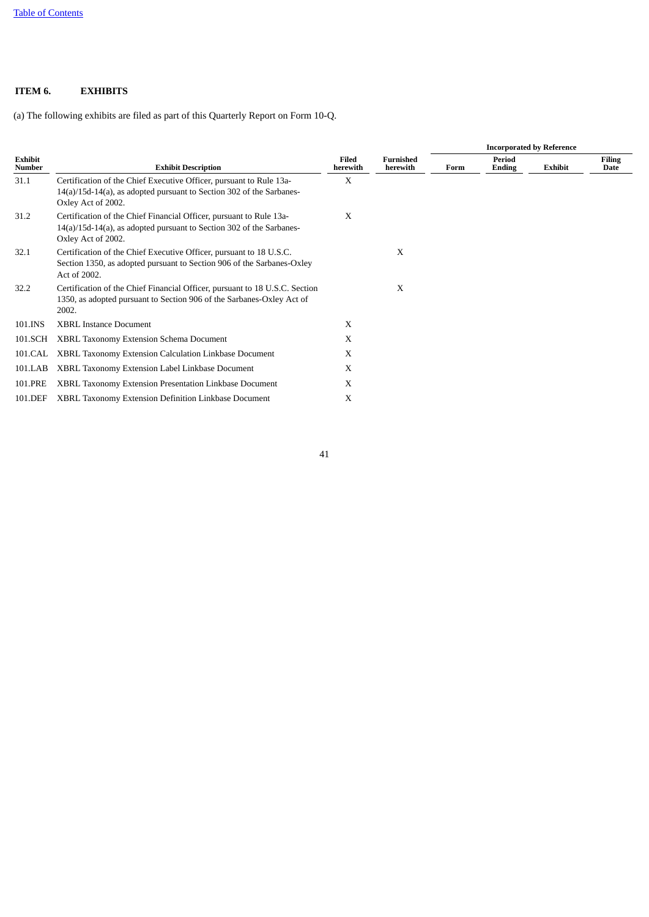## <span id="page-42-0"></span>**ITEM 6. EXHIBITS**

(a) The following exhibits are filed as part of this Quarterly Report on Form 10-Q.

|                   |                                                                                                                                                                   |                   |                              |      | <b>Incorporated by Reference</b> |                |                       |  |
|-------------------|-------------------------------------------------------------------------------------------------------------------------------------------------------------------|-------------------|------------------------------|------|----------------------------------|----------------|-----------------------|--|
| Exhibit<br>Number | <b>Exhibit Description</b>                                                                                                                                        | Filed<br>herewith | <b>Furnished</b><br>herewith | Form | Period<br>Ending                 | <b>Exhibit</b> | <b>Filing</b><br>Date |  |
| 31.1              | Certification of the Chief Executive Officer, pursuant to Rule 13a-<br>14(a)/15d-14(a), as adopted pursuant to Section 302 of the Sarbanes-<br>Oxley Act of 2002. | X                 |                              |      |                                  |                |                       |  |
| 31.2              | Certification of the Chief Financial Officer, pursuant to Rule 13a-<br>14(a)/15d-14(a), as adopted pursuant to Section 302 of the Sarbanes-<br>Oxley Act of 2002. | X                 |                              |      |                                  |                |                       |  |
| 32.1              | Certification of the Chief Executive Officer, pursuant to 18 U.S.C.<br>Section 1350, as adopted pursuant to Section 906 of the Sarbanes-Oxley<br>Act of 2002.     |                   | $\mathbf{x}$                 |      |                                  |                |                       |  |
| 32.2              | Certification of the Chief Financial Officer, pursuant to 18 U.S.C. Section<br>1350, as adopted pursuant to Section 906 of the Sarbanes-Oxley Act of<br>2002.     |                   | X                            |      |                                  |                |                       |  |
| 101.INS           | <b>XBRL Instance Document</b>                                                                                                                                     | X                 |                              |      |                                  |                |                       |  |
| 101.SCH           | XBRL Taxonomy Extension Schema Document                                                                                                                           | X                 |                              |      |                                  |                |                       |  |
| 101.CAL           | XBRL Taxonomy Extension Calculation Linkbase Document                                                                                                             | X                 |                              |      |                                  |                |                       |  |
| 101.LAB           | XBRL Taxonomy Extension Label Linkbase Document                                                                                                                   | X                 |                              |      |                                  |                |                       |  |
| 101.PRE           | XBRL Taxonomy Extension Presentation Linkbase Document                                                                                                            | X                 |                              |      |                                  |                |                       |  |
| 101.DEF           | XBRL Taxonomy Extension Definition Linkbase Document                                                                                                              | X                 |                              |      |                                  |                |                       |  |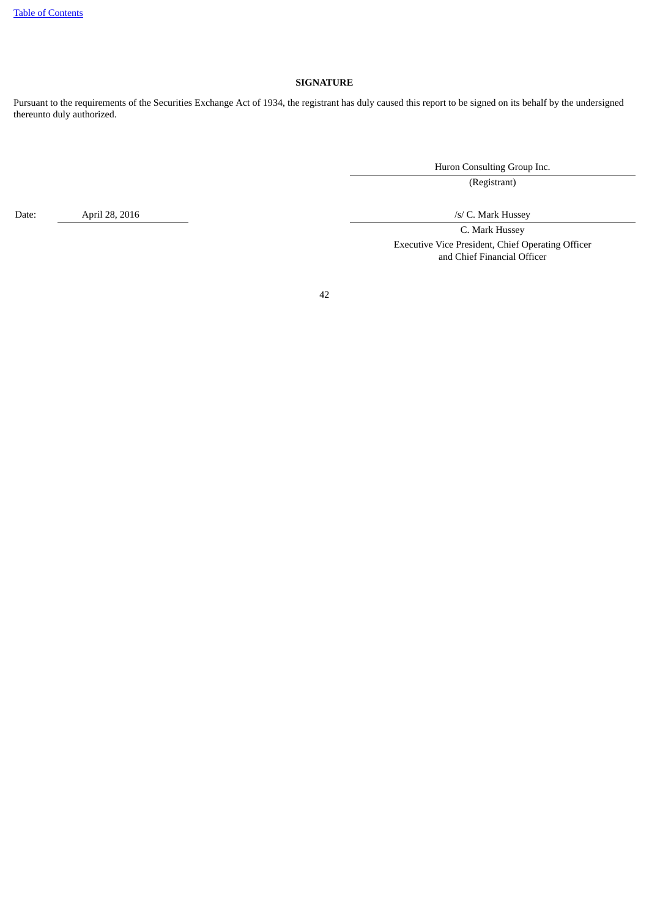## **SIGNATURE**

<span id="page-43-0"></span>Pursuant to the requirements of the Securities Exchange Act of 1934, the registrant has duly caused this report to be signed on its behalf by the undersigned thereunto duly authorized.

Huron Consulting Group Inc.

(Registrant)

Date: April 28, 2016 <br>
April 28, 2016

C. Mark Hussey Executive Vice President, Chief Operating Officer and Chief Financial Officer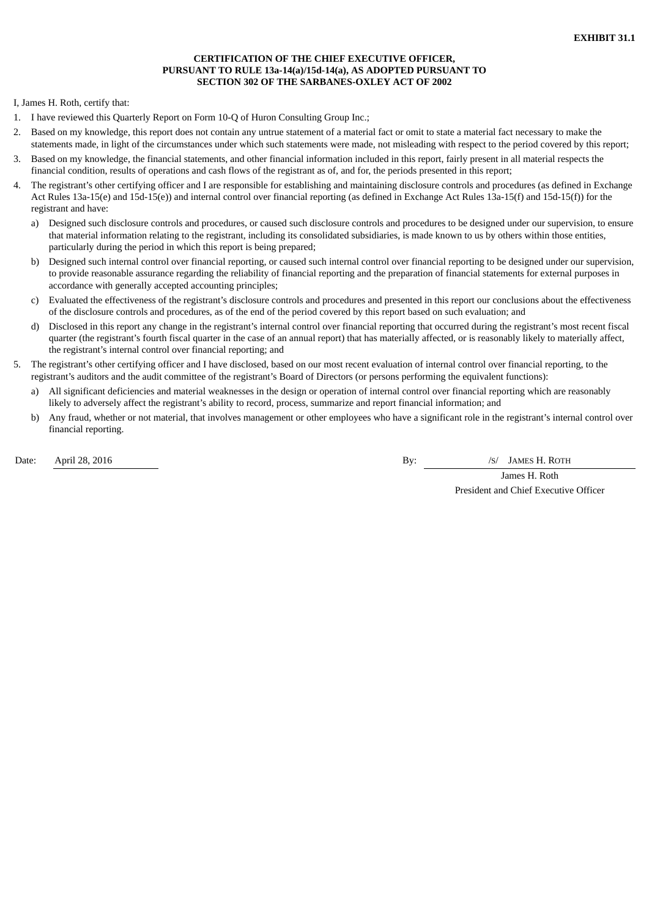## **CERTIFICATION OF THE CHIEF EXECUTIVE OFFICER, PURSUANT TO RULE 13a-14(a)/15d-14(a), AS ADOPTED PURSUANT TO SECTION 302 OF THE SARBANES-OXLEY ACT OF 2002**

I, James H. Roth, certify that:

- 1. I have reviewed this Quarterly Report on Form 10-Q of Huron Consulting Group Inc.;
- 2. Based on my knowledge, this report does not contain any untrue statement of a material fact or omit to state a material fact necessary to make the statements made, in light of the circumstances under which such statements were made, not misleading with respect to the period covered by this report;
- 3. Based on my knowledge, the financial statements, and other financial information included in this report, fairly present in all material respects the financial condition, results of operations and cash flows of the registrant as of, and for, the periods presented in this report;
- 4. The registrant's other certifying officer and I are responsible for establishing and maintaining disclosure controls and procedures (as defined in Exchange Act Rules 13a-15(e) and 15d-15(e)) and internal control over financial reporting (as defined in Exchange Act Rules 13a-15(f) and 15d-15(f)) for the registrant and have:
	- a) Designed such disclosure controls and procedures, or caused such disclosure controls and procedures to be designed under our supervision, to ensure that material information relating to the registrant, including its consolidated subsidiaries, is made known to us by others within those entities, particularly during the period in which this report is being prepared;
	- b) Designed such internal control over financial reporting, or caused such internal control over financial reporting to be designed under our supervision, to provide reasonable assurance regarding the reliability of financial reporting and the preparation of financial statements for external purposes in accordance with generally accepted accounting principles;
	- c) Evaluated the effectiveness of the registrant's disclosure controls and procedures and presented in this report our conclusions about the effectiveness of the disclosure controls and procedures, as of the end of the period covered by this report based on such evaluation; and
	- d) Disclosed in this report any change in the registrant's internal control over financial reporting that occurred during the registrant's most recent fiscal quarter (the registrant's fourth fiscal quarter in the case of an annual report) that has materially affected, or is reasonably likely to materially affect, the registrant's internal control over financial reporting; and
- 5. The registrant's other certifying officer and I have disclosed, based on our most recent evaluation of internal control over financial reporting, to the registrant's auditors and the audit committee of the registrant's Board of Directors (or persons performing the equivalent functions):
	- a) All significant deficiencies and material weaknesses in the design or operation of internal control over financial reporting which are reasonably likely to adversely affect the registrant's ability to record, process, summarize and report financial information; and
	- b) Any fraud, whether or not material, that involves management or other employees who have a significant role in the registrant's internal control over financial reporting.

Date: April 28, 2016 **By:** /S/ JAMES H. ROTH

James H. Roth President and Chief Executive Officer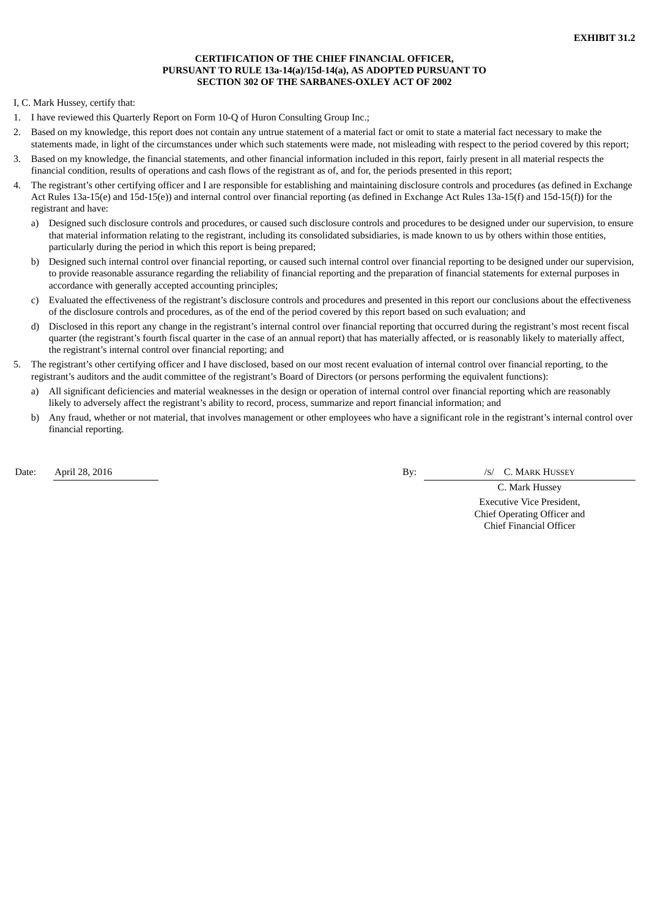## **CERTIFICATION OF THE CHIEF FINANCIAL OFFICER, PURSUANT TO RULE 13a-14(a)/15d-14(a), AS ADOPTED PURSUANT TO SECTION 302 OF THE SARBANES-OXLEY ACT OF 2002**

I, C. Mark Hussey, certify that:

- 1. I have reviewed this Quarterly Report on Form 10-Q of Huron Consulting Group Inc.;
- 2. Based on my knowledge, this report does not contain any untrue statement of a material fact or omit to state a material fact necessary to make the statements made, in light of the circumstances under which such statements were made, not misleading with respect to the period covered by this report;
- 3. Based on my knowledge, the financial statements, and other financial information included in this report, fairly present in all material respects the financial condition, results of operations and cash flows of the registrant as of, and for, the periods presented in this report;
- 4. The registrant's other certifying officer and I are responsible for establishing and maintaining disclosure controls and procedures (as defined in Exchange Act Rules 13a-15(e) and 15d-15(e)) and internal control over financial reporting (as defined in Exchange Act Rules 13a-15(f) and 15d-15(f)) for the registrant and have:
	- a) Designed such disclosure controls and procedures, or caused such disclosure controls and procedures to be designed under our supervision, to ensure that material information relating to the registrant, including its consolidated subsidiaries, is made known to us by others within those entities, particularly during the period in which this report is being prepared;
	- b) Designed such internal control over financial reporting, or caused such internal control over financial reporting to be designed under our supervision, to provide reasonable assurance regarding the reliability of financial reporting and the preparation of financial statements for external purposes in accordance with generally accepted accounting principles;
	- c) Evaluated the effectiveness of the registrant's disclosure controls and procedures and presented in this report our conclusions about the effectiveness of the disclosure controls and procedures, as of the end of the period covered by this report based on such evaluation; and
	- d) Disclosed in this report any change in the registrant's internal control over financial reporting that occurred during the registrant's most recent fiscal quarter (the registrant's fourth fiscal quarter in the case of an annual report) that has materially affected, or is reasonably likely to materially affect, the registrant's internal control over financial reporting; and
- 5. The registrant's other certifying officer and I have disclosed, based on our most recent evaluation of internal control over financial reporting, to the registrant's auditors and the audit committee of the registrant's Board of Directors (or persons performing the equivalent functions):
	- a) All significant deficiencies and material weaknesses in the design or operation of internal control over financial reporting which are reasonably likely to adversely affect the registrant's ability to record, process, summarize and report financial information; and
	- b) Any fraud, whether or not material, that involves management or other employees who have a significant role in the registrant's internal control over financial reporting.

Date: April 28, 2016 April 28, 2016 By: /S/ C. MARK HUSSEY

C. Mark Hussey Executive Vice President, Chief Operating Officer and Chief Financial Officer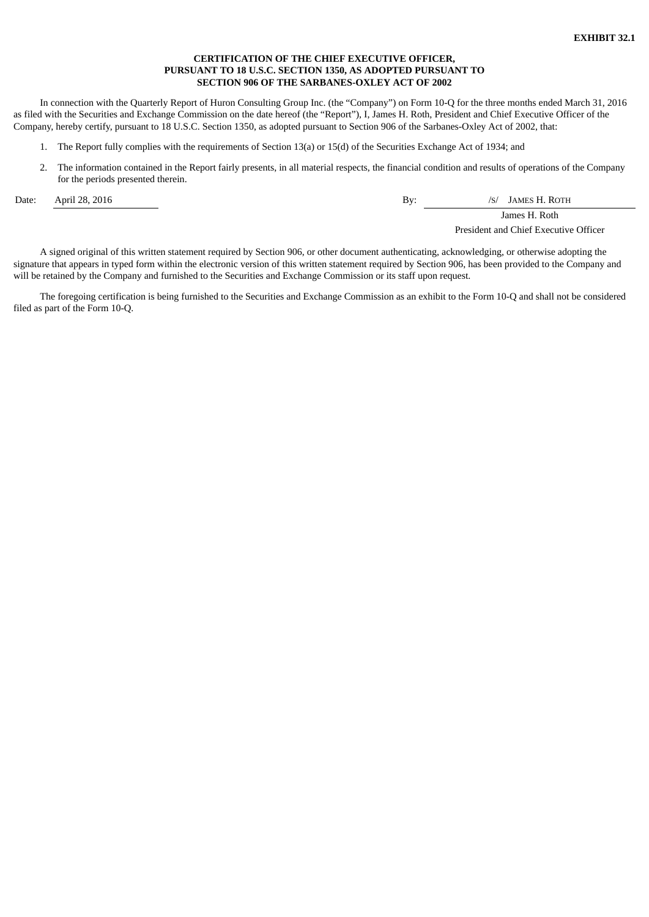## **CERTIFICATION OF THE CHIEF EXECUTIVE OFFICER, PURSUANT TO 18 U.S.C. SECTION 1350, AS ADOPTED PURSUANT TO SECTION 906 OF THE SARBANES-OXLEY ACT OF 2002**

In connection with the Quarterly Report of Huron Consulting Group Inc. (the "Company") on Form 10-Q for the three months ended March 31, 2016 as filed with the Securities and Exchange Commission on the date hereof (the "Report"), I, James H. Roth, President and Chief Executive Officer of the Company, hereby certify, pursuant to 18 U.S.C. Section 1350, as adopted pursuant to Section 906 of the Sarbanes-Oxley Act of 2002, that:

- 1. The Report fully complies with the requirements of Section 13(a) or 15(d) of the Securities Exchange Act of 1934; and
- 2. The information contained in the Report fairly presents, in all material respects, the financial condition and results of operations of the Company for the periods presented therein.

Date: April 28, 2016 <br>By: /S/ JAMES H. ROTH

James H. Roth

President and Chief Executive Officer

A signed original of this written statement required by Section 906, or other document authenticating, acknowledging, or otherwise adopting the signature that appears in typed form within the electronic version of this written statement required by Section 906, has been provided to the Company and will be retained by the Company and furnished to the Securities and Exchange Commission or its staff upon request.

The foregoing certification is being furnished to the Securities and Exchange Commission as an exhibit to the Form 10-Q and shall not be considered filed as part of the Form 10-Q.